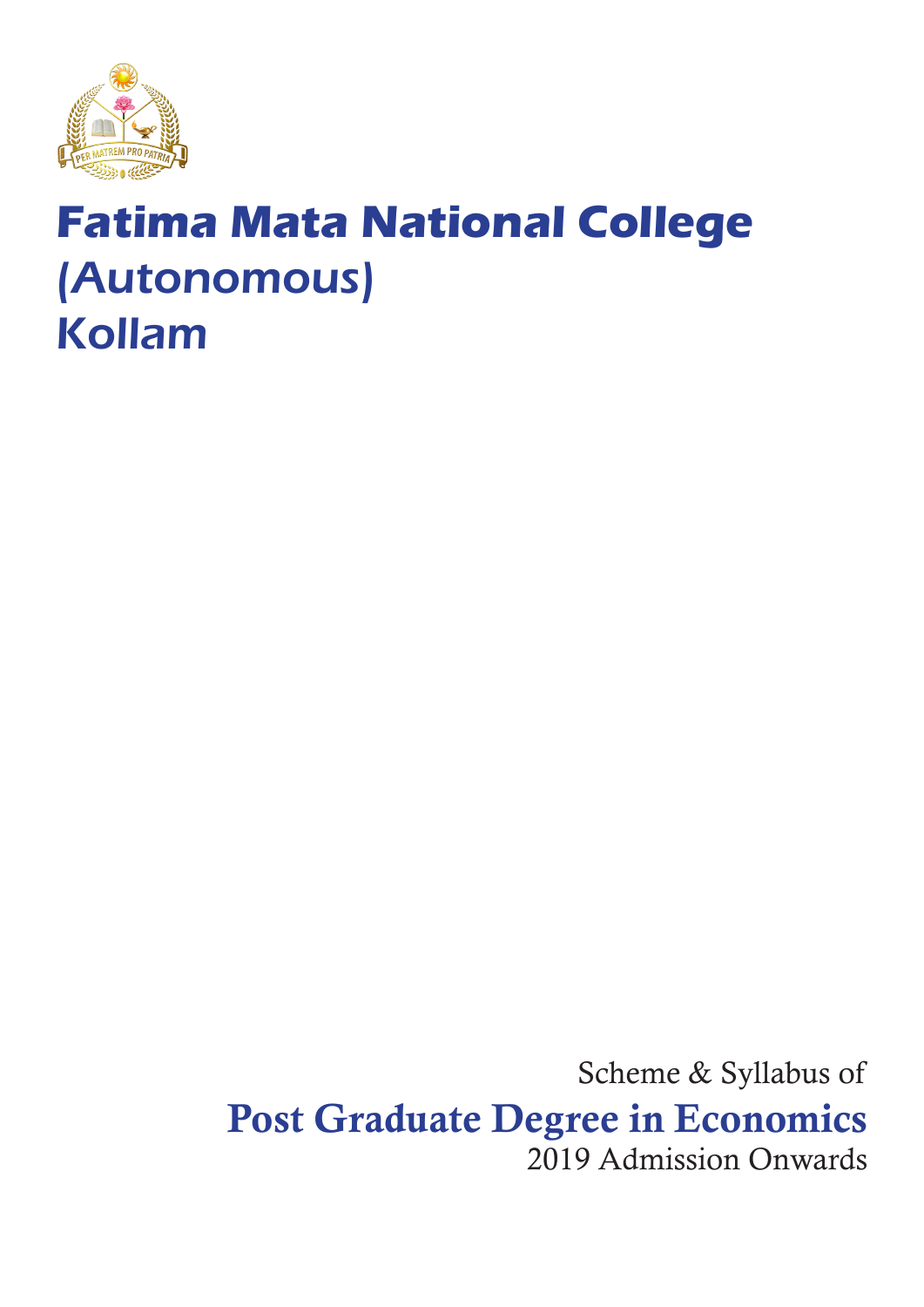

# **Fatima Mata National College** (Autonomous) Kollam

Scheme & Syllabus of Post Graduate Degree in Economics 2019 Admission Onwards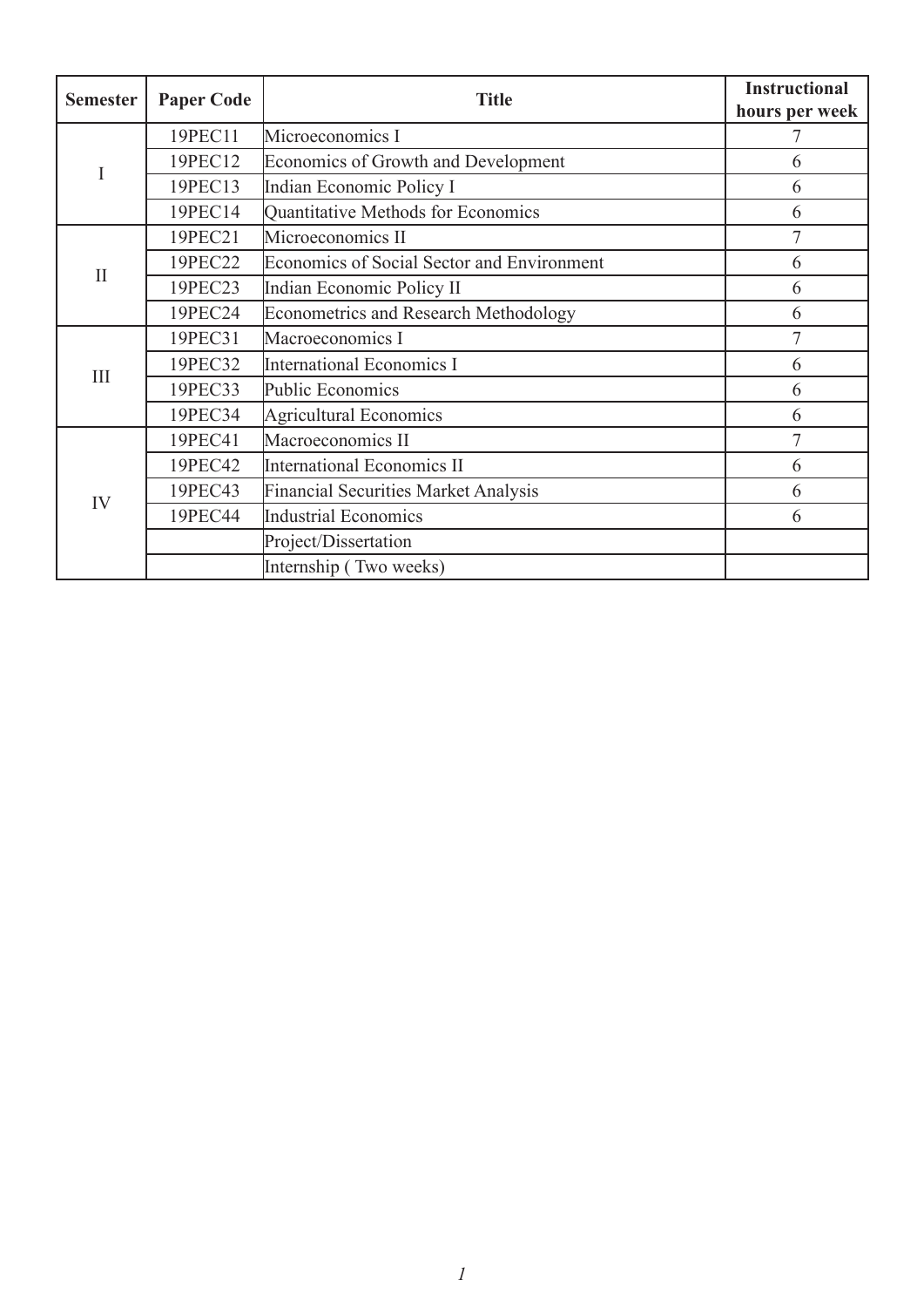| <b>Semester</b> | <b>Paper Code</b> | <b>Title</b>                                      | <b>Instructional</b><br>hours per week |
|-----------------|-------------------|---------------------------------------------------|----------------------------------------|
| I               | 19PEC11           | Microeconomics I                                  |                                        |
|                 | 19PEC12           | Economics of Growth and Development               | 6                                      |
|                 | 19PEC13           | Indian Economic Policy I                          | 6                                      |
|                 | 19PEC14           | Quantitative Methods for Economics                | 6                                      |
| $\mathbf{I}$    | 19PEC21           | Microeconomics II                                 | $\overline{7}$                         |
|                 | 19PEC22           | <b>Economics of Social Sector and Environment</b> | 6                                      |
|                 | 19PEC23           | Indian Economic Policy II                         | 6                                      |
|                 | 19PEC24           | <b>Econometrics and Research Methodology</b>      | 6                                      |
| III             | 19PEC31           | Macroeconomics I                                  | 7                                      |
|                 | 19PEC32           | International Economics I                         | 6                                      |
|                 | 19PEC33           | Public Economics                                  | 6                                      |
|                 | 19PEC34           | Agricultural Economics                            | 6                                      |
| IV              | 19PEC41           | Macroeconomics II                                 | $\overline{7}$                         |
|                 | 19PEC42           | International Economics II                        | 6                                      |
|                 | 19PEC43           | <b>Financial Securities Market Analysis</b>       | 6                                      |
|                 | 19PEC44           | Industrial Economics                              | 6                                      |
|                 |                   | Project/Dissertation                              |                                        |
|                 |                   | Internship (Two weeks)                            |                                        |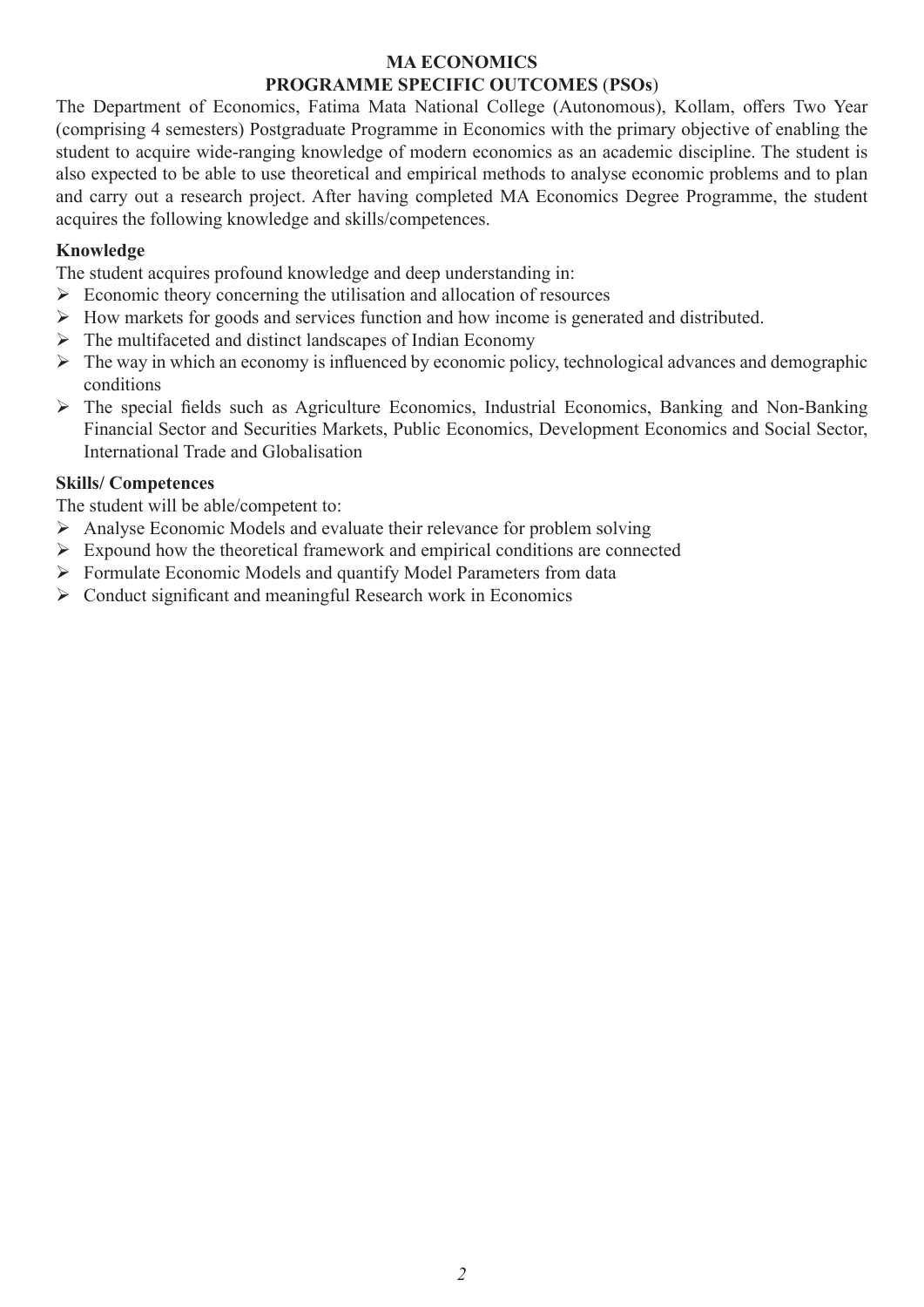#### **MA ECONOMICS PROGRAMME SPECIFIC OUTCOMES** (**PSOs**)

The Department of Economics, Fatima Mata National College (Autonomous), Kollam, offers Two Year (comprising 4 semesters) Postgraduate Programme in Economics with the primary objective of enabling the student to acquire wide-ranging knowledge of modern economics as an academic discipline. The student is also expected to be able to use theoretical and empirical methods to analyse economic problems and to plan and carry out a research project. After having completed MA Economics Degree Programme, the student acquires the following knowledge and skills/competences.

#### **Knowledge**

The student acquires profound knowledge and deep understanding in:

- $\triangleright$  Economic theory concerning the utilisation and allocation of resources
- ¾ How markets for goods and services function and how income is generated and distributed.
- $\triangleright$  The multifaceted and distinct landscapes of Indian Economy
- ¾ The way in which an economy is influenced by economic policy, technological advances and demographic conditions
- $\triangleright$  The special fields such as Agriculture Economics, Industrial Economics, Banking and Non-Banking Financial Sector and Securities Markets, Public Economics, Development Economics and Social Sector, International Trade and Globalisation

#### **Skills/ Competences**

The student will be able/competent to:

- $\triangleright$  Analyse Economic Models and evaluate their relevance for problem solving
- $\triangleright$  Expound how the theoretical framework and empirical conditions are connected
- ¾ Formulate Economic Models and quantify Model Parameters from data
- $\triangleright$  Conduct significant and meaningful Research work in Economics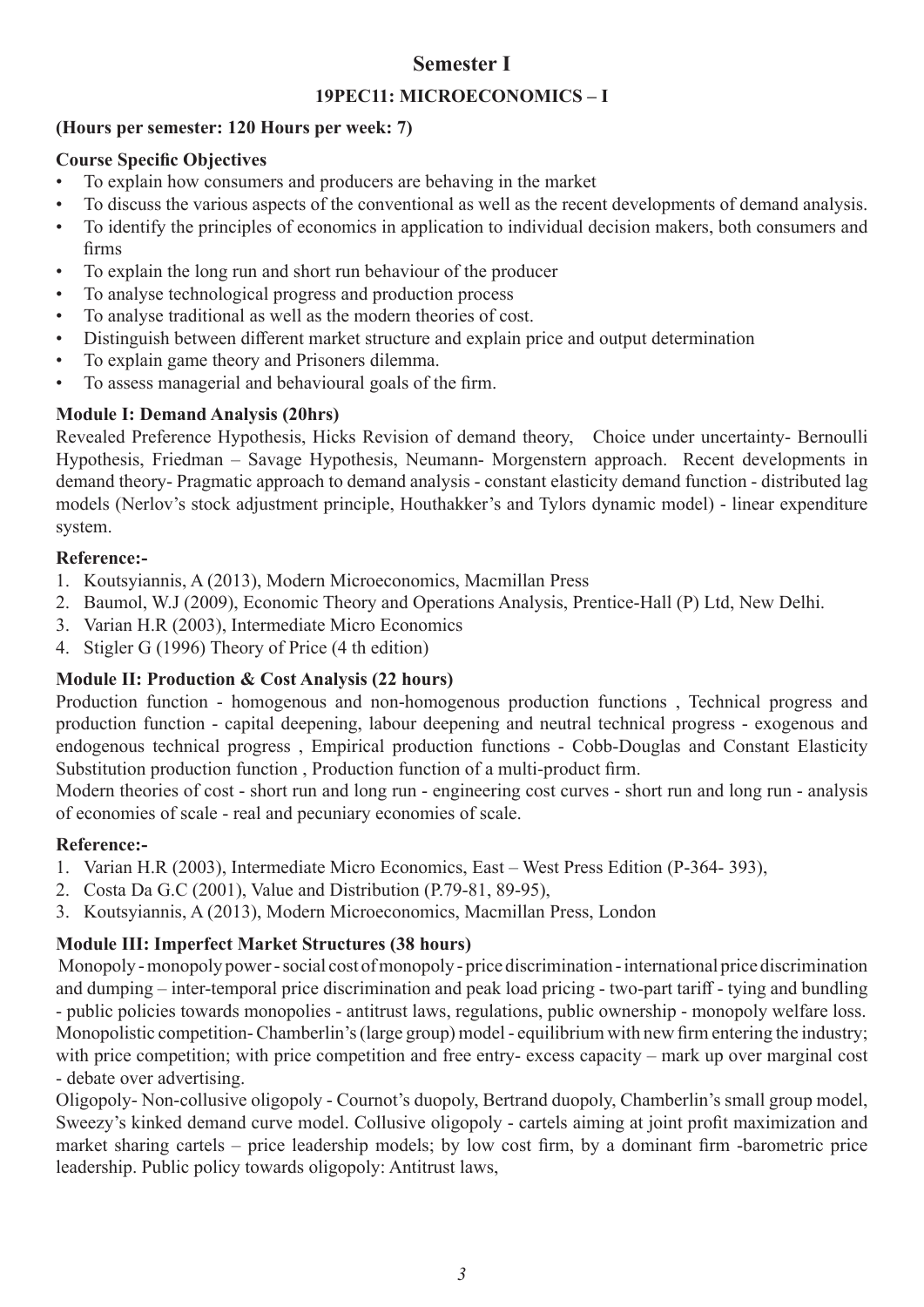### **Semester I**

#### **19PEC11: MICROECONOMICS – I**

#### **(Hours per semester: 120 Hours per week: 7)**

#### **Course Specific Objectives**

- To explain how consumers and producers are behaving in the market
- To discuss the various aspects of the conventional as well as the recent developments of demand analysis.
- To identify the principles of economics in application to individual decision makers, both consumers and firms
- To explain the long run and short run behaviour of the producer
- To analyse technological progress and production process
- To analyse traditional as well as the modern theories of cost.
- Distinguish between different market structure and explain price and output determination
- To explain game theory and Prisoners dilemma.
- To assess managerial and behavioural goals of the firm.

### **Module I: Demand Analysis (20hrs)**

Revealed Preference Hypothesis, Hicks Revision of demand theory, Choice under uncertainty- Bernoulli Hypothesis, Friedman – Savage Hypothesis, Neumann- Morgenstern approach. Recent developments in demand theory- Pragmatic approach to demand analysis - constant elasticity demand function - distributed lag models (Nerlov's stock adjustment principle, Houthakker's and Tylors dynamic model) - linear expenditure system.

#### **Reference:-**

- 1. Koutsyiannis, A (2013), Modern Microeconomics, Macmillan Press
- 2. Baumol, W.J (2009), Economic Theory and Operations Analysis, Prentice-Hall (P) Ltd, New Delhi.
- 3. Varian H.R (2003), Intermediate Micro Economics
- 4. Stigler G (1996) Theory of Price (4 th edition)

### **Module II: Production & Cost Analysis (22 hours)**

Production function - homogenous and non-homogenous production functions , Technical progress and production function - capital deepening, labour deepening and neutral technical progress - exogenous and endogenous technical progress , Empirical production functions - Cobb-Douglas and Constant Elasticity Substitution production function , Production function of a multi-product firm.

Modern theories of cost - short run and long run - engineering cost curves - short run and long run - analysis of economies of scale - real and pecuniary economies of scale.

#### **Reference:-**

- 1. Varian H.R (2003), Intermediate Micro Economics, East West Press Edition (P-364- 393),
- 2. Costa Da G.C (2001), Value and Distribution (P.79-81, 89-95),
- 3. Koutsyiannis, A (2013), Modern Microeconomics, Macmillan Press, London

### **Module III: Imperfect Market Structures (38 hours)**

 Monopoly - monopoly power - social cost of monopoly - price discrimination - international price discrimination and dumping – inter-temporal price discrimination and peak load pricing - two-part tariff - tying and bundling - public policies towards monopolies - antitrust laws, regulations, public ownership - monopoly welfare loss. Monopolistic competition- Chamberlin's (large group) model - equilibrium with new firm entering the industry; with price competition; with price competition and free entry- excess capacity – mark up over marginal cost - debate over advertising.

Oligopoly- Non-collusive oligopoly - Cournot's duopoly, Bertrand duopoly, Chamberlin's small group model, Sweezy's kinked demand curve model. Collusive oligopoly - cartels aiming at joint profit maximization and market sharing cartels – price leadership models; by low cost firm, by a dominant firm -barometric price leadership. Public policy towards oligopoly: Antitrust laws,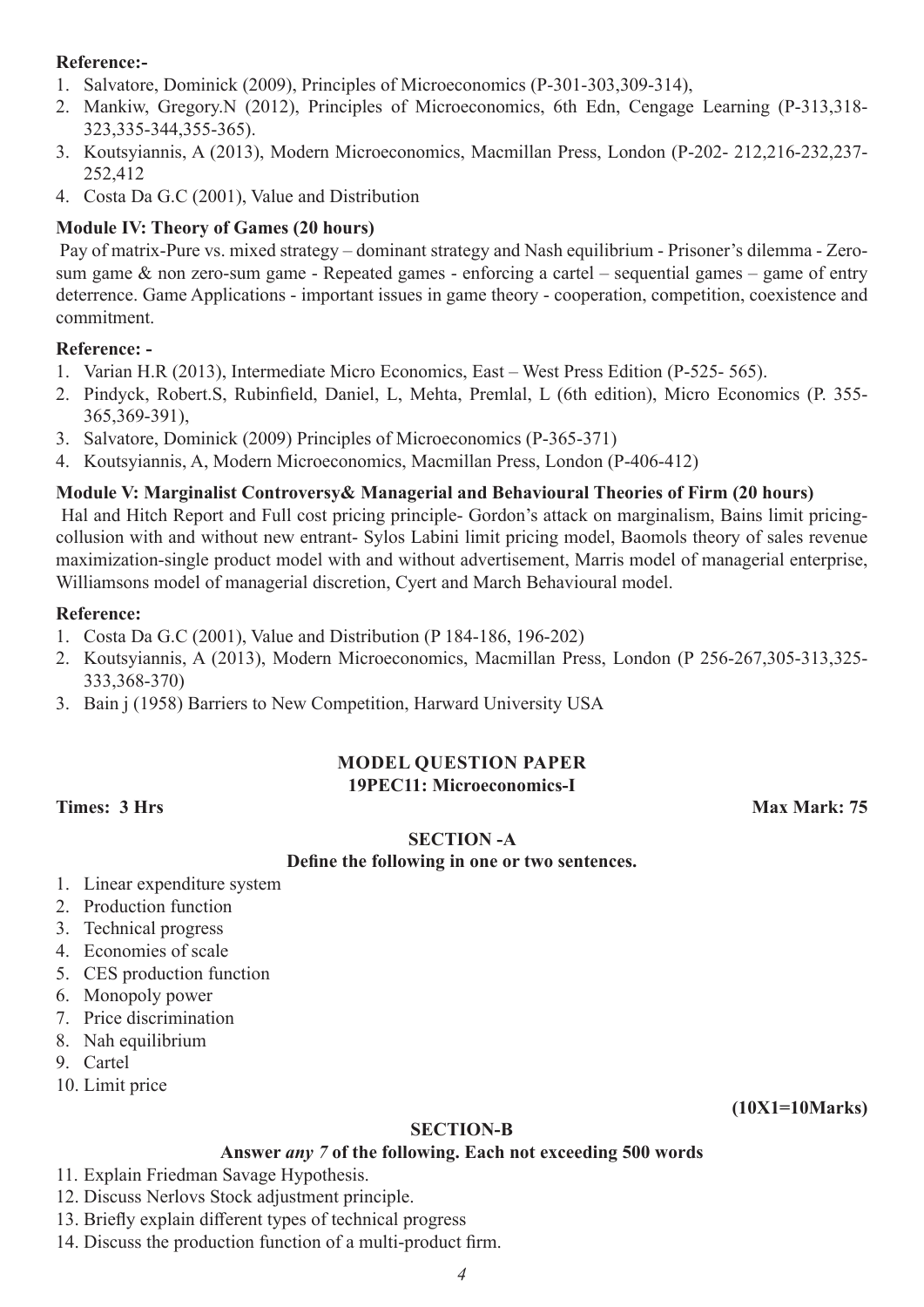#### **Reference:-**

- 1. Salvatore, Dominick (2009), Principles of Microeconomics (P-301-303,309-314),
- 2. Mankiw, Gregory.N (2012), Principles of Microeconomics, 6th Edn, Cengage Learning (P-313,318- 323,335-344,355-365).
- 3. Koutsyiannis, A (2013), Modern Microeconomics, Macmillan Press, London (P-202- 212,216-232,237- 252,412
- 4. Costa Da G.C (2001), Value and Distribution

#### **Module IV: Theory of Games (20 hours)**

 Pay of matrix-Pure vs. mixed strategy – dominant strategy and Nash equilibrium - Prisoner's dilemma - Zerosum game & non zero-sum game - Repeated games - enforcing a cartel – sequential games – game of entry deterrence. Game Applications - important issues in game theory - cooperation, competition, coexistence and commitment.

#### **Reference: -**

- 1. Varian H.R (2013), Intermediate Micro Economics, East West Press Edition (P-525- 565).
- 2. Pindyck, Robert.S, Rubinfield, Daniel, L, Mehta, Premlal, L (6th edition), Micro Economics (P. 355- 365,369-391),
- 3. Salvatore, Dominick (2009) Principles of Microeconomics (P-365-371)
- 4. Koutsyiannis, A, Modern Microeconomics, Macmillan Press, London (P-406-412)

#### **Module V: Marginalist Controversy& Managerial and Behavioural Theories of Firm (20 hours)**

 Hal and Hitch Report and Full cost pricing principle- Gordon's attack on marginalism, Bains limit pricingcollusion with and without new entrant- Sylos Labini limit pricing model, Baomols theory of sales revenue maximization-single product model with and without advertisement, Marris model of managerial enterprise, Williamsons model of managerial discretion, Cyert and March Behavioural model.

#### **Reference:**

- 1. Costa Da G.C (2001), Value and Distribution (P 184-186, 196-202)
- 2. Koutsyiannis, A (2013), Modern Microeconomics, Macmillan Press, London (P 256-267,305-313,325- 333,368-370)
- 3. Bain j (1958) Barriers to New Competition, Harward University USA

#### **MODEL QUESTION PAPER 19PEC11: Microeconomics-I**

**Times: 3 Hrs Max Mark: 75 Max Mark: 75 Max Mark: 75** 

#### **SECTION -A**

#### **Define the following in one or two sentences.**

- 1. Linear expenditure system
- 2. Production function
- 3. Technical progress
- 4. Economies of scale
- 5. CES production function
- 6. Monopoly power
- 7. Price discrimination
- 8. Nah equilibrium
- 9. Cartel
- 10. Limit price

**(10X1=10Marks)**

#### **SECTION-B**

#### **Answer** *any 7* **of the following. Each not exceeding 500 words**

11. Explain Friedman Savage Hypothesis.

12. Discuss Nerlovs Stock adjustment principle.

- 13. Briefly explain different types of technical progress
- 14. Discuss the production function of a multi-product firm.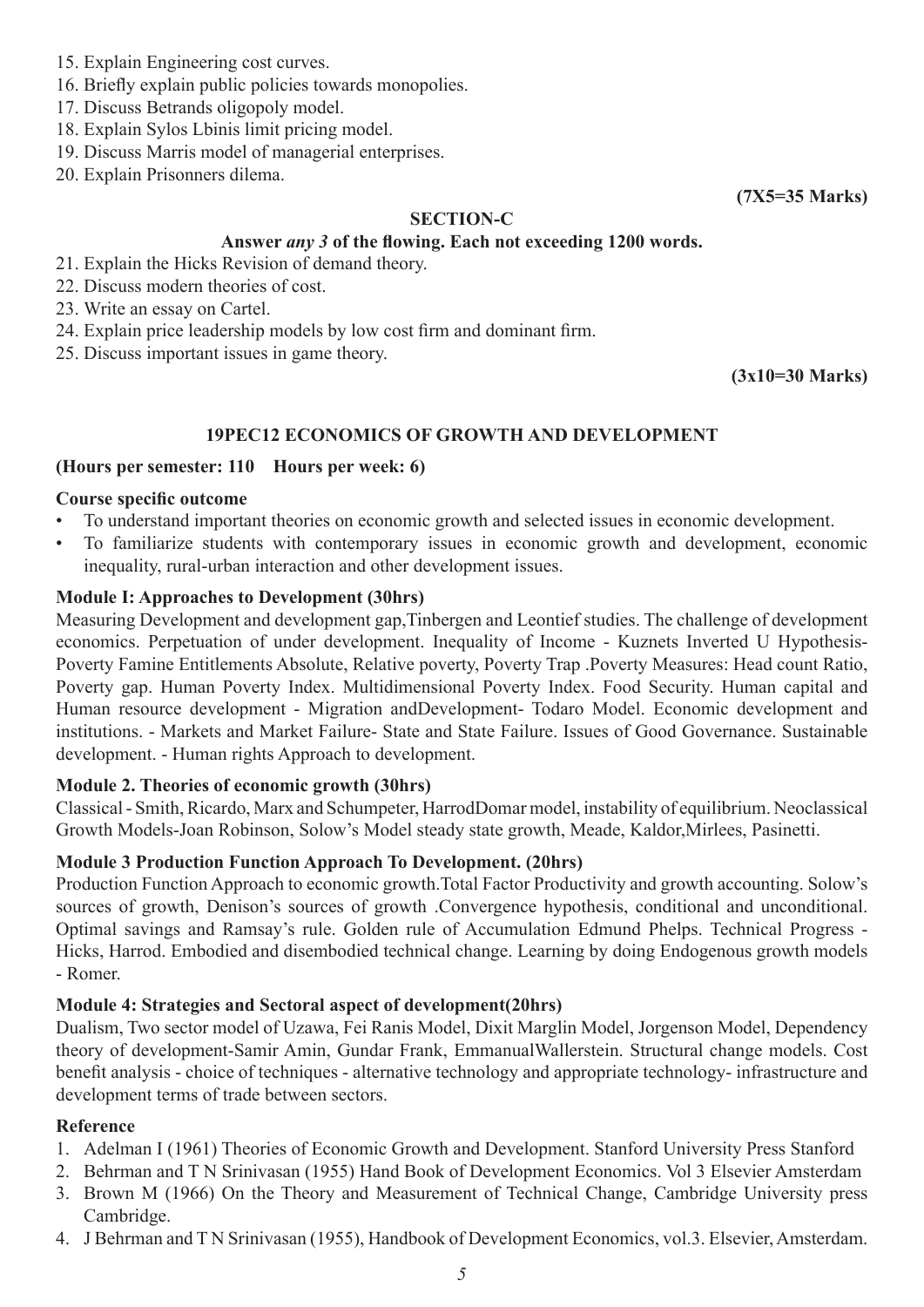- 15. Explain Engineering cost curves.
- 16. Briefly explain public policies towards monopolies.
- 17. Discuss Betrands oligopoly model.
- 18. Explain Sylos Lbinis limit pricing model.
- 19. Discuss Marris model of managerial enterprises.
- 20. Explain Prisonners dilema.

#### **SECTION-C**

**(7X5=35 Marks)**

#### **Answer** *any 3* **of the flowing. Each not exceeding 1200 words.**

- 21. Explain the Hicks Revision of demand theory.
- 22. Discuss modern theories of cost.
- 23. Write an essay on Cartel.
- 24. Explain price leadership models by low cost firm and dominant firm.
- 25. Discuss important issues in game theory.

**(3x10=30 Marks)**

#### **19PEC12 ECONOMICS OF GROWTH AND DEVELOPMENT**

#### **(Hours per semester: 110 Hours per week: 6)**

#### **Course specific outcome**

- To understand important theories on economic growth and selected issues in economic development.
- To familiarize students with contemporary issues in economic growth and development, economic inequality, rural-urban interaction and other development issues.

#### **Module I: Approaches to Development (30hrs)**

Measuring Development and development gap,Tinbergen and Leontief studies. The challenge of development economics. Perpetuation of under development. Inequality of Income - Kuznets Inverted U Hypothesis-Poverty Famine Entitlements Absolute, Relative poverty, Poverty Trap .Poverty Measures: Head count Ratio, Poverty gap. Human Poverty Index. Multidimensional Poverty Index. Food Security. Human capital and Human resource development - Migration andDevelopment- Todaro Model. Economic development and institutions. - Markets and Market Failure- State and State Failure. Issues of Good Governance. Sustainable development. - Human rights Approach to development.

#### **Module 2. Theories of economic growth (30hrs)**

Classical - Smith, Ricardo, Marx and Schumpeter, HarrodDomar model, instability of equilibrium. Neoclassical Growth Models-Joan Robinson, Solow's Model steady state growth, Meade, Kaldor,Mirlees, Pasinetti.

#### **Module 3 Production Function Approach To Development. (20hrs)**

Production Function Approach to economic growth.Total Factor Productivity and growth accounting. Solow's sources of growth, Denison's sources of growth .Convergence hypothesis, conditional and unconditional. Optimal savings and Ramsay's rule. Golden rule of Accumulation Edmund Phelps. Technical Progress - Hicks, Harrod. Embodied and disembodied technical change. Learning by doing Endogenous growth models - Romer.

#### **Module 4: Strategies and Sectoral aspect of development(20hrs)**

Dualism, Two sector model of Uzawa, Fei Ranis Model, Dixit Marglin Model, Jorgenson Model, Dependency theory of development-Samir Amin, Gundar Frank, EmmanualWallerstein. Structural change models. Cost benefit analysis - choice of techniques - alternative technology and appropriate technology- infrastructure and development terms of trade between sectors.

#### **Reference**

- 1. Adelman I (1961) Theories of Economic Growth and Development. Stanford University Press Stanford
- 2. Behrman and T N Srinivasan (1955) Hand Book of Development Economics. Vol 3 Elsevier Amsterdam
- 3. Brown M (1966) On the Theory and Measurement of Technical Change, Cambridge University press Cambridge.
- 4. J Behrman and T N Srinivasan (1955), Handbook of Development Economics, vol.3. Elsevier, Amsterdam.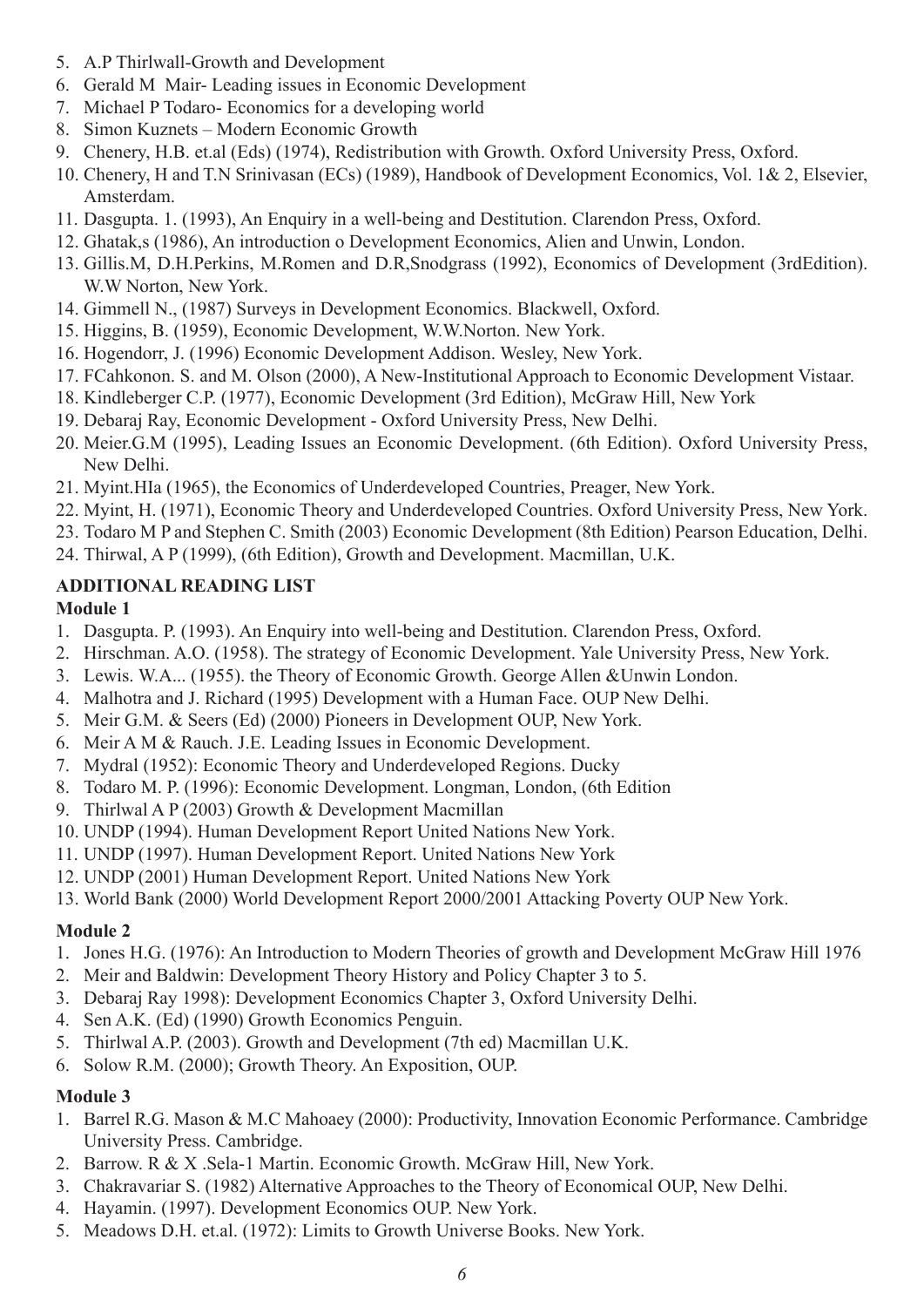- 5. A.P Thirlwall-Growth and Development
- 6. Gerald M Mair- Leading issues in Economic Development
- 7. Michael P Todaro- Economics for a developing world
- 8. Simon Kuznets Modern Economic Growth
- 9. Chenery, H.B. et.al (Eds) (1974), Redistribution with Growth. Oxford University Press, Oxford.
- 10. Chenery, H and T.N Srinivasan (ECs) (1989), Handbook of Development Economics, Vol. 1& 2, Elsevier, Amsterdam.
- 11. Dasgupta. 1. (1993), An Enquiry in a well-being and Destitution. Clarendon Press, Oxford.
- 12. Ghatak,s (1986), An introduction o Development Economics, Alien and Unwin, London.
- 13. Gillis.M, D.H.Perkins, M.Romen and D.R,Snodgrass (1992), Economics of Development (3rdEdition). W.W Norton, New York.
- 14. Gimmell N., (1987) Surveys in Development Economics. Blackwell, Oxford.
- 15. Higgins, B. (1959), Economic Development, W.W.Norton. New York.
- 16. Hogendorr, J. (1996) Economic Development Addison. Wesley, New York.
- 17. FCahkonon. S. and M. Olson (2000), A New-Institutional Approach to Economic Development Vistaar.
- 18. Kindleberger C.P. (1977), Economic Development (3rd Edition), McGraw Hill, New York
- 19. Debaraj Ray, Economic Development Oxford University Press, New Delhi.
- 20. Meier.G.M (1995), Leading Issues an Economic Development. (6th Edition). Oxford University Press, New Delhi.
- 21. Myint.HIa (1965), the Economics of Underdeveloped Countries, Preager, New York.
- 22. Myint, H. (1971), Economic Theory and Underdeveloped Countries. Oxford University Press, New York.
- 23. Todaro M P and Stephen C. Smith (2003) Economic Development (8th Edition) Pearson Education, Delhi.
- 24. Thirwal, A P (1999), (6th Edition), Growth and Development. Macmillan, U.K.

#### **ADDITIONAL READING LIST**

#### **Module 1**

- 1. Dasgupta. P. (1993). An Enquiry into well-being and Destitution. Clarendon Press, Oxford.
- 2. Hirschman. A.O. (1958). The strategy of Economic Development. Yale University Press, New York.
- 3. Lewis. W.A... (1955). the Theory of Economic Growth. George Allen &Unwin London.
- 4. Malhotra and J. Richard (1995) Development with a Human Face. OUP New Delhi.
- 5. Meir G.M. & Seers (Ed) (2000) Pioneers in Development OUP, New York.
- 6. Meir A M & Rauch. J.E. Leading Issues in Economic Development.
- 7. Mydral (1952): Economic Theory and Underdeveloped Regions. Ducky
- 8. Todaro M. P. (1996): Economic Development. Longman, London, (6th Edition
- 9. Thirlwal A P (2003) Growth & Development Macmillan
- 10. UNDP (1994). Human Development Report United Nations New York.
- 11. UNDP (1997). Human Development Report. United Nations New York
- 12. UNDP (2001) Human Development Report. United Nations New York
- 13. World Bank (2000) World Development Report 2000/2001 Attacking Poverty OUP New York.

#### **Module 2**

- 1. Jones H.G. (1976): An Introduction to Modern Theories of growth and Development McGraw Hill 1976
- 2. Meir and Baldwin: Development Theory History and Policy Chapter 3 to 5.
- 3. Debaraj Ray 1998): Development Economics Chapter 3, Oxford University Delhi.
- 4. Sen A.K. (Ed) (1990) Growth Economics Penguin.
- 5. Thirlwal A.P. (2003). Growth and Development (7th ed) Macmillan U.K.
- 6. Solow R.M. (2000); Growth Theory. An Exposition, OUP.

#### **Module 3**

- 1. Barrel R.G. Mason & M.C Mahoaey (2000): Productivity, Innovation Economic Performance. Cambridge University Press. Cambridge.
- 2. Barrow. R & X .Sela-1 Martin. Economic Growth. McGraw Hill, New York.
- 3. Chakravariar S. (1982) Alternative Approaches to the Theory of Economical OUP, New Delhi.
- 4. Hayamin. (1997). Development Economics OUP. New York.
- 5. Meadows D.H. et.al. (1972): Limits to Growth Universe Books. New York.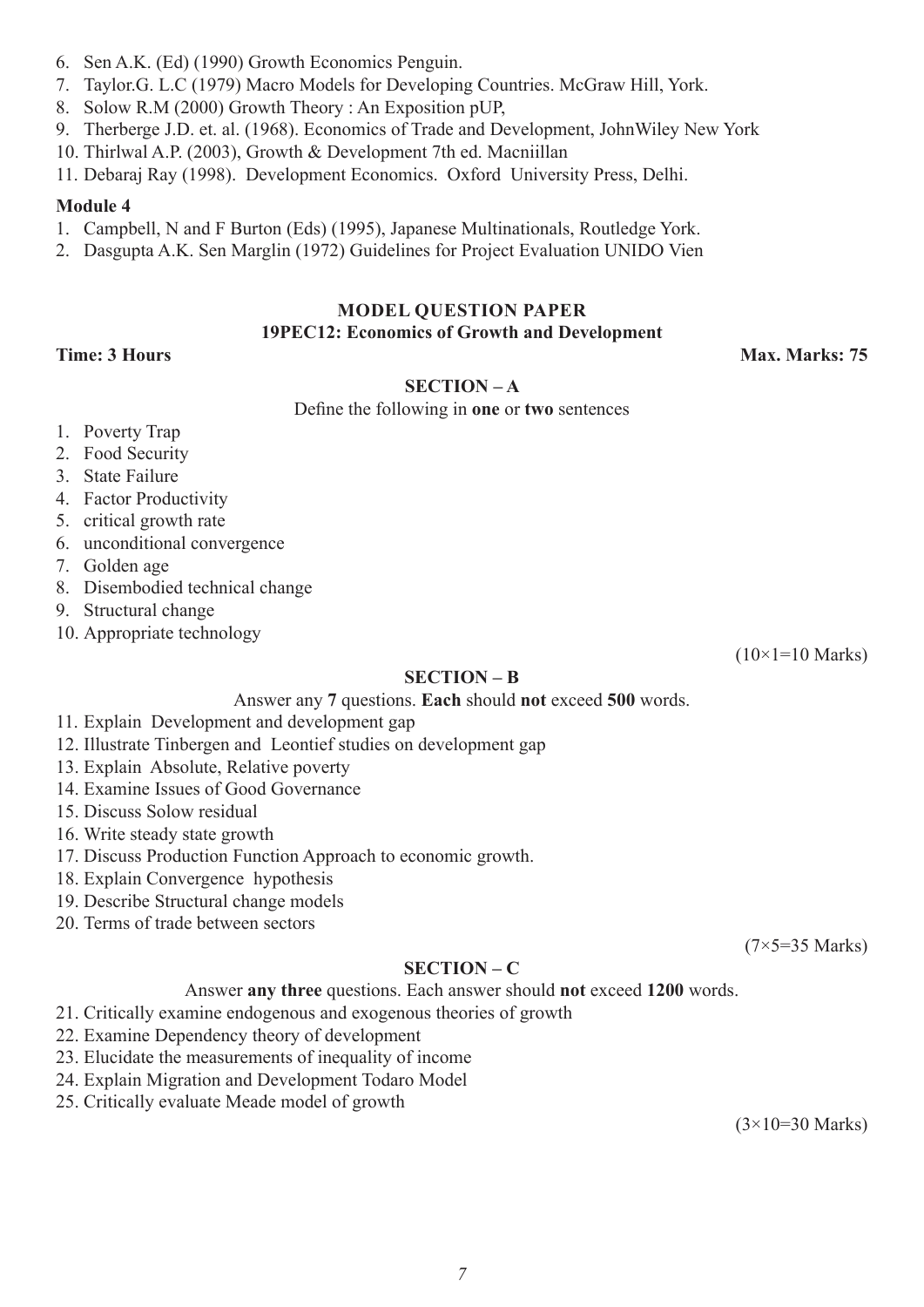- 6. Sen A.K. (Ed) (1990) Growth Economics Penguin.
- 7. Taylor.G. L.C (1979) Macro Models for Developing Countries. McGraw Hill, York.
- 8. Solow R.M (2000) Growth Theory : An Exposition pUP,
- 9. Therberge J.D. et. al. (1968). Economics of Trade and Development, JohnWiley New York
- 10. Thirlwal A.P. (2003), Growth & Development 7th ed. Macniillan
- 11. Debaraj Ray (1998). Development Economics. Oxford University Press, Delhi.

### **Module 4**

- 1. Campbell, N and F Burton (Eds) (1995), Japanese Multinationals, Routledge York.
- 2. Dasgupta A.K. Sen Marglin (1972) Guidelines for Project Evaluation UNIDO Vien

#### **MODEL QUESTION PAPER 19PEC12: Economics of Growth and Development**

**Time: 3 Hours Max. Marks: 75**

 $(10\times1=10$  Marks)

#### **SECTION – A**

Define the following in **one** or **two** sentences

- 1. Poverty Trap
- 2. Food Security
- 3. State Failure
- 4. Factor Productivity
- 5. critical growth rate
- 6. unconditional convergence
- 7. Golden age
- 8. Disembodied technical change
- 9. Structural change
- 10. Appropriate technology

#### **SECTION – B**

Answer any **7** questions. **Each** should **not** exceed **500** words.

- 11. Explain Development and development gap
- 12. Illustrate Tinbergen and Leontief studies on development gap
- 13. Explain Absolute, Relative poverty
- 14. Examine Issues of Good Governance
- 15. Discuss Solow residual
- 16. Write steady state growth
- 17. Discuss Production Function Approach to economic growth.
- 18. Explain Convergence hypothesis
- 19. Describe Structural change models
- 20. Terms of trade between sectors

(7×5=35 Marks)

#### **SECTION – C**

Answer **any three** questions. Each answer should **not** exceed **1200** words.

- 21. Critically examine endogenous and exogenous theories of growth
- 22. Examine Dependency theory of development
- 23. Elucidate the measurements of inequality of income
- 24. Explain Migration and Development Todaro Model
- 25. Critically evaluate Meade model of growth

 $(3\times10=30 \text{ Marks})$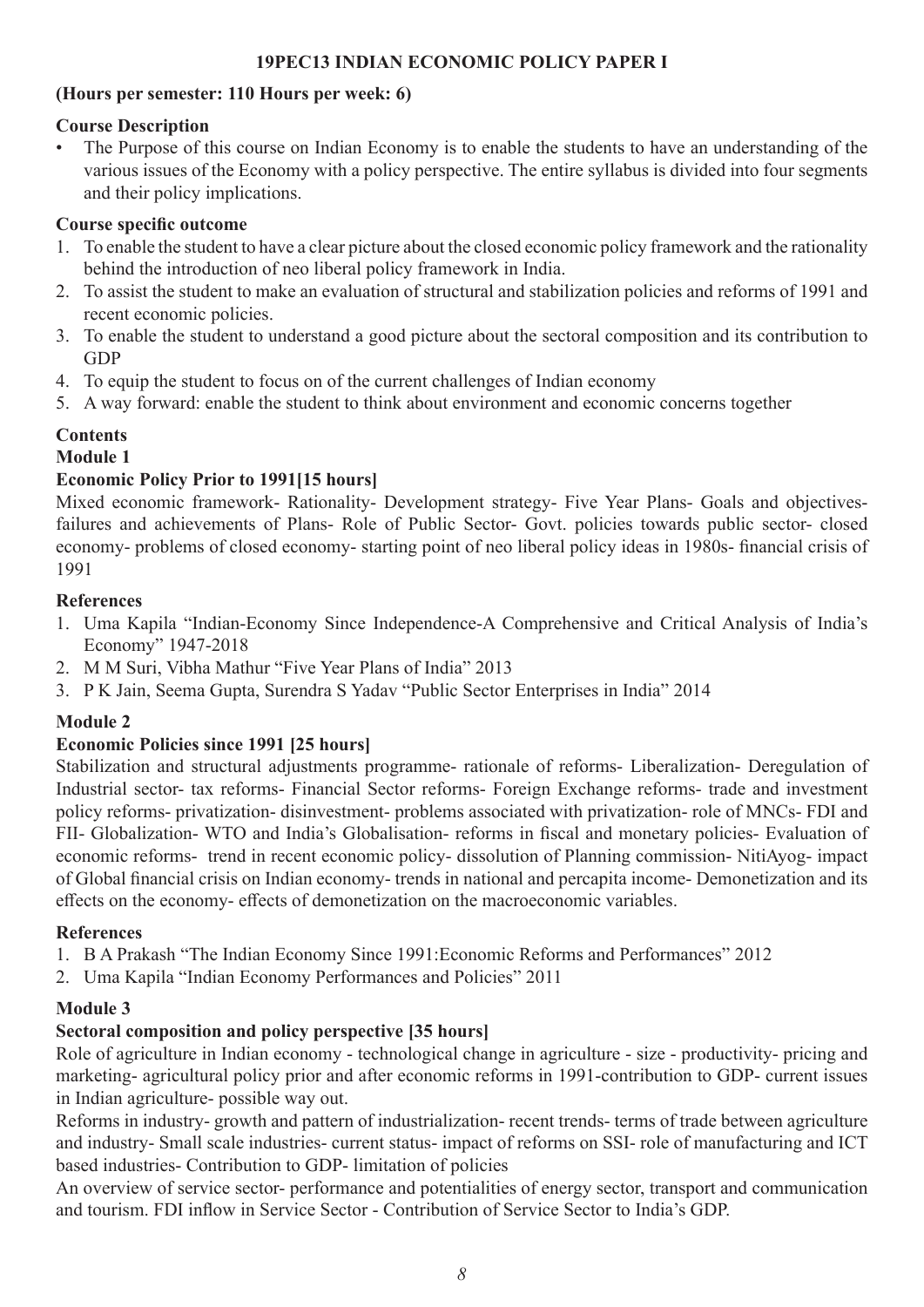#### **19PEC13 INDIAN ECONOMIC POLICY PAPER I**

#### **(Hours per semester: 110 Hours per week: 6)**

#### **Course Description**

The Purpose of this course on Indian Economy is to enable the students to have an understanding of the various issues of the Economy with a policy perspective. The entire syllabus is divided into four segments and their policy implications.

#### **Course specific outcome**

- 1. To enable the student to have a clear picture about the closed economic policy framework and the rationality behind the introduction of neo liberal policy framework in India.
- 2. To assist the student to make an evaluation of structural and stabilization policies and reforms of 1991 and recent economic policies.
- 3. To enable the student to understand a good picture about the sectoral composition and its contribution to GDP
- 4. To equip the student to focus on of the current challenges of Indian economy
- 5. A way forward: enable the student to think about environment and economic concerns together

### **Contents**

#### **Module 1**

#### **Economic Policy Prior to 1991[15 hours]**

Mixed economic framework- Rationality- Development strategy- Five Year Plans- Goals and objectivesfailures and achievements of Plans- Role of Public Sector- Govt. policies towards public sector- closed economy- problems of closed economy- starting point of neo liberal policy ideas in 1980s- financial crisis of 1991

#### **References**

- 1. Uma Kapila "Indian-Economy Since Independence-A Comprehensive and Critical Analysis of India's Economy" 1947-2018
- 2. M M Suri, Vibha Mathur "Five Year Plans of India" 2013
- 3. P K Jain, Seema Gupta, Surendra S Yadav "Public Sector Enterprises in India" 2014

#### **Module 2**

#### **Economic Policies since 1991 [25 hours]**

Stabilization and structural adjustments programme- rationale of reforms- Liberalization- Deregulation of Industrial sector- tax reforms- Financial Sector reforms- Foreign Exchange reforms- trade and investment policy reforms- privatization- disinvestment- problems associated with privatization- role of MNCs- FDI and FII- Globalization- WTO and India's Globalisation- reforms in fiscal and monetary policies- Evaluation of economic reforms- trend in recent economic policy- dissolution of Planning commission- NitiAyog- impact of Global financial crisis on Indian economy- trends in national and percapita income- Demonetization and its effects on the economy- effects of demonetization on the macroeconomic variables.

#### **References**

1. B A Prakash "The Indian Economy Since 1991:Economic Reforms and Performances" 2012

2. Uma Kapila "Indian Economy Performances and Policies" 2011

#### **Module 3**

#### **Sectoral composition and policy perspective [35 hours]**

Role of agriculture in Indian economy - technological change in agriculture - size - productivity- pricing and marketing- agricultural policy prior and after economic reforms in 1991-contribution to GDP- current issues in Indian agriculture- possible way out.

Reforms in industry- growth and pattern of industrialization- recent trends- terms of trade between agriculture and industry- Small scale industries- current status- impact of reforms on SSI- role of manufacturing and ICT based industries- Contribution to GDP- limitation of policies

An overview of service sector- performance and potentialities of energy sector, transport and communication and tourism. FDI inflow in Service Sector - Contribution of Service Sector to India's GDP.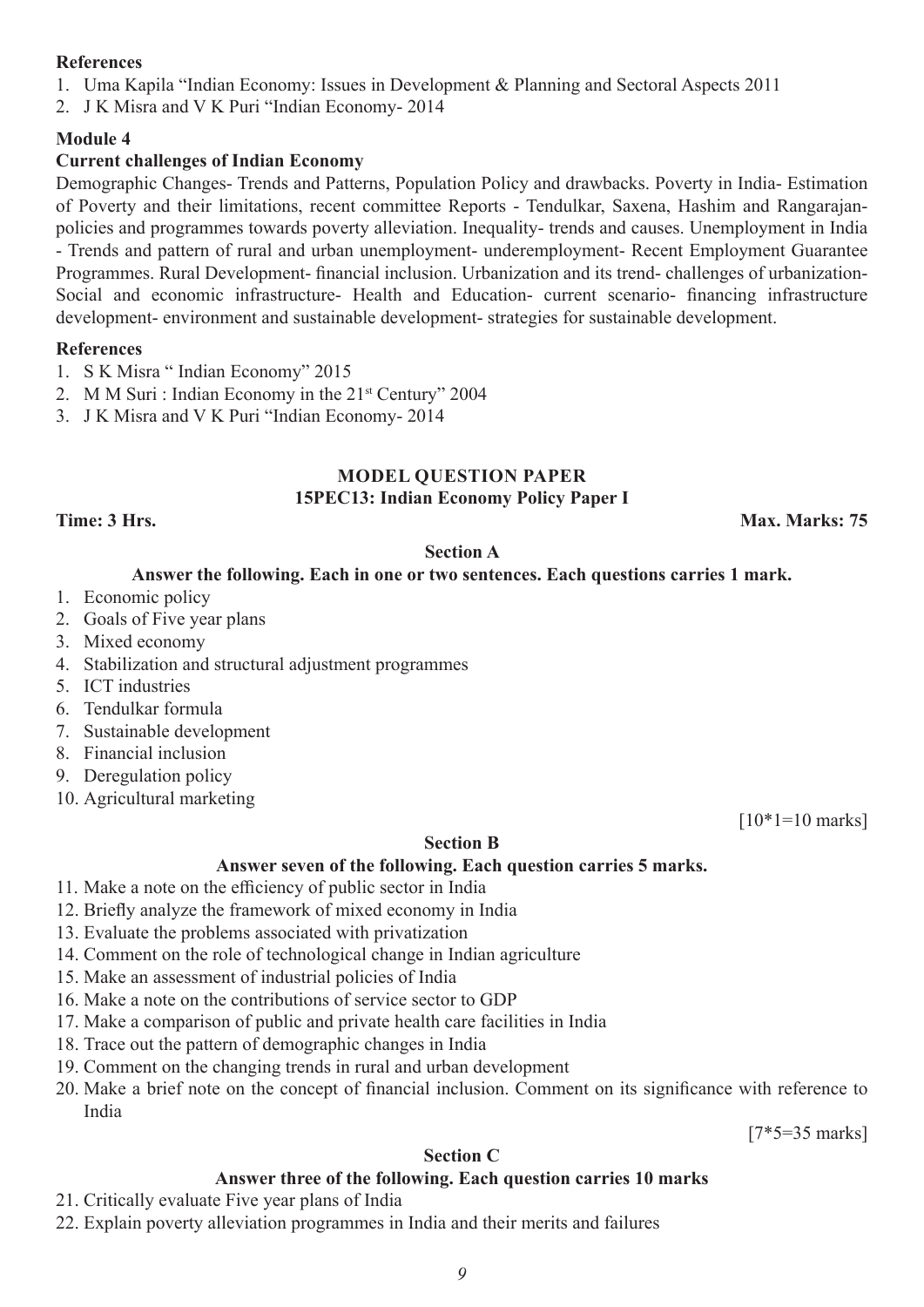#### **References**

1. Uma Kapila "Indian Economy: Issues in Development & Planning and Sectoral Aspects 2011

2. J K Misra and V K Puri "Indian Economy- 2014

#### **Module 4**

#### **Current challenges of Indian Economy**

Demographic Changes- Trends and Patterns, Population Policy and drawbacks. Poverty in India- Estimation of Poverty and their limitations, recent committee Reports - Tendulkar, Saxena, Hashim and Rangarajanpolicies and programmes towards poverty alleviation. Inequality- trends and causes. Unemployment in India - Trends and pattern of rural and urban unemployment- underemployment- Recent Employment Guarantee Programmes. Rural Development- financial inclusion. Urbanization and its trend- challenges of urbanization-Social and economic infrastructure- Health and Education- current scenario- financing infrastructure development- environment and sustainable development- strategies for sustainable development.

#### **References**

- 1. S K Misra " Indian Economy" 2015
- 2. M M Suri : Indian Economy in the 21<sup>st</sup> Century" 2004
- 3. J K Misra and V K Puri "Indian Economy- 2014

#### **MODEL QUESTION PAPER 15PEC13: Indian Economy Policy Paper I**

**Time: 3 Hrs. Max. Marks: 75**

#### **Section A**

#### **Answer the following. Each in one or two sentences. Each questions carries 1 mark.**

- 1. Economic policy
- 2. Goals of Five year plans
- 3. Mixed economy
- 4. Stabilization and structural adjustment programmes
- 5. ICT industries
- 6. Tendulkar formula
- 7. Sustainable development
- 8. Financial inclusion
- 9. Deregulation policy
- 10. Agricultural marketing

 $[10*1=10 \text{ marks}]$ 

#### **Section B**

#### **Answer seven of the following. Each question carries 5 marks.**

- 11. Make a note on the efficiency of public sector in India
- 12. Briefly analyze the framework of mixed economy in India
- 13. Evaluate the problems associated with privatization
- 14. Comment on the role of technological change in Indian agriculture
- 15. Make an assessment of industrial policies of India
- 16. Make a note on the contributions of service sector to GDP
- 17. Make a comparison of public and private health care facilities in India
- 18. Trace out the pattern of demographic changes in India
- 19. Comment on the changing trends in rural and urban development
- 20. Make a brief note on the concept of financial inclusion. Comment on its significance with reference to India

[7\*5=35 marks]

#### **Section C**

#### **Answer three of the following. Each question carries 10 marks**

- 21. Critically evaluate Five year plans of India
- 22. Explain poverty alleviation programmes in India and their merits and failures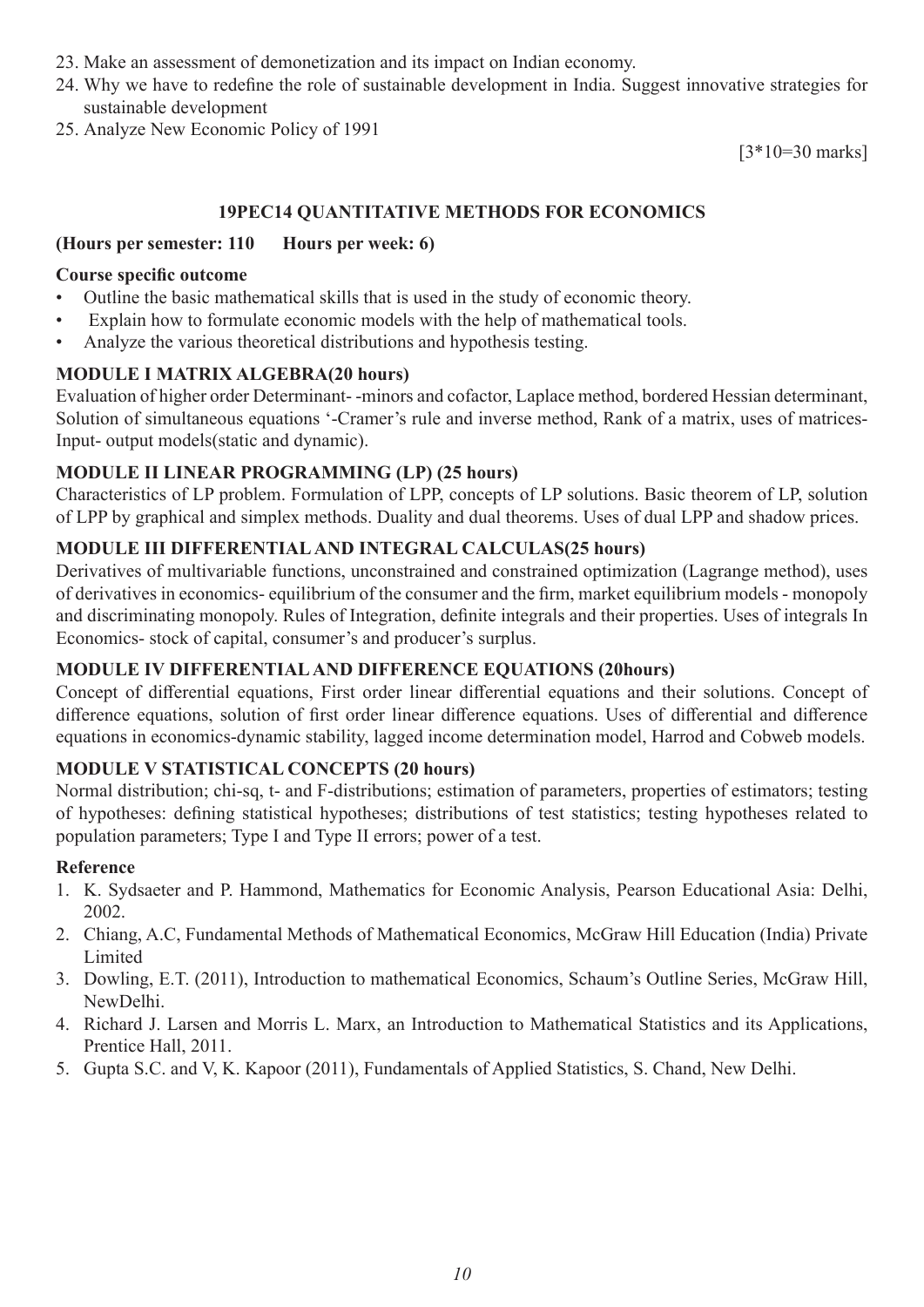- 23. Make an assessment of demonetization and its impact on Indian economy.
- 24. Why we have to redefine the role of sustainable development in India. Suggest innovative strategies for sustainable development
- 25. Analyze New Economic Policy of 1991

[3\*10=30 marks]

#### **19PEC14 QUANTITATIVE METHODS FOR ECONOMICS**

#### **(Hours per semester: 110 Hours per week: 6)**

#### **Course specific outcome**

- Outline the basic mathematical skills that is used in the study of economic theory.
- Explain how to formulate economic models with the help of mathematical tools.
- Analyze the various theoretical distributions and hypothesis testing.

#### **MODULE I MATRIX ALGEBRA(20 hours)**

Evaluation of higher order Determinant- -minors and cofactor, Laplace method, bordered Hessian determinant, Solution of simultaneous equations '-Cramer's rule and inverse method, Rank of a matrix, uses of matrices-Input- output models(static and dynamic).

#### **MODULE II LINEAR PROGRAMMING (LP) (25 hours)**

Characteristics of LP problem. Formulation of LPP, concepts of LP solutions. Basic theorem of LP, solution of LPP by graphical and simplex methods. Duality and dual theorems. Uses of dual LPP and shadow prices.

#### **MODULE III DIFFERENTIAL AND INTEGRAL CALCULAS(25 hours)**

Derivatives of multivariable functions, unconstrained and constrained optimization (Lagrange method), uses of derivatives in economics- equilibrium of the consumer and the firm, market equilibrium models - monopoly and discriminating monopoly. Rules of Integration, definite integrals and their properties. Uses of integrals In Economics- stock of capital, consumer's and producer's surplus.

#### **MODULE IV DIFFERENTIAL AND DIFFERENCE EQUATIONS (20hours)**

Concept of differential equations, First order linear differential equations and their solutions. Concept of difference equations, solution of first order linear difference equations. Uses of differential and difference equations in economics-dynamic stability, lagged income determination model, Harrod and Cobweb models.

#### **MODULE V STATISTICAL CONCEPTS (20 hours)**

Normal distribution; chi-sq, t- and F-distributions; estimation of parameters, properties of estimators; testing of hypotheses: defining statistical hypotheses; distributions of test statistics; testing hypotheses related to population parameters; Type I and Type II errors; power of a test.

#### **Reference**

- 1. K. Sydsaeter and P. Hammond, Mathematics for Economic Analysis, Pearson Educational Asia: Delhi, 2002.
- 2. Chiang, A.C, Fundamental Methods of Mathematical Economics, McGraw Hill Education (India) Private Limited
- 3. Dowling, E.T. (2011), Introduction to mathematical Economics, Schaum's Outline Series, McGraw Hill, NewDelhi.
- 4. Richard J. Larsen and Morris L. Marx, an Introduction to Mathematical Statistics and its Applications, Prentice Hall, 2011.
- 5. Gupta S.C. and V, K. Kapoor (2011), Fundamentals of Applied Statistics, S. Chand, New Delhi.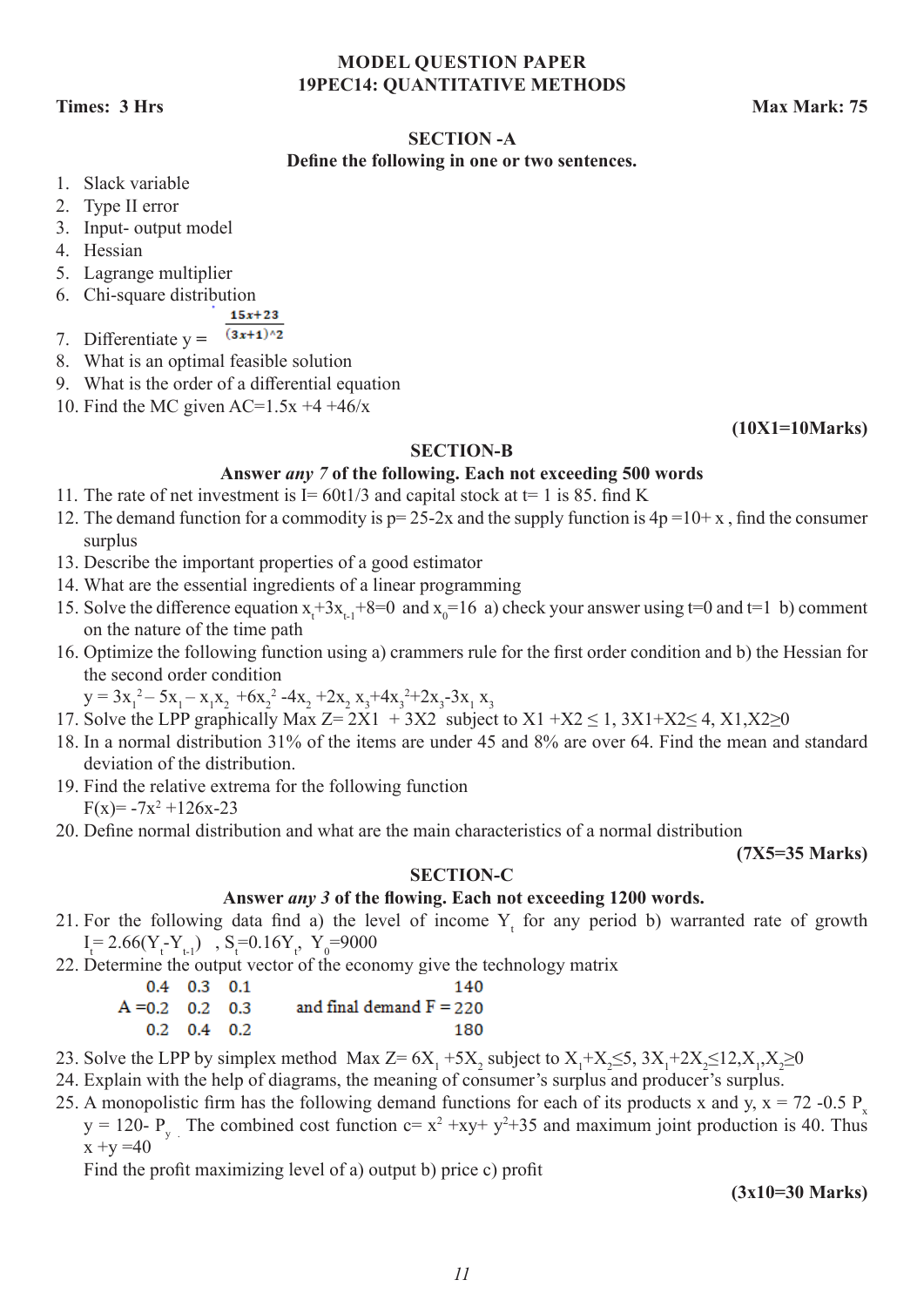#### **MODEL QUESTION PAPER 19PEC14: QUANTITATIVE METHODS**

**Times: 3 Hrs Max Mark: 75 Max Mark: 75 Max Mark: 76 Max Mark: 75** 

#### **SECTION -A**

#### **Define the following in one or two sentences.**

- 1. Slack variable
- 2. Type II error
- 3. Input- output model
- 4. Hessian
- 5. Lagrange multiplier
- 6. Chi-square distribution
- $15x + 23$
- $(3x+1)^{2}$ 7. Differentiate y **=**
- 8. What is an optimal feasible solution
- 9. What is the order of a differential equation
- 10. Find the MC given  $AC=1.5x +4 +46/x$

**(10X1=10Marks)**

#### **SECTION-B**

#### **Answer** *any 7* **of the following. Each not exceeding 500 words**

- 11. The rate of net investment is  $I = 60t/3$  and capital stock at  $t = 1$  is 85. find K
- 12. The demand function for a commodity is  $p=25-2x$  and the supply function is  $4p=10+x$ , find the consumer surplus
- 13. Describe the important properties of a good estimator
- 14. What are the essential ingredients of a linear programming
- 15. Solve the difference equation  $x_t + 3x_{t-1} + 8 = 0$  and  $x_0 = 16$  a) check your answer using  $t=0$  and  $t=1$  b) comment on the nature of the time path
- 16. Optimize the following function using a) crammers rule for the first order condition and b) the Hessian for the second order condition
	- $y = 3x_1^2 5x_1 x_1x_2 + 6x_2^2 4x_2 + 2x_2x_3 + 4x_3^2 + 2x_3 3x_1x_3$
- 17. Solve the LPP graphically Max  $Z=2X1 + 3X2$  subject to  $X1 + X2 \le 1$ ,  $3X1+X2 \le 4$ ,  $X1, X2 \ge 0$
- 18. In a normal distribution 31% of the items are under 45 and 8% are over 64. Find the mean and standard deviation of the distribution.
- 19. Find the relative extrema for the following function  $F(x) = -7x^2 + 126x - 23$
- 20. Define normal distribution and what are the main characteristics of a normal distribution

**(7X5=35 Marks)**

#### **SECTION-C**

#### **Answer** *any 3* **of the flowing. Each not exceeding 1200 words.**

- 21. For the following data find a) the level of income  $Y_t$  for any period b) warranted rate of growth  $I_t = 2.66(Y_t - Y_{t-1})$ ,  $S_t = 0.16Y_t$ ,  $Y_0 = 9000$
- 22. Determine the output vector of the economy give the technology matrix

|                   | $0.4$ 0.3 0.1             | 140                        |
|-------------------|---------------------------|----------------------------|
| $A = 0.2$ 0.2 0.3 |                           | and final demand $F = 220$ |
|                   | $0.2 \quad 0.4 \quad 0.2$ | 180                        |

- 23. Solve the LPP by simplex method Max  $Z = 6X_1 + 5X_2$  subject to  $X_1 + X_2 \le 5$ ,  $3X_1 + 2X_2 \le 12$ ,  $X_1, X_2 \ge 0$
- 24. Explain with the help of diagrams, the meaning of consumer's surplus and producer's surplus.
- 25. A monopolistic firm has the following demand functions for each of its products x and y,  $x = 72 0.5$  P y = 120- P<sub>y</sub>. The combined cost function c=  $x^2 + xy + y^2 + 35$  and maximum joint production is 40. Thus  $x +y = 40$

Find the profit maximizing level of a) output b) price c) profit

**(3x10=30 Marks)**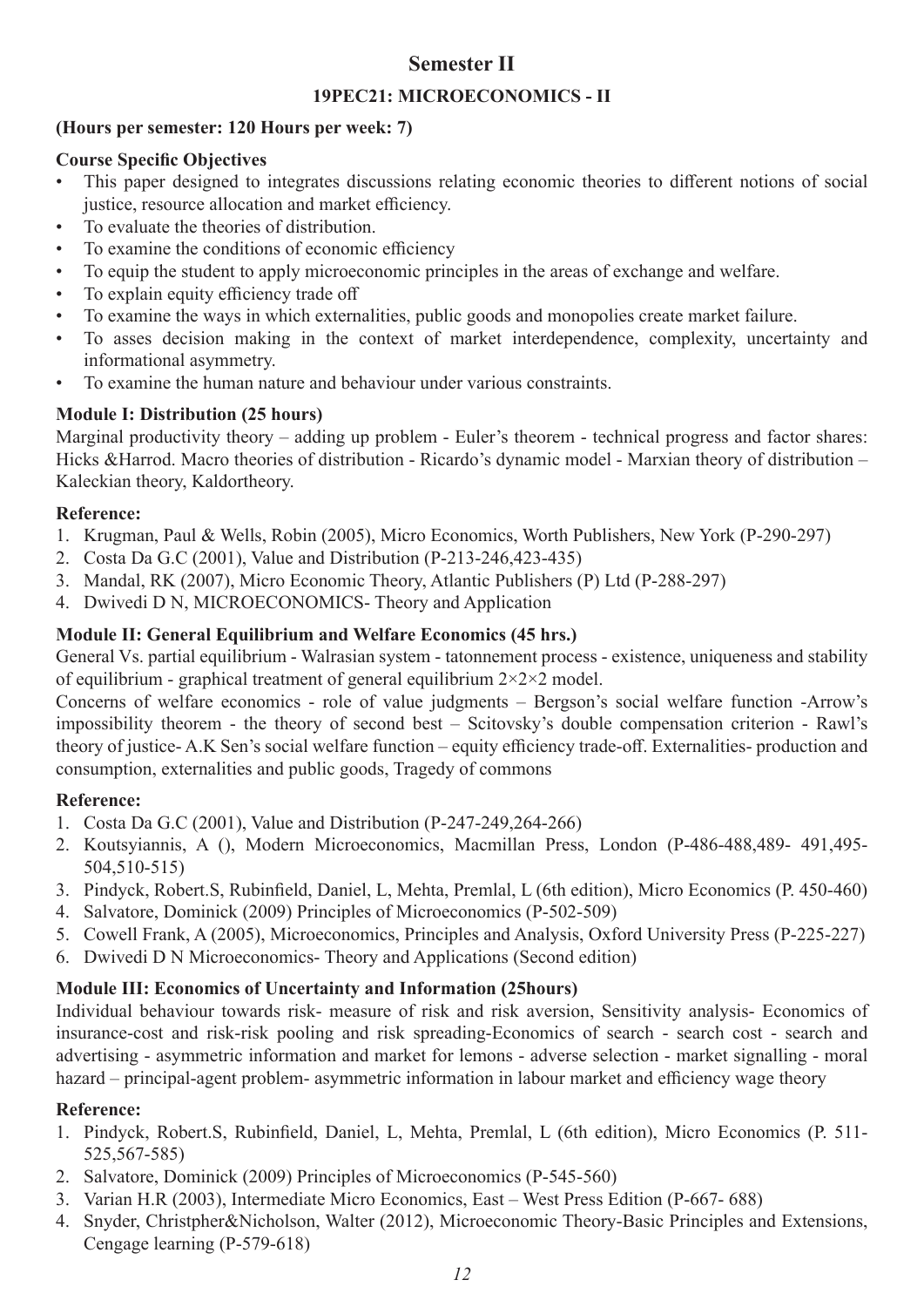### **Semester II**

#### **19PEC21: MICROECONOMICS - II**

#### **(Hours per semester: 120 Hours per week: 7)**

#### **Course Specific Objectives**

- This paper designed to integrates discussions relating economic theories to different notions of social justice, resource allocation and market efficiency.
- To evaluate the theories of distribution.
- To examine the conditions of economic efficiency
- To equip the student to apply microeconomic principles in the areas of exchange and welfare.
- To explain equity efficiency trade off
- To examine the ways in which externalities, public goods and monopolies create market failure.
- To asses decision making in the context of market interdependence, complexity, uncertainty and informational asymmetry.
- To examine the human nature and behaviour under various constraints.

### **Module I: Distribution (25 hours)**

Marginal productivity theory – adding up problem - Euler's theorem - technical progress and factor shares: Hicks &Harrod. Macro theories of distribution - Ricardo's dynamic model - Marxian theory of distribution – Kaleckian theory, Kaldortheory.

#### **Reference:**

- 1. Krugman, Paul & Wells, Robin (2005), Micro Economics, Worth Publishers, New York (P-290-297)
- 2. Costa Da G.C (2001), Value and Distribution (P-213-246,423-435)
- 3. Mandal, RK (2007), Micro Economic Theory, Atlantic Publishers (P) Ltd (P-288-297)
- 4. Dwivedi D N, MICROECONOMICS- Theory and Application

#### **Module II: General Equilibrium and Welfare Economics (45 hrs.)**

General Vs. partial equilibrium - Walrasian system - tatonnement process - existence, uniqueness and stability of equilibrium - graphical treatment of general equilibrium  $2 \times 2 \times 2$  model.

Concerns of welfare economics - role of value judgments – Bergson's social welfare function -Arrow's impossibility theorem - the theory of second best – Scitovsky's double compensation criterion - Rawl's theory of justice- A.K Sen's social welfare function – equity efficiency trade-off. Externalities- production and consumption, externalities and public goods, Tragedy of commons

#### **Reference:**

- 1. Costa Da G.C (2001), Value and Distribution (P-247-249,264-266)
- 2. Koutsyiannis, A (), Modern Microeconomics, Macmillan Press, London (P-486-488,489- 491,495- 504,510-515)
- 3. Pindyck, Robert.S, Rubinfield, Daniel, L, Mehta, Premlal, L (6th edition), Micro Economics (P. 450-460)
- 4. Salvatore, Dominick (2009) Principles of Microeconomics (P-502-509)
- 5. Cowell Frank, A (2005), Microeconomics, Principles and Analysis, Oxford University Press (P-225-227)
- 6. Dwivedi D N Microeconomics- Theory and Applications (Second edition)

### **Module III: Economics of Uncertainty and Information (25hours)**

Individual behaviour towards risk- measure of risk and risk aversion, Sensitivity analysis- Economics of insurance-cost and risk-risk pooling and risk spreading-Economics of search - search cost - search and advertising - asymmetric information and market for lemons - adverse selection - market signalling - moral hazard – principal-agent problem- asymmetric information in labour market and efficiency wage theory

#### **Reference:**

- 1. Pindyck, Robert.S, Rubinfield, Daniel, L, Mehta, Premlal, L (6th edition), Micro Economics (P. 511- 525,567-585)
- 2. Salvatore, Dominick (2009) Principles of Microeconomics (P-545-560)
- 3. Varian H.R (2003), Intermediate Micro Economics, East West Press Edition (P-667- 688)
- 4. Snyder, Christpher&Nicholson, Walter (2012), Microeconomic Theory-Basic Principles and Extensions, Cengage learning (P-579-618)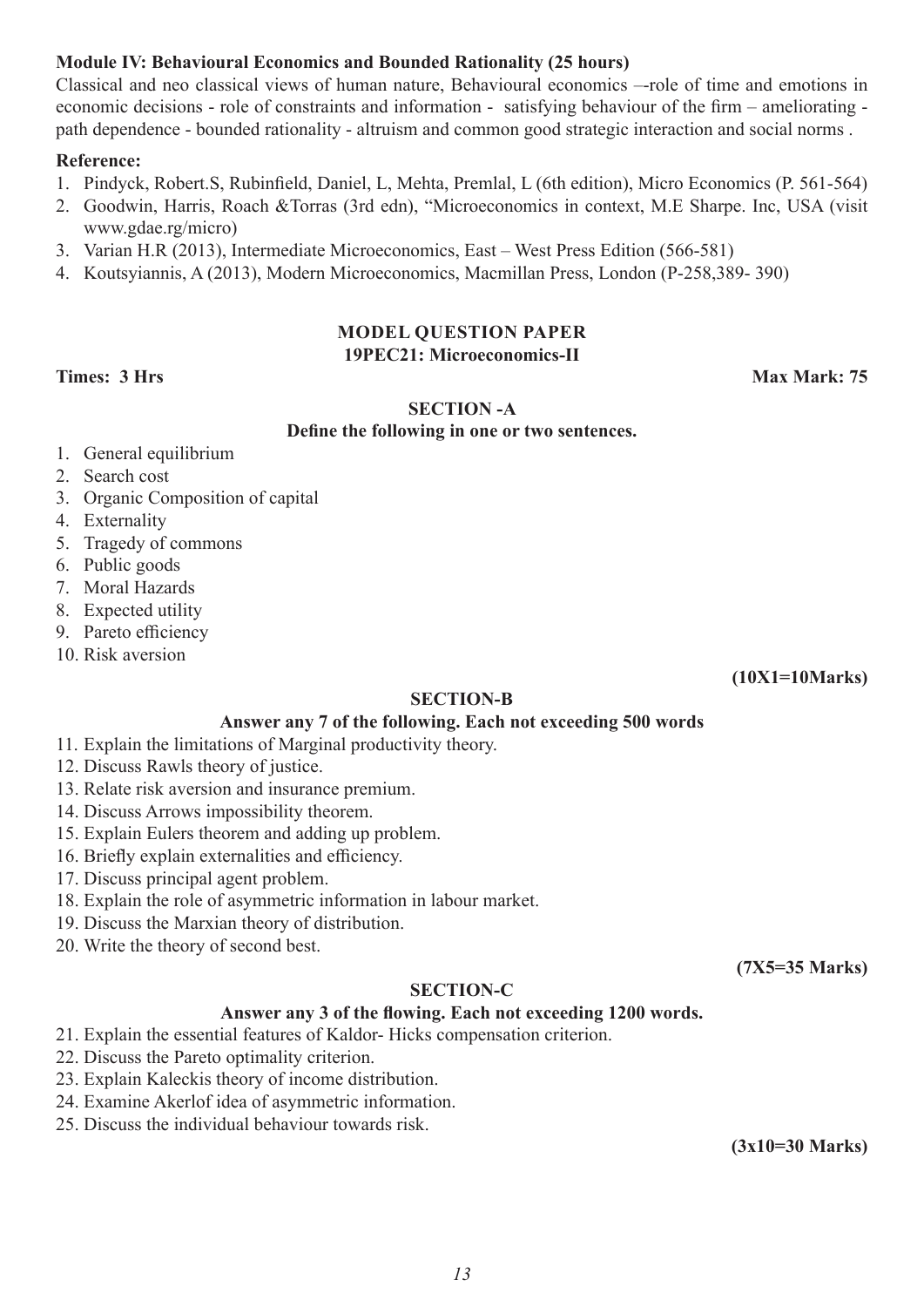#### **Module IV: Behavioural Economics and Bounded Rationality (25 hours)**

Classical and neo classical views of human nature, Behavioural economics –-role of time and emotions in economic decisions - role of constraints and information - satisfying behaviour of the firm – ameliorating path dependence - bounded rationality - altruism and common good strategic interaction and social norms .

#### **Reference:**

- 1. Pindyck, Robert.S, Rubinfield, Daniel, L, Mehta, Premlal, L (6th edition), Micro Economics (P. 561-564)
- 2. Goodwin, Harris, Roach &Torras (3rd edn), "Microeconomics in context, M.E Sharpe. Inc, USA (visit www.gdae.rg/micro)
- 3. Varian H.R (2013), Intermediate Microeconomics, East West Press Edition (566-581)
- 4. Koutsyiannis, A (2013), Modern Microeconomics, Macmillan Press, London (P-258,389- 390)

#### **MODEL QUESTION PAPER 19PEC21: Microeconomics-II**

#### **Times: 3 Hrs Max Mark: 75**

#### **SECTION -A**

#### **Define the following in one or two sentences.**

- 1. General equilibrium
- 2. Search cost
- 3. Organic Composition of capital
- 4. Externality
- 5. Tragedy of commons
- 6. Public goods
- 7. Moral Hazards
- 8. Expected utility
- 9. Pareto efficiency
- 10. Risk aversion

**(10X1=10Marks)**

#### **SECTION-B**

#### **Answer any 7 of the following. Each not exceeding 500 words**

- 11. Explain the limitations of Marginal productivity theory.
- 12. Discuss Rawls theory of justice.
- 13. Relate risk aversion and insurance premium.
- 14. Discuss Arrows impossibility theorem.
- 15. Explain Eulers theorem and adding up problem.
- 16. Briefly explain externalities and efficiency.
- 17. Discuss principal agent problem.
- 18. Explain the role of asymmetric information in labour market.
- 19. Discuss the Marxian theory of distribution.
- 20. Write the theory of second best.

#### **SECTION-C**

#### **Answer any 3 of the flowing. Each not exceeding 1200 words.**

- 21. Explain the essential features of Kaldor- Hicks compensation criterion.
- 22. Discuss the Pareto optimality criterion.
- 23. Explain Kaleckis theory of income distribution.
- 24. Examine Akerlof idea of asymmetric information.
- 25. Discuss the individual behaviour towards risk.

**(3x10=30 Marks)**

**(7X5=35 Marks)**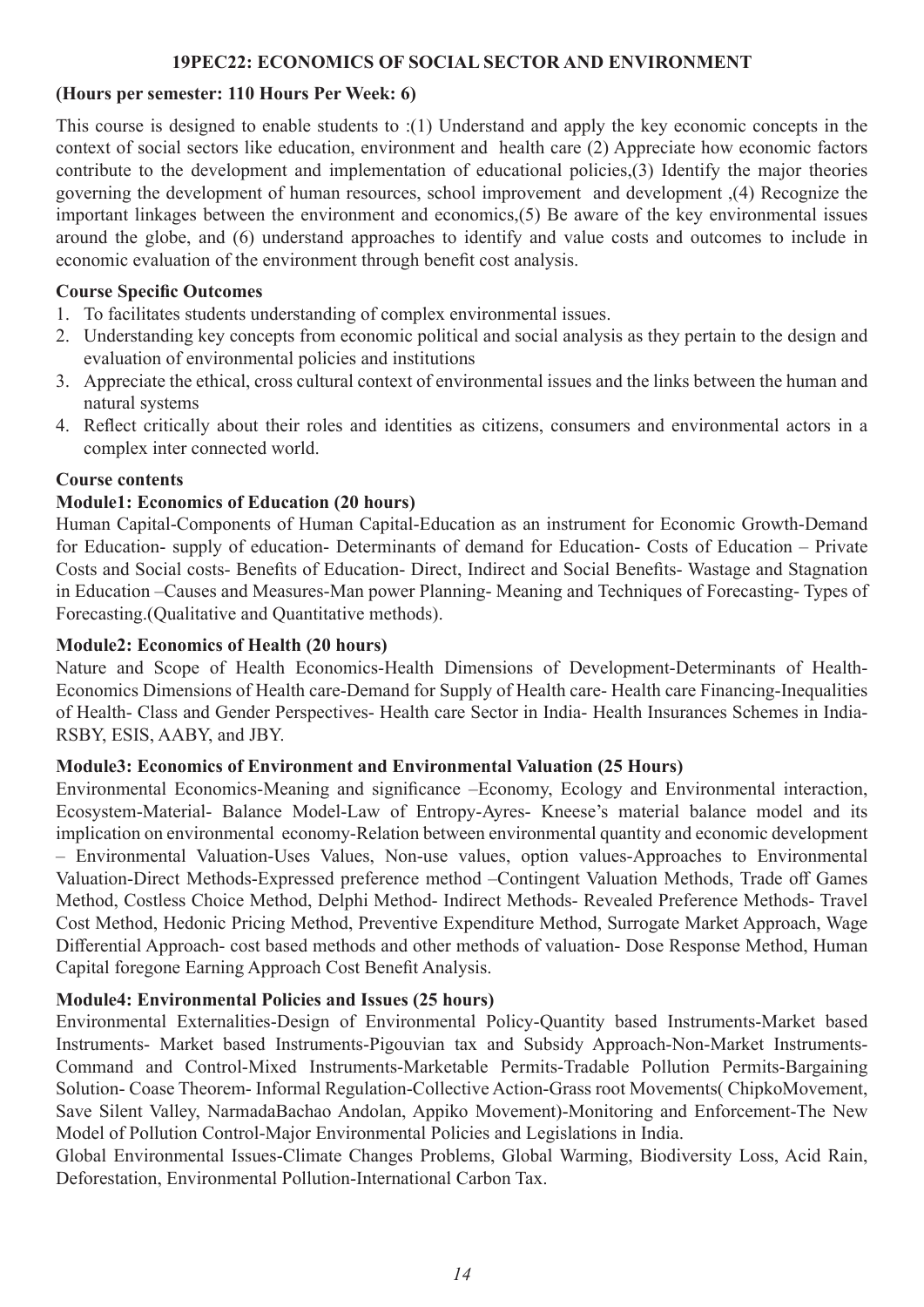#### **19PEC22: ECONOMICS OF SOCIAL SECTOR AND ENVIRONMENT**

#### **(Hours per semester: 110 Hours Per Week: 6)**

This course is designed to enable students to :(1) Understand and apply the key economic concepts in the context of social sectors like education, environment and health care (2) Appreciate how economic factors contribute to the development and implementation of educational policies,(3) Identify the major theories governing the development of human resources, school improvement and development ,(4) Recognize the important linkages between the environment and economics,(5) Be aware of the key environmental issues around the globe, and (6) understand approaches to identify and value costs and outcomes to include in economic evaluation of the environment through benefit cost analysis.

#### **Course Specific Outcomes**

- 1. To facilitates students understanding of complex environmental issues.
- 2. Understanding key concepts from economic political and social analysis as they pertain to the design and evaluation of environmental policies and institutions
- 3. Appreciate the ethical, cross cultural context of environmental issues and the links between the human and natural systems
- 4. Reflect critically about their roles and identities as citizens, consumers and environmental actors in a complex inter connected world.

#### **Course contents**

#### **Module1: Economics of Education (20 hours)**

Human Capital-Components of Human Capital-Education as an instrument for Economic Growth-Demand for Education- supply of education- Determinants of demand for Education- Costs of Education – Private Costs and Social costs- Benefits of Education- Direct, Indirect and Social Benefits- Wastage and Stagnation in Education –Causes and Measures-Man power Planning- Meaning and Techniques of Forecasting- Types of Forecasting.(Qualitative and Quantitative methods).

#### **Module2: Economics of Health (20 hours)**

Nature and Scope of Health Economics-Health Dimensions of Development-Determinants of Health-Economics Dimensions of Health care-Demand for Supply of Health care- Health care Financing-Inequalities of Health- Class and Gender Perspectives- Health care Sector in India- Health Insurances Schemes in India-RSBY, ESIS, AABY, and JBY.

#### **Module3: Economics of Environment and Environmental Valuation (25 Hours)**

Environmental Economics-Meaning and significance –Economy, Ecology and Environmental interaction, Ecosystem-Material- Balance Model-Law of Entropy-Ayres- Kneese's material balance model and its implication on environmental economy-Relation between environmental quantity and economic development – Environmental Valuation-Uses Values, Non-use values, option values-Approaches to Environmental Valuation-Direct Methods-Expressed preference method –Contingent Valuation Methods, Trade off Games Method, Costless Choice Method, Delphi Method- Indirect Methods- Revealed Preference Methods- Travel Cost Method, Hedonic Pricing Method, Preventive Expenditure Method, Surrogate Market Approach, Wage Differential Approach- cost based methods and other methods of valuation- Dose Response Method, Human Capital foregone Earning Approach Cost Benefit Analysis.

#### **Module4: Environmental Policies and Issues (25 hours)**

Environmental Externalities-Design of Environmental Policy-Quantity based Instruments-Market based Instruments- Market based Instruments-Pigouvian tax and Subsidy Approach-Non-Market Instruments-Command and Control-Mixed Instruments-Marketable Permits-Tradable Pollution Permits-Bargaining Solution- Coase Theorem- Informal Regulation-Collective Action-Grass root Movements( ChipkoMovement, Save Silent Valley, NarmadaBachao Andolan, Appiko Movement)-Monitoring and Enforcement-The New Model of Pollution Control-Major Environmental Policies and Legislations in India.

Global Environmental Issues-Climate Changes Problems, Global Warming, Biodiversity Loss, Acid Rain, Deforestation, Environmental Pollution-International Carbon Tax.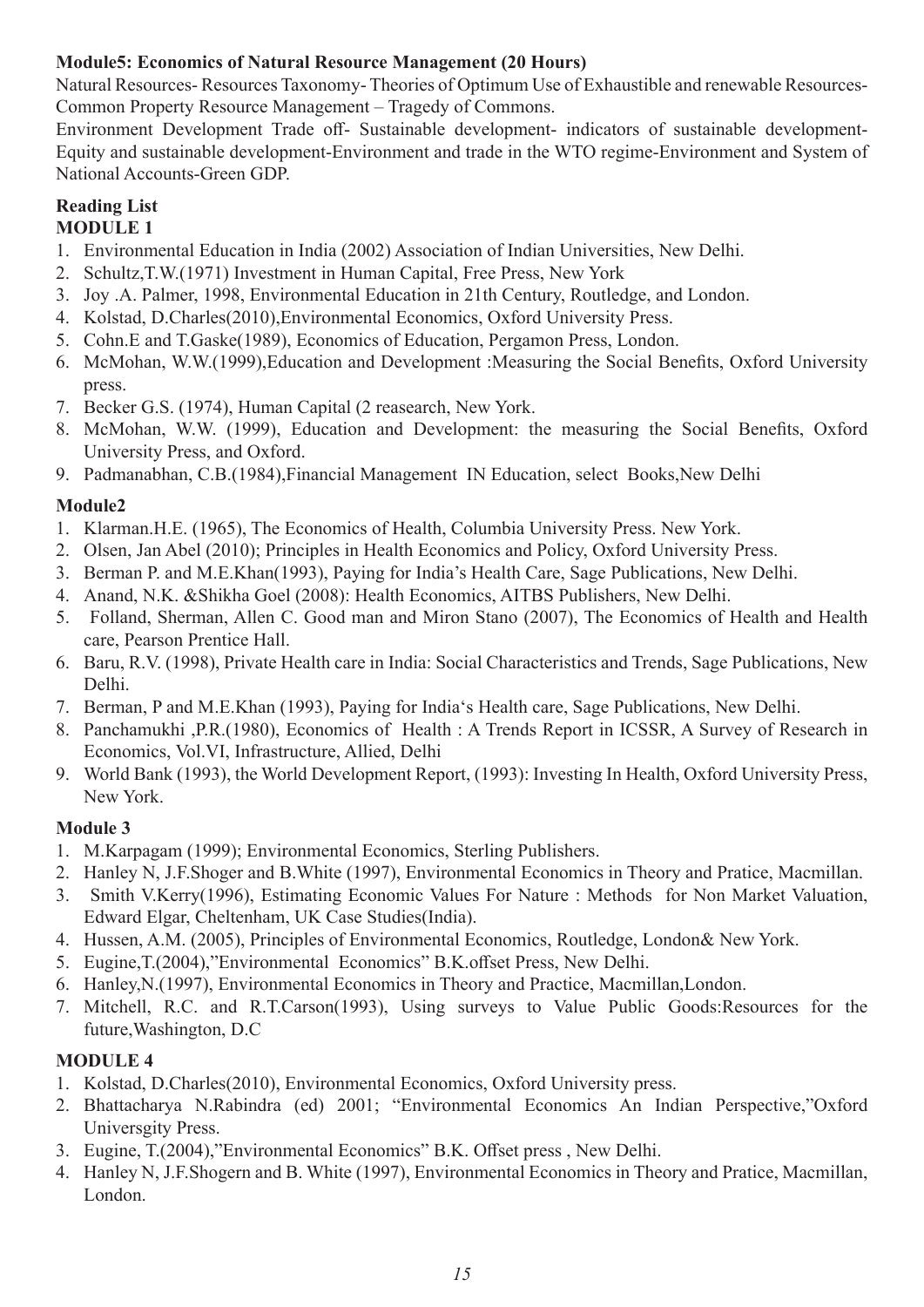#### **Module5: Economics of Natural Resource Management (20 Hours)**

Natural Resources- Resources Taxonomy- Theories of Optimum Use of Exhaustible and renewable Resources-Common Property Resource Management – Tragedy of Commons.

Environment Development Trade off- Sustainable development- indicators of sustainable development-Equity and sustainable development-Environment and trade in the WTO regime-Environment and System of National Accounts-Green GDP.

#### **Reading List MODULE 1**

- 1. Environmental Education in India (2002) Association of Indian Universities, New Delhi.
- 2. Schultz,T.W.(1971) Investment in Human Capital, Free Press, New York
- 3. Joy .A. Palmer, 1998, Environmental Education in 21th Century, Routledge, and London.
- 4. Kolstad, D.Charles(2010),Environmental Economics, Oxford University Press.
- 5. Cohn.E and T.Gaske(1989), Economics of Education, Pergamon Press, London.
- 6. McMohan, W.W.(1999),Education and Development :Measuring the Social Benefits, Oxford University press.
- 7. Becker G.S. (1974), Human Capital (2 reasearch, New York.
- 8. McMohan, W.W. (1999), Education and Development: the measuring the Social Benefits, Oxford University Press, and Oxford.
- 9. Padmanabhan, C.B.(1984),Financial Management IN Education, select Books,New Delhi

#### **Module2**

- 1. Klarman.H.E. (1965), The Economics of Health, Columbia University Press. New York.
- 2. Olsen, Jan Abel (2010); Principles in Health Economics and Policy, Oxford University Press.
- 3. Berman P. and M.E.Khan(1993), Paying for India's Health Care, Sage Publications, New Delhi.
- 4. Anand, N.K. &Shikha Goel (2008): Health Economics, AITBS Publishers, New Delhi.
- 5. Folland, Sherman, Allen C. Good man and Miron Stano (2007), The Economics of Health and Health care, Pearson Prentice Hall.
- 6. Baru, R.V. (1998), Private Health care in India: Social Characteristics and Trends, Sage Publications, New Delhi.
- 7. Berman, P and M.E.Khan (1993), Paying for India's Health care, Sage Publications, New Delhi.
- 8. Panchamukhi ,P.R.(1980), Economics of Health : A Trends Report in ICSSR, A Survey of Research in Economics, Vol.VI, Infrastructure, Allied, Delhi
- 9. World Bank (1993), the World Development Report, (1993): Investing In Health, Oxford University Press, New York.

### **Module 3**

- 1. M.Karpagam (1999); Environmental Economics, Sterling Publishers.
- 2. Hanley N, J.F.Shoger and B.White (1997), Environmental Economics in Theory and Pratice, Macmillan.
- 3. Smith V.Kerry(1996), Estimating Economic Values For Nature : Methods for Non Market Valuation, Edward Elgar, Cheltenham, UK Case Studies(India).
- 4. Hussen, A.M. (2005), Principles of Environmental Economics, Routledge, London& New York.
- 5. Eugine,T.(2004),"Environmental Economics" B.K.offset Press, New Delhi.
- 6. Hanley,N.(1997), Environmental Economics in Theory and Practice, Macmillan,London.
- 7. Mitchell, R.C. and R.T.Carson(1993), Using surveys to Value Public Goods:Resources for the future,Washington, D.C

#### **MODULE 4**

- 1. Kolstad, D.Charles(2010), Environmental Economics, Oxford University press.
- 2. Bhattacharya N.Rabindra (ed) 2001; "Environmental Economics An Indian Perspective,"Oxford Universgity Press.
- 3. Eugine, T.(2004),"Environmental Economics" B.K. Offset press , New Delhi.
- 4. Hanley N, J.F.Shogern and B. White (1997), Environmental Economics in Theory and Pratice, Macmillan, London.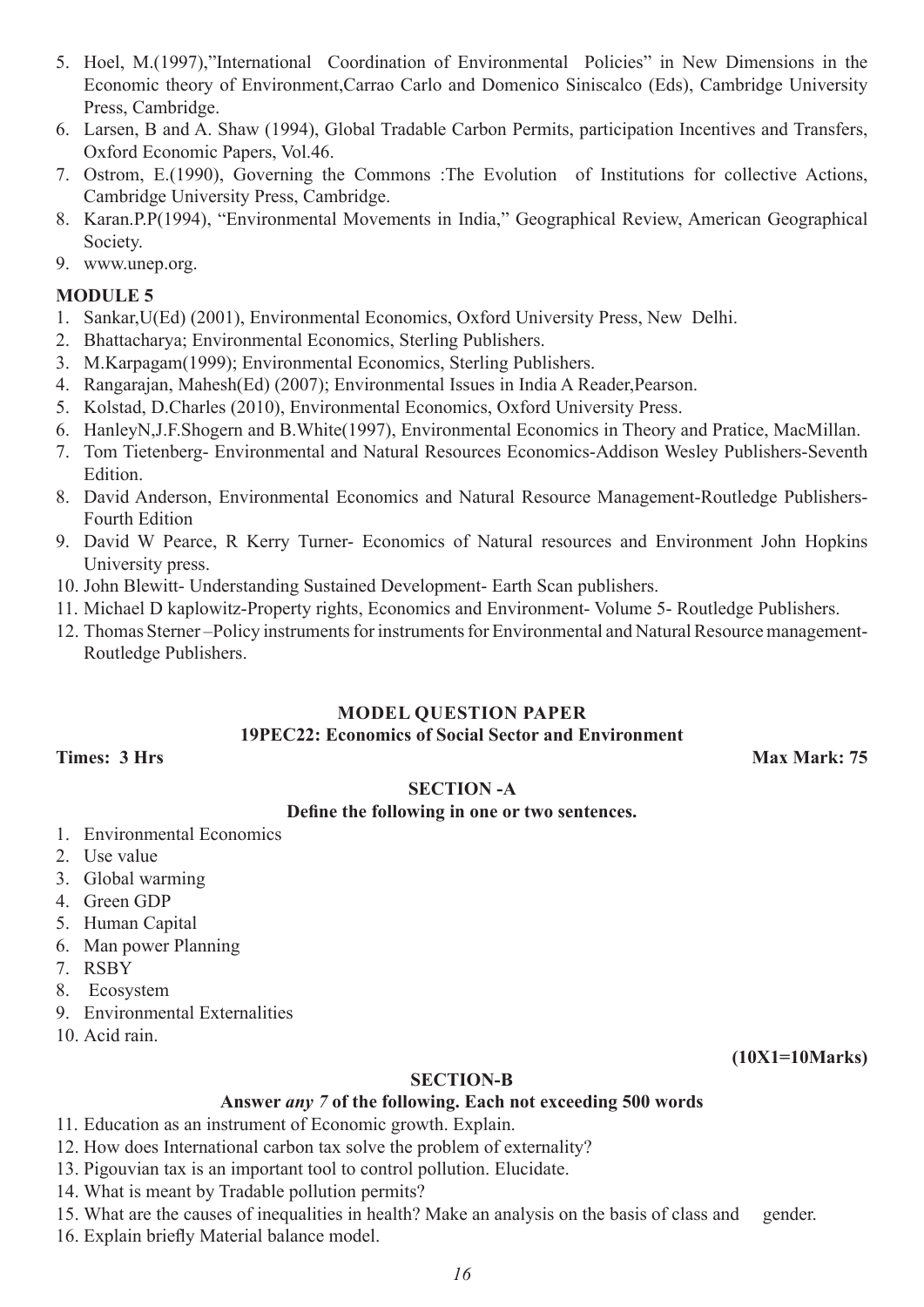- 5. Hoel, M.(1997),"International Coordination of Environmental Policies" in New Dimensions in the Economic theory of Environment,Carrao Carlo and Domenico Siniscalco (Eds), Cambridge University Press, Cambridge.
- 6. Larsen, B and A. Shaw (1994), Global Tradable Carbon Permits, participation Incentives and Transfers, Oxford Economic Papers, Vol.46.
- 7. Ostrom, E.(1990), Governing the Commons :The Evolution of Institutions for collective Actions, Cambridge University Press, Cambridge.
- 8. Karan.P.P(1994), "Environmental Movements in India," Geographical Review, American Geographical Society.
- 9. www.unep.org.

#### **MODULE 5**

- 1. Sankar,U(Ed) (2001), Environmental Economics, Oxford University Press, New Delhi.
- 2. Bhattacharya; Environmental Economics, Sterling Publishers.
- 3. M.Karpagam(1999); Environmental Economics, Sterling Publishers.
- 4. Rangarajan, Mahesh(Ed) (2007); Environmental Issues in India A Reader,Pearson.
- 5. Kolstad, D.Charles (2010), Environmental Economics, Oxford University Press.
- 6. HanleyN,J.F.Shogern and B.White(1997), Environmental Economics in Theory and Pratice, MacMillan.
- 7. Tom Tietenberg- Environmental and Natural Resources Economics-Addison Wesley Publishers-Seventh Edition.
- 8. David Anderson, Environmental Economics and Natural Resource Management-Routledge Publishers-Fourth Edition
- 9. David W Pearce, R Kerry Turner- Economics of Natural resources and Environment John Hopkins University press.
- 10. John Blewitt- Understanding Sustained Development- Earth Scan publishers.
- 11. Michael D kaplowitz-Property rights, Economics and Environment- Volume 5- Routledge Publishers.
- 12. Thomas Sterner –Policy instruments for instruments for Environmental and Natural Resource management-Routledge Publishers.

#### **MODEL QUESTION PAPER 19PEC22: Economics of Social Sector and Environment**

**Times: 3 Hrs Max Mark: 75 Max Mark: 75 Max Mark: 75** 

#### **SECTION -A**

#### **Define the following in one or two sentences.**

- 1. Environmental Economics
- 2. Use value
- 3. Global warming
- 4. Green GDP
- 5. Human Capital
- 6. Man power Planning
- 7. RSBY
- 8. Ecosystem
- 9. Environmental Externalities
- 10. Acid rain.

**(10X1=10Marks)**

#### **SECTION-B**

#### **Answer** *any 7* **of the following. Each not exceeding 500 words**

- 11. Education as an instrument of Economic growth. Explain.
- 12. How does International carbon tax solve the problem of externality?
- 13. Pigouvian tax is an important tool to control pollution. Elucidate.
- 14. What is meant by Tradable pollution permits?
- 15. What are the causes of inequalities in health? Make an analysis on the basis of class and gender.
- 16. Explain briefly Material balance model.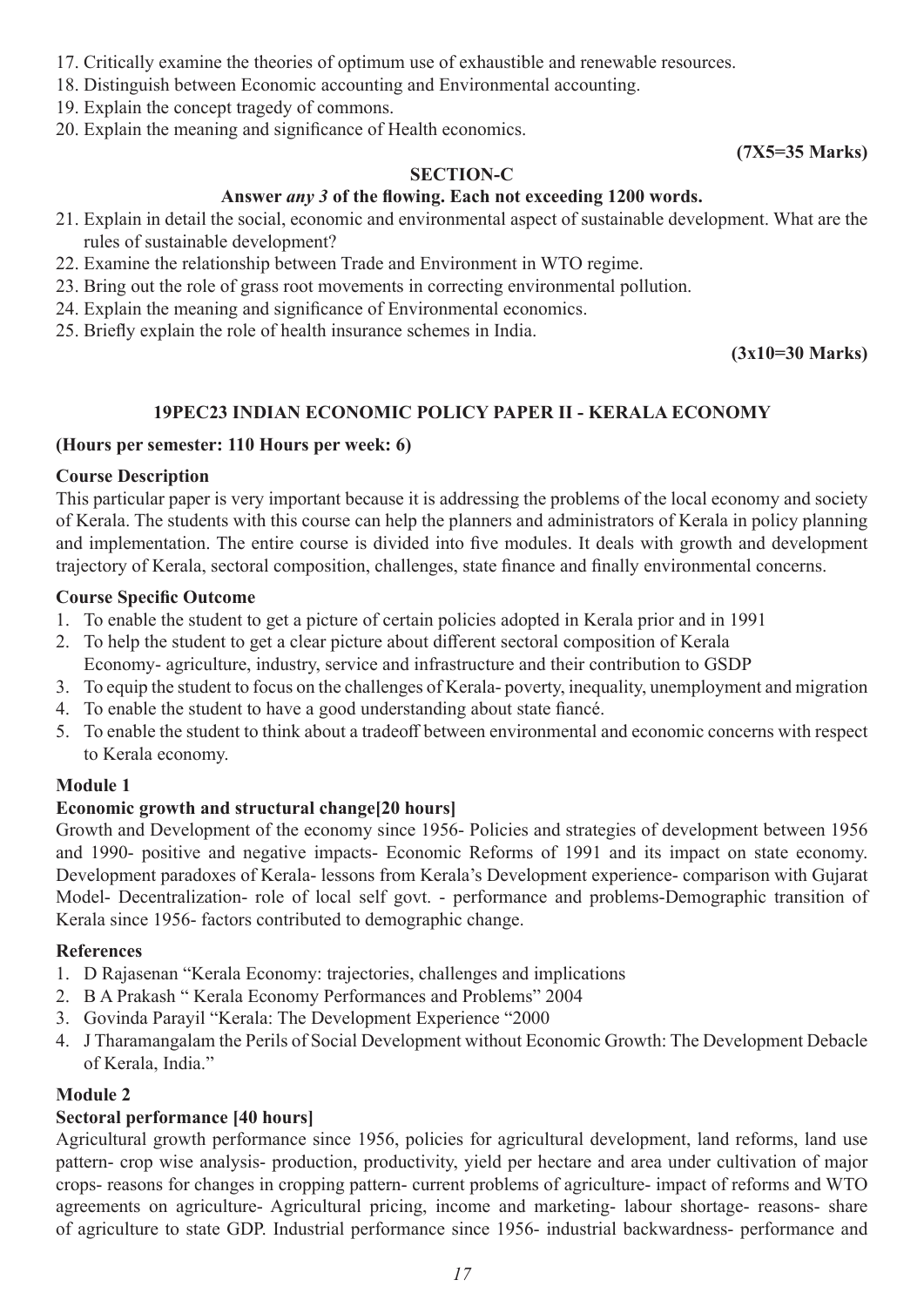- 17. Critically examine the theories of optimum use of exhaustible and renewable resources.
- 18. Distinguish between Economic accounting and Environmental accounting.
- 19. Explain the concept tragedy of commons.
- 20. Explain the meaning and significance of Health economics.

#### **(7X5=35 Marks)**

#### **SECTION-C**

#### **Answer** *any 3* **of the flowing. Each not exceeding 1200 words.**

- 21. Explain in detail the social, economic and environmental aspect of sustainable development. What are the rules of sustainable development?
- 22. Examine the relationship between Trade and Environment in WTO regime.
- 23. Bring out the role of grass root movements in correcting environmental pollution.
- 24. Explain the meaning and significance of Environmental economics.
- 25. Briefly explain the role of health insurance schemes in India.

#### **(3x10=30 Marks)**

#### **19PEC23 INDIAN ECONOMIC POLICY PAPER II - KERALA ECONOMY**

#### **(Hours per semester: 110 Hours per week: 6)**

#### **Course Description**

This particular paper is very important because it is addressing the problems of the local economy and society of Kerala. The students with this course can help the planners and administrators of Kerala in policy planning and implementation. The entire course is divided into five modules. It deals with growth and development trajectory of Kerala, sectoral composition, challenges, state finance and finally environmental concerns.

#### **Course Specific Outcome**

- 1. To enable the student to get a picture of certain policies adopted in Kerala prior and in 1991
- 2. To help the student to get a clear picture about different sectoral composition of Kerala Economy- agriculture, industry, service and infrastructure and their contribution to GSDP
- 3. To equip the student to focus on the challenges of Kerala- poverty, inequality, unemployment and migration
- 4. To enable the student to have a good understanding about state fiancé.
- 5. To enable the student to think about a tradeoff between environmental and economic concerns with respect to Kerala economy.

#### **Module 1**

#### **Economic growth and structural change[20 hours]**

Growth and Development of the economy since 1956- Policies and strategies of development between 1956 and 1990- positive and negative impacts- Economic Reforms of 1991 and its impact on state economy. Development paradoxes of Kerala- lessons from Kerala's Development experience- comparison with Gujarat Model- Decentralization- role of local self govt. - performance and problems-Demographic transition of Kerala since 1956- factors contributed to demographic change.

#### **References**

- 1. D Rajasenan "Kerala Economy: trajectories, challenges and implications
- 2. B A Prakash " Kerala Economy Performances and Problems" 2004
- 3. Govinda Parayil "Kerala: The Development Experience "2000
- 4. J Tharamangalam the Perils of Social Development without Economic Growth: The Development Debacle of Kerala, India."

#### **Module 2**

#### **Sectoral performance [40 hours]**

Agricultural growth performance since 1956, policies for agricultural development, land reforms, land use pattern- crop wise analysis- production, productivity, yield per hectare and area under cultivation of major crops- reasons for changes in cropping pattern- current problems of agriculture- impact of reforms and WTO agreements on agriculture- Agricultural pricing, income and marketing- labour shortage- reasons- share of agriculture to state GDP. Industrial performance since 1956- industrial backwardness- performance and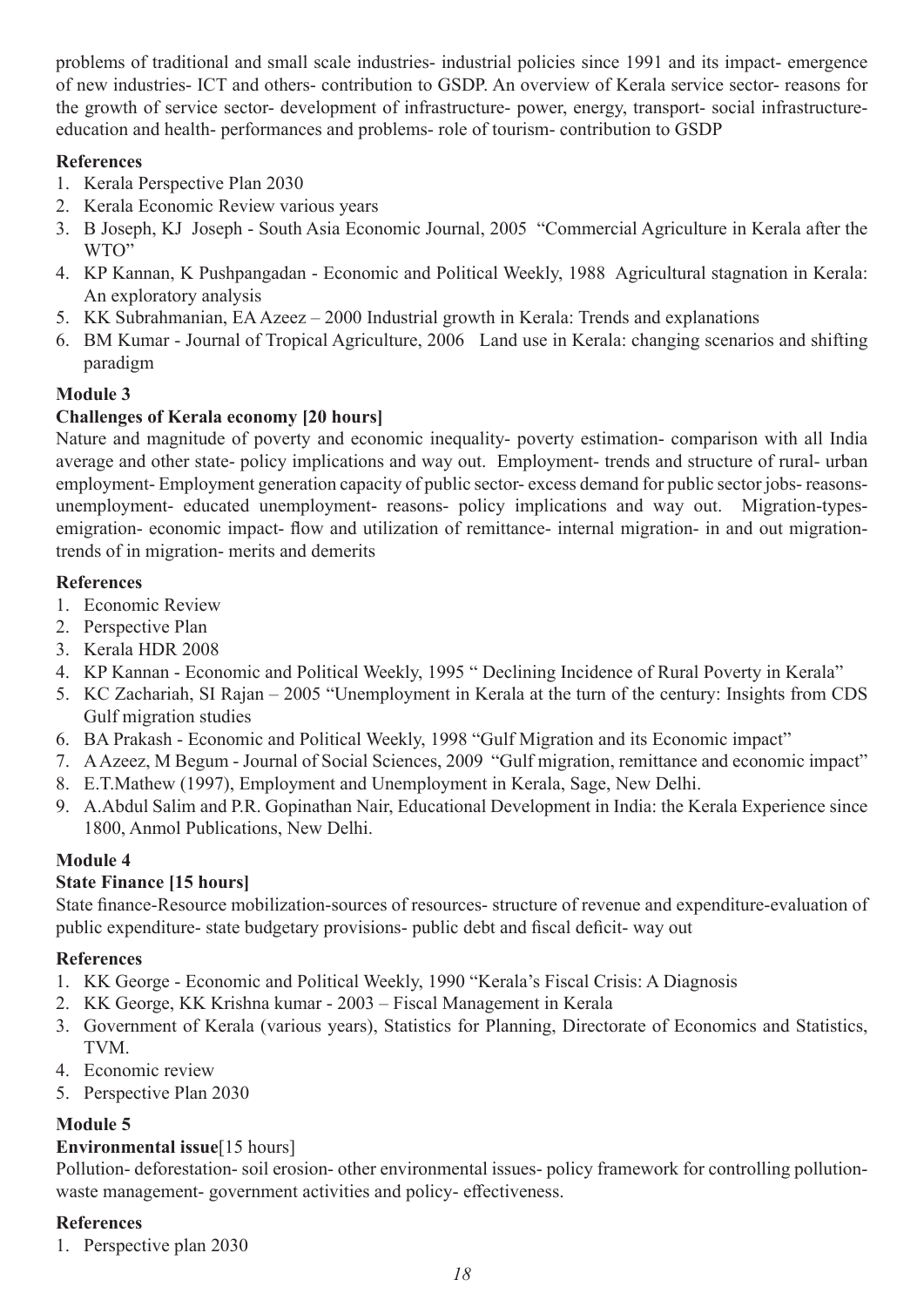problems of traditional and small scale industries- industrial policies since 1991 and its impact- emergence of new industries- ICT and others- contribution to GSDP. An overview of Kerala service sector- reasons for the growth of service sector- development of infrastructure- power, energy, transport- social infrastructureeducation and health- performances and problems- role of tourism- contribution to GSDP

#### **References**

- 1. Kerala Perspective Plan 2030
- 2. Kerala Economic Review various years
- 3. B Joseph, KJ Joseph South Asia Economic Journal, 2005 "Commercial Agriculture in Kerala after the WTO"
- 4. KP Kannan, K Pushpangadan Economic and Political Weekly, 1988 Agricultural stagnation in Kerala: An exploratory analysis
- 5. KK Subrahmanian, EA Azeez 2000 Industrial growth in Kerala: Trends and explanations
- 6. BM Kumar Journal of Tropical Agriculture, 2006 Land use in Kerala: changing scenarios and shifting paradigm

### **Module 3**

### **Challenges of Kerala economy [20 hours]**

Nature and magnitude of poverty and economic inequality- poverty estimation- comparison with all India average and other state- policy implications and way out. Employment- trends and structure of rural- urban employment- Employment generation capacity of public sector- excess demand for public sector jobs- reasonsunemployment- educated unemployment- reasons- policy implications and way out. Migration-typesemigration- economic impact- flow and utilization of remittance- internal migration- in and out migrationtrends of in migration- merits and demerits

#### **References**

- 1. Economic Review
- 2. Perspective Plan
- 3. Kerala HDR 2008
- 4. KP Kannan Economic and Political Weekly, 1995 " Declining Incidence of Rural Poverty in Kerala"
- 5. KC Zachariah, SI Rajan 2005 "Unemployment in Kerala at the turn of the century: Insights from CDS Gulf migration studies
- 6. BA Prakash Economic and Political Weekly, 1998 "Gulf Migration and its Economic impact"
- 7. A Azeez, M Begum Journal of Social Sciences, 2009 "Gulf migration, remittance and economic impact"
- 8. E.T.Mathew (1997), Employment and Unemployment in Kerala, Sage, New Delhi.
- 9. A.Abdul Salim and P.R. Gopinathan Nair, Educational Development in India: the Kerala Experience since 1800, Anmol Publications, New Delhi.

### **Module 4**

### **State Finance [15 hours]**

State finance-Resource mobilization-sources of resources- structure of revenue and expenditure-evaluation of public expenditure- state budgetary provisions- public debt and fiscal deficit- way out

#### **References**

- 1. KK George Economic and Political Weekly, 1990 "Kerala's Fiscal Crisis: A Diagnosis
- 2. KK George, KK Krishna kumar 2003 Fiscal Management in Kerala
- 3. Government of Kerala (various years), Statistics for Planning, Directorate of Economics and Statistics, TVM.
- 4. Economic review
- 5. Perspective Plan 2030

### **Module 5**

### **Environmental issue**[15 hours]

Pollution- deforestation- soil erosion- other environmental issues- policy framework for controlling pollutionwaste management- government activities and policy- effectiveness.

### **References**

1. Perspective plan 2030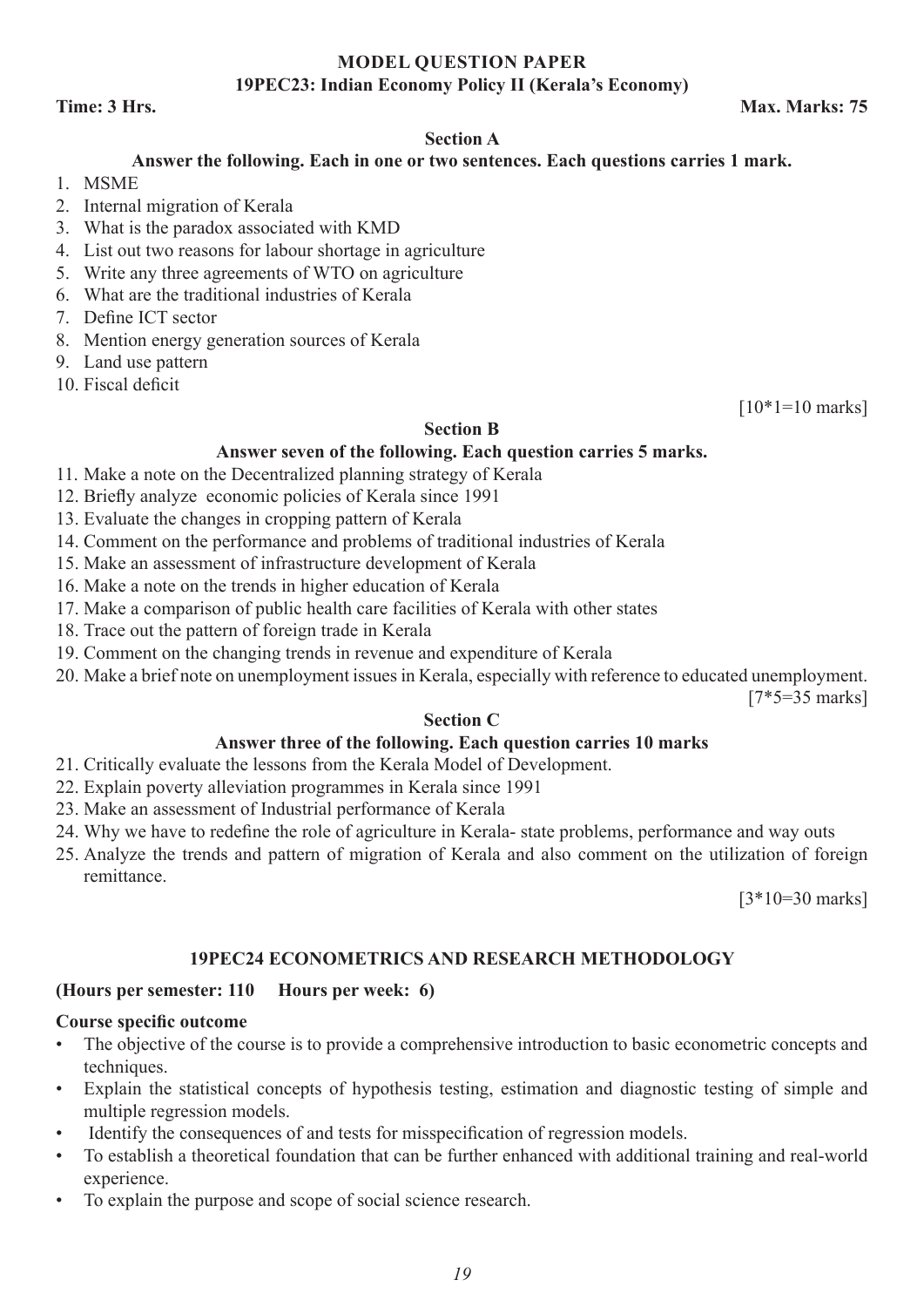#### **MODEL QUESTION PAPER 19PEC23: Indian Economy Policy II (Kerala's Economy)**

#### **Time: 3 Hrs. Max. Marks: 75**

#### **Section A**

#### **Answer the following. Each in one or two sentences. Each questions carries 1 mark.**

- 1. MSME
- 2. Internal migration of Kerala
- 3. What is the paradox associated with KMD
- 4. List out two reasons for labour shortage in agriculture
- 5. Write any three agreements of WTO on agriculture
- 6. What are the traditional industries of Kerala
- 7. Define ICT sector
- 8. Mention energy generation sources of Kerala
- 9. Land use pattern
- 10. Fiscal deficit

 $[10*1=10 \text{ marks}]$ 

#### **Section B**

#### **Answer seven of the following. Each question carries 5 marks.**

- 11. Make a note on the Decentralized planning strategy of Kerala
- 12. Briefly analyze economic policies of Kerala since 1991
- 13. Evaluate the changes in cropping pattern of Kerala
- 14. Comment on the performance and problems of traditional industries of Kerala
- 15. Make an assessment of infrastructure development of Kerala
- 16. Make a note on the trends in higher education of Kerala
- 17. Make a comparison of public health care facilities of Kerala with other states
- 18. Trace out the pattern of foreign trade in Kerala
- 19. Comment on the changing trends in revenue and expenditure of Kerala
- 20. Make a brief note on unemployment issues in Kerala, especially with reference to educated unemployment.

[7\*5=35 marks]

#### **Section C**

#### **Answer three of the following. Each question carries 10 marks**

- 21. Critically evaluate the lessons from the Kerala Model of Development.
- 22. Explain poverty alleviation programmes in Kerala since 1991
- 23. Make an assessment of Industrial performance of Kerala
- 24. Why we have to redefine the role of agriculture in Kerala- state problems, performance and way outs
- 25. Analyze the trends and pattern of migration of Kerala and also comment on the utilization of foreign remittance.

[3\*10=30 marks]

#### **19PEC24 ECONOMETRICS AND RESEARCH METHODOLOGY**

#### **(Hours per semester: 110 Hours per week: 6)**

#### **Course specific outcome**

- The objective of the course is to provide a comprehensive introduction to basic econometric concepts and techniques.
- Explain the statistical concepts of hypothesis testing, estimation and diagnostic testing of simple and multiple regression models.
- Identify the consequences of and tests for misspecification of regression models.
- To establish a theoretical foundation that can be further enhanced with additional training and real-world experience.
- To explain the purpose and scope of social science research.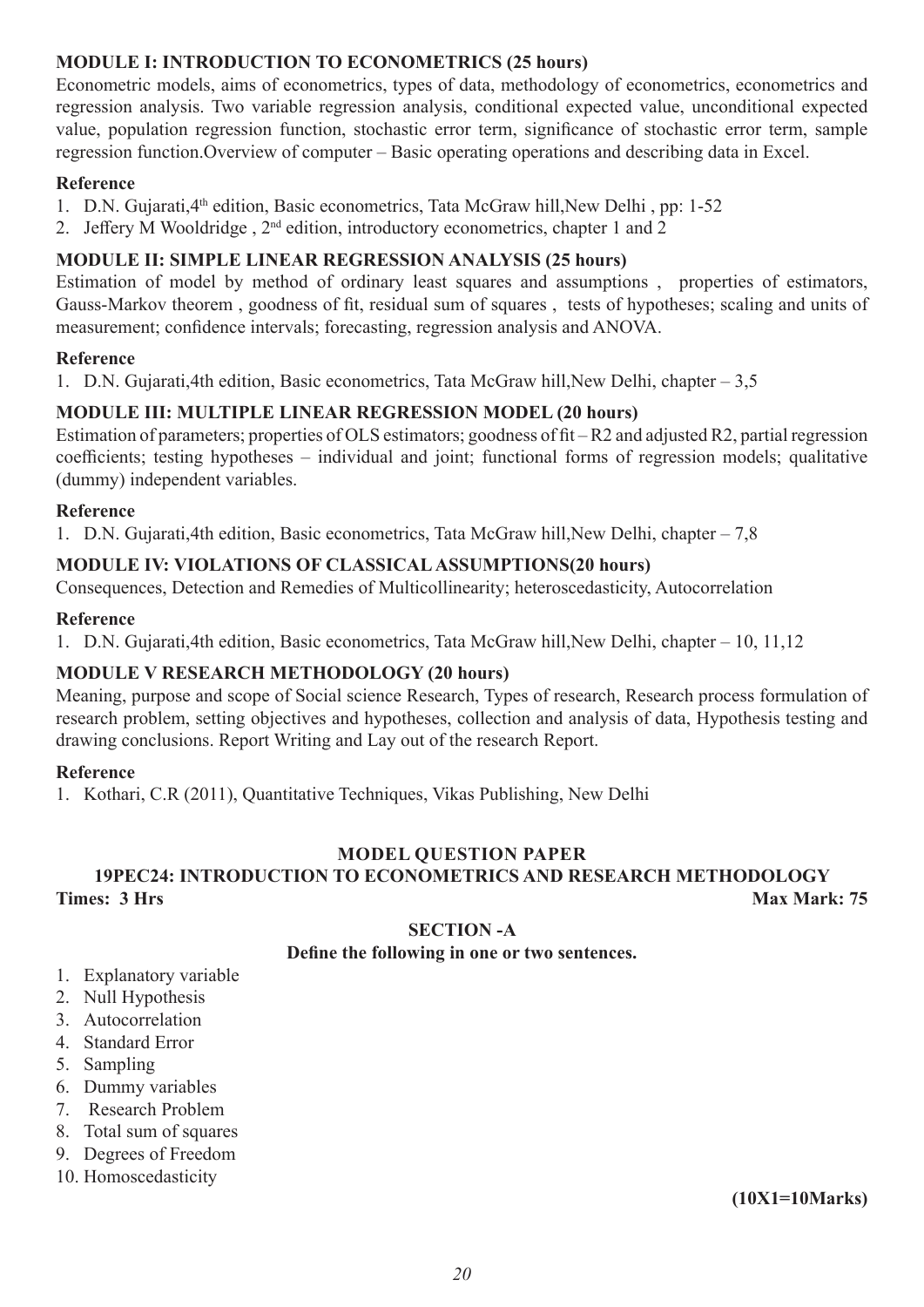#### **MODULE I: INTRODUCTION TO ECONOMETRICS (25 hours)**

Econometric models, aims of econometrics, types of data, methodology of econometrics, econometrics and regression analysis. Two variable regression analysis, conditional expected value, unconditional expected value, population regression function, stochastic error term, significance of stochastic error term, sample regression function.Overview of computer – Basic operating operations and describing data in Excel.

#### **Reference**

- 1. D.N. Gujarati, 4<sup>th</sup> edition, Basic econometrics, Tata McGraw hill, New Delhi, pp: 1-52
- 2. Jeffery M Wooldridge,  $2<sup>nd</sup>$  edition, introductory econometrics, chapter 1 and 2

#### **MODULE II: SIMPLE LINEAR REGRESSION ANALYSIS (25 hours)**

Estimation of model by method of ordinary least squares and assumptions , properties of estimators, Gauss-Markov theorem , goodness of fit, residual sum of squares , tests of hypotheses; scaling and units of measurement; confidence intervals; forecasting, regression analysis and ANOVA.

#### **Reference**

1. D.N. Gujarati,4th edition, Basic econometrics, Tata McGraw hill, New Delhi, chapter - 3,5

#### **MODULE III: MULTIPLE LINEAR REGRESSION MODEL (20 hours)**

Estimation of parameters; properties of OLS estimators; goodness of fit – R2 and adjusted R2, partial regression coefficients; testing hypotheses – individual and joint; functional forms of regression models; qualitative (dummy) independent variables.

#### **Reference**

1. D.N. Gujarati,4th edition, Basic econometrics, Tata McGraw hill,New Delhi, chapter – 7,8

#### **MODULE IV: VIOLATIONS OF CLASSICAL ASSUMPTIONS(20 hours)**

Consequences, Detection and Remedies of Multicollinearity; heteroscedasticity, Autocorrelation

#### **Reference**

1. D.N. Gujarati,4th edition, Basic econometrics, Tata McGraw hill,New Delhi, chapter – 10, 11,12

#### **MODULE V RESEARCH METHODOLOGY (20 hours)**

Meaning, purpose and scope of Social science Research, Types of research, Research process formulation of research problem, setting objectives and hypotheses, collection and analysis of data, Hypothesis testing and drawing conclusions. Report Writing and Lay out of the research Report.

#### **Reference**

1. Kothari, C.R (2011), Quantitative Techniques, Vikas Publishing, New Delhi

#### **MODEL QUESTION PAPER**

### **19PEC24: INTRODUCTION TO ECONOMETRICS AND RESEARCH METHODOLOGY Times: 3 Hrs Max Mark: 75 Max Mark: 75 Max Mark: 75**

#### **SECTION -A**

#### **Define the following in one or two sentences.**

- 1. Explanatory variable
- 2. Null Hypothesis
- 3. Autocorrelation
- 4. Standard Error
- 5. Sampling
- 6. Dummy variables
- 7. Research Problem
- 8. Total sum of squares
- 9. Degrees of Freedom
- 10. Homoscedasticity

**(10X1=10Marks)**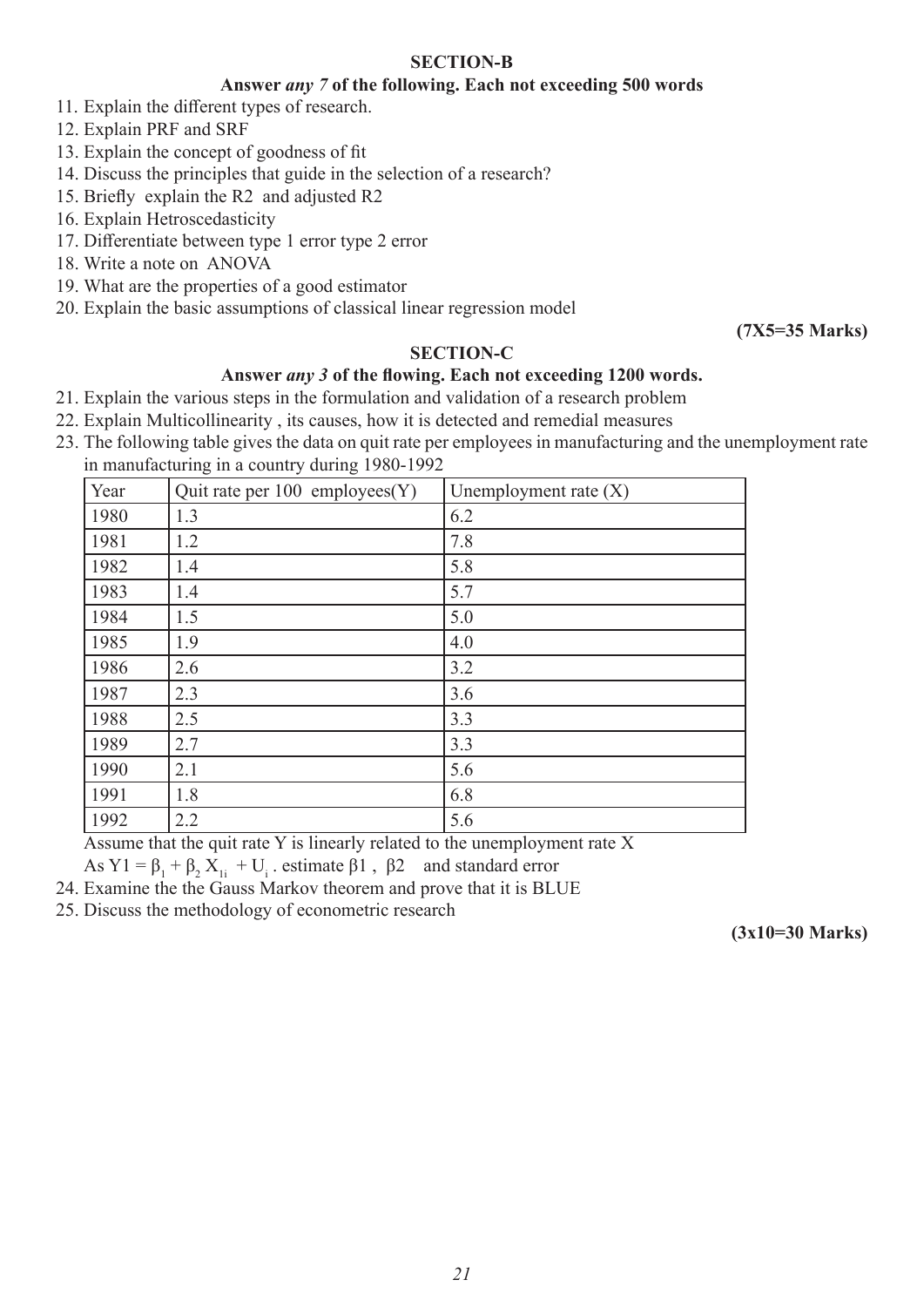#### **SECTION-B**

#### **Answer** *any 7* **of the following. Each not exceeding 500 words**

- 11. Explain the different types of research.
- 12. Explain PRF and SRF
- 13. Explain the concept of goodness of fit
- 14. Discuss the principles that guide in the selection of a research?
- 15. Briefly explain the R2 and adjusted R2
- 16. Explain Hetroscedasticity
- 17. Differentiate between type 1 error type 2 error
- 18. Write a note on ANOVA
- 19. What are the properties of a good estimator
- 20. Explain the basic assumptions of classical linear regression model

**(7X5=35 Marks)**

#### **SECTION-C**

#### **Answer** *any 3* **of the flowing. Each not exceeding 1200 words.**

- 21. Explain the various steps in the formulation and validation of a research problem
- 22. Explain Multicollinearity , its causes, how it is detected and remedial measures
- 23. The following table gives the data on quit rate per employees in manufacturing and the unemployment rate in manufacturing in a country during 1980-1992

| Year | Quit rate per $100$ employees $(Y)$ | Unemployment rate $(X)$ |
|------|-------------------------------------|-------------------------|
| 1980 | 1.3                                 | 6.2                     |
| 1981 | 1.2                                 | 7.8                     |
| 1982 | 1.4                                 | 5.8                     |
| 1983 | 1.4                                 | 5.7                     |
| 1984 | 1.5                                 | 5.0                     |
| 1985 | 1.9                                 | 4.0                     |
| 1986 | 2.6                                 | 3.2                     |
| 1987 | 2.3                                 | 3.6                     |
| 1988 | 2.5                                 | 3.3                     |
| 1989 | 2.7                                 | 3.3                     |
| 1990 | 2.1                                 | 5.6                     |
| 1991 | 1.8                                 | 6.8                     |
| 1992 | 2.2                                 | 5.6                     |

Assume that the quit rate Y is linearly related to the unemployment rate X

As  $Y1 = \beta_1 + \beta_2 X_{1i} + U_i$ . estimate  $\beta1$ ,  $\beta2$  and standard error

24. Examine the the Gauss Markov theorem and prove that it is BLUE

25. Discuss the methodology of econometric research

**(3x10=30 Marks)**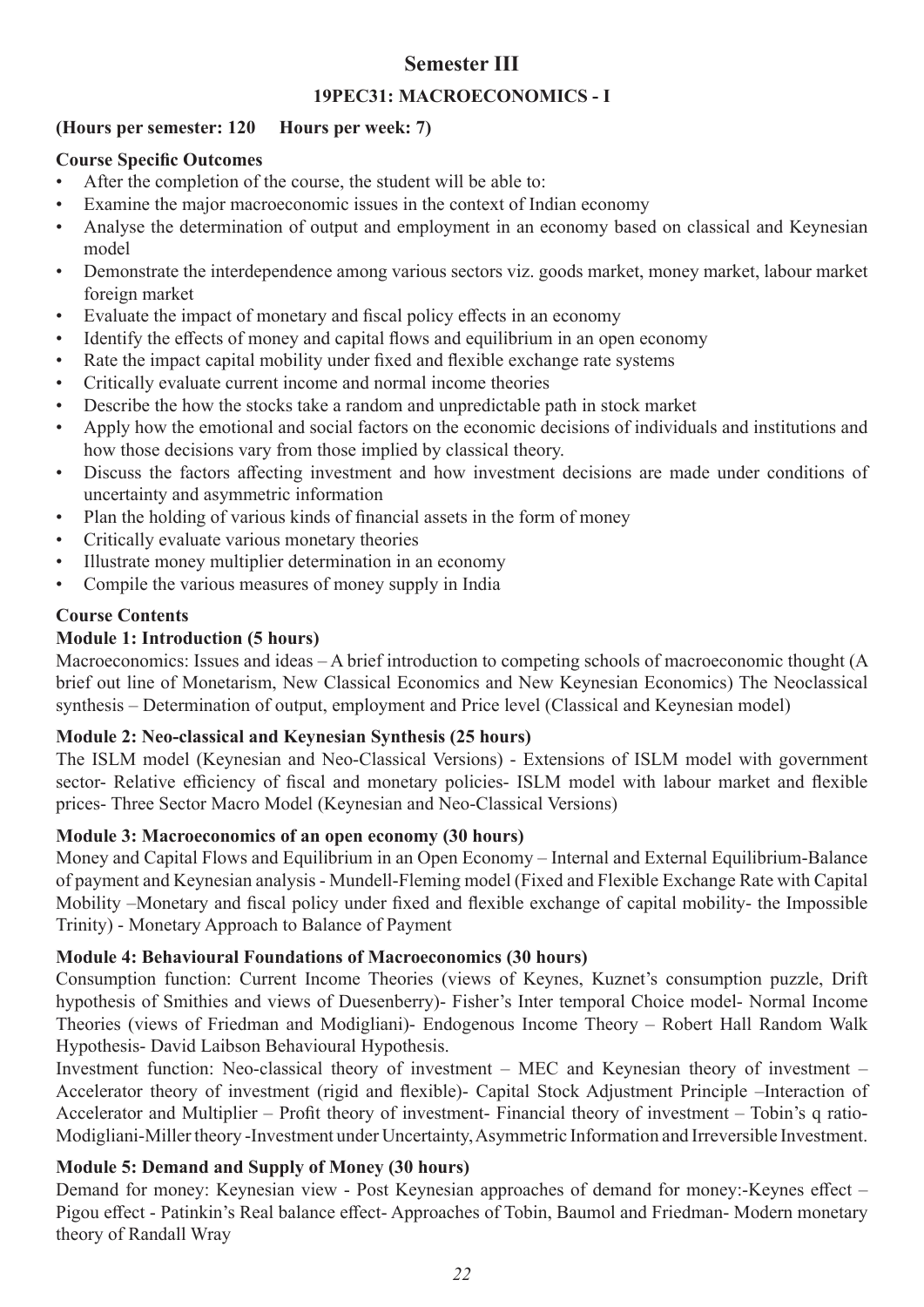### **Semester III**

#### **19PEC31: MACROECONOMICS - I**

#### **(Hours per semester: 120 Hours per week: 7)**

#### **Course Specific Outcomes**

- After the completion of the course, the student will be able to:
- Examine the major macroeconomic issues in the context of Indian economy
- Analyse the determination of output and employment in an economy based on classical and Keynesian model
- Demonstrate the interdependence among various sectors viz. goods market, money market, labour market foreign market
- Evaluate the impact of monetary and fiscal policy effects in an economy
- Identify the effects of money and capital flows and equilibrium in an open economy
- Rate the impact capital mobility under fixed and flexible exchange rate systems
- Critically evaluate current income and normal income theories
- Describe the how the stocks take a random and unpredictable path in stock market
- Apply how the emotional and social factors on the economic decisions of individuals and institutions and how those decisions vary from those implied by classical theory.
- Discuss the factors affecting investment and how investment decisions are made under conditions of uncertainty and asymmetric information
- Plan the holding of various kinds of financial assets in the form of money
- Critically evaluate various monetary theories
- Illustrate money multiplier determination in an economy
- Compile the various measures of money supply in India

### **Course Contents**

### **Module 1: Introduction (5 hours)**

Macroeconomics: Issues and ideas – A brief introduction to competing schools of macroeconomic thought (A brief out line of Monetarism, New Classical Economics and New Keynesian Economics) The Neoclassical synthesis – Determination of output, employment and Price level (Classical and Keynesian model)

#### **Module 2: Neo-classical and Keynesian Synthesis (25 hours)**

The ISLM model (Keynesian and Neo-Classical Versions) - Extensions of ISLM model with government sector- Relative efficiency of fiscal and monetary policies- ISLM model with labour market and flexible prices- Three Sector Macro Model (Keynesian and Neo-Classical Versions)

#### **Module 3: Macroeconomics of an open economy (30 hours)**

Money and Capital Flows and Equilibrium in an Open Economy – Internal and External Equilibrium-Balance of payment and Keynesian analysis - Mundell-Fleming model (Fixed and Flexible Exchange Rate with Capital Mobility –Monetary and fiscal policy under fixed and flexible exchange of capital mobility- the Impossible Trinity) - Monetary Approach to Balance of Payment

### **Module 4: Behavioural Foundations of Macroeconomics (30 hours)**

Consumption function: Current Income Theories (views of Keynes, Kuznet's consumption puzzle, Drift hypothesis of Smithies and views of Duesenberry)- Fisher's Inter temporal Choice model- Normal Income Theories (views of Friedman and Modigliani)- Endogenous Income Theory – Robert Hall Random Walk Hypothesis- David Laibson Behavioural Hypothesis.

Investment function: Neo-classical theory of investment – MEC and Keynesian theory of investment – Accelerator theory of investment (rigid and flexible)- Capital Stock Adjustment Principle –Interaction of Accelerator and Multiplier – Profit theory of investment- Financial theory of investment – Tobin's q ratio-Modigliani-Miller theory -Investment under Uncertainty, Asymmetric Information and Irreversible Investment.

### **Module 5: Demand and Supply of Money (30 hours)**

Demand for money: Keynesian view - Post Keynesian approaches of demand for money:-Keynes effect – Pigou effect - Patinkin's Real balance effect- Approaches of Tobin, Baumol and Friedman- Modern monetary theory of Randall Wray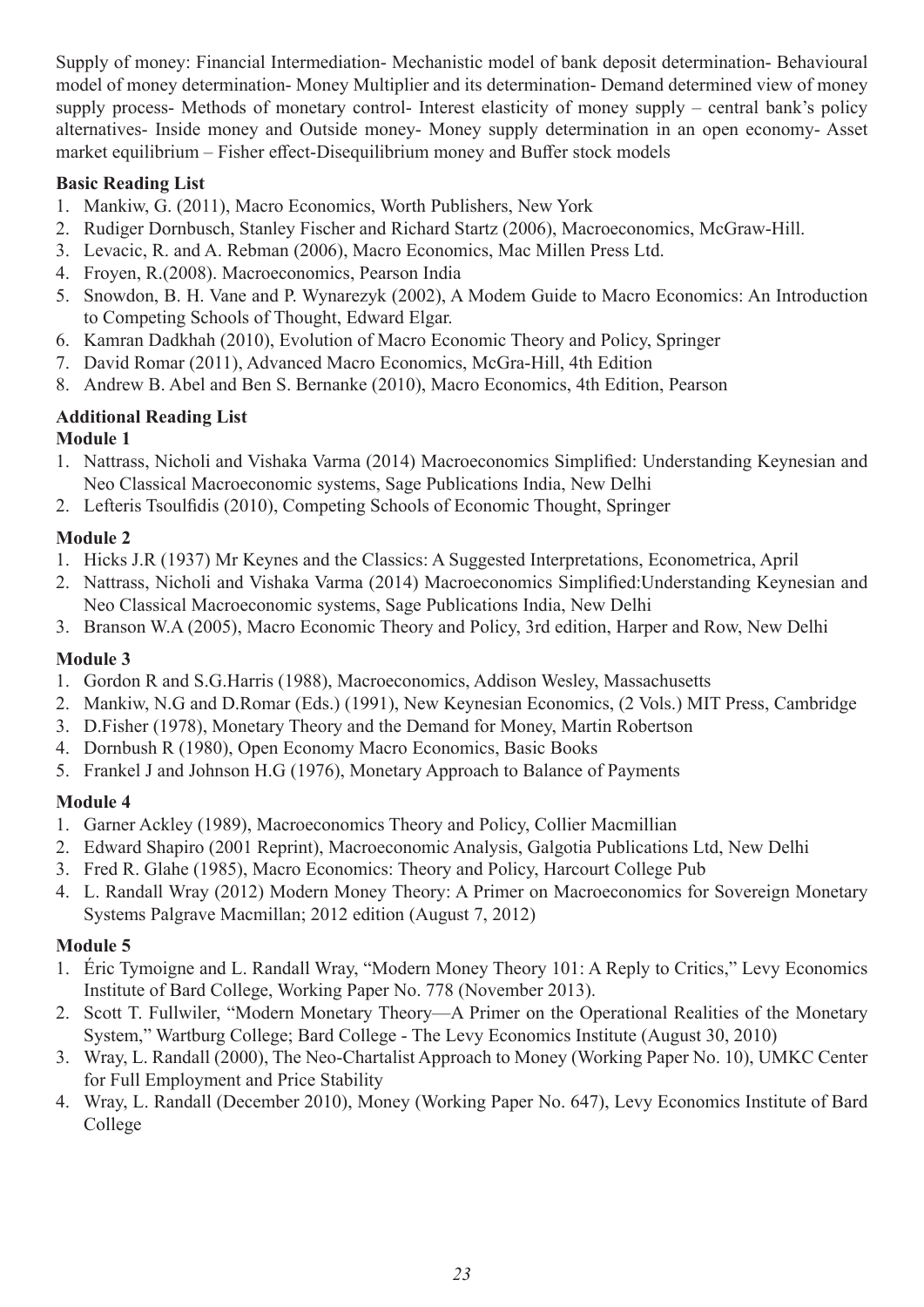Supply of money: Financial Intermediation- Mechanistic model of bank deposit determination- Behavioural model of money determination- Money Multiplier and its determination- Demand determined view of money supply process- Methods of monetary control- Interest elasticity of money supply – central bank's policy alternatives- Inside money and Outside money- Money supply determination in an open economy- Asset market equilibrium – Fisher effect-Disequilibrium money and Buffer stock models

#### **Basic Reading List**

- 1. Mankiw, G. (2011), Macro Economics, Worth Publishers, New York
- 2. Rudiger Dornbusch, Stanley Fischer and Richard Startz (2006), Macroeconomics, McGraw-Hill.
- 3. Levacic, R. and A. Rebman (2006), Macro Economics, Mac Millen Press Ltd.
- 4. Froyen, R.(2008). Macroeconomics, Pearson India
- 5. Snowdon, B. H. Vane and P. Wynarezyk (2002), A Modem Guide to Macro Economics: An Introduction to Competing Schools of Thought, Edward Elgar.
- 6. Kamran Dadkhah (2010), Evolution of Macro Economic Theory and Policy, Springer
- 7. David Romar (2011), Advanced Macro Economics, McGra-Hill, 4th Edition
- 8. Andrew B. Abel and Ben S. Bernanke (2010), Macro Economics, 4th Edition, Pearson

### **Additional Reading List**

#### **Module 1**

- 1. Nattrass, Nicholi and Vishaka Varma (2014) Macroeconomics Simplified: Understanding Keynesian and Neo Classical Macroeconomic systems, Sage Publications India, New Delhi
- 2. Lefteris Tsoulfidis (2010), Competing Schools of Economic Thought, Springer

#### **Module 2**

- 1. Hicks J.R (1937) Mr Keynes and the Classics: A Suggested Interpretations, Econometrica, April
- 2. Nattrass, Nicholi and Vishaka Varma (2014) Macroeconomics Simplified:Understanding Keynesian and Neo Classical Macroeconomic systems, Sage Publications India, New Delhi
- 3. Branson W.A (2005), Macro Economic Theory and Policy, 3rd edition, Harper and Row, New Delhi

#### **Module 3**

- 1. Gordon R and S.G.Harris (1988), Macroeconomics, Addison Wesley, Massachusetts
- 2. Mankiw, N.G and D.Romar (Eds.) (1991), New Keynesian Economics, (2 Vols.) MIT Press, Cambridge
- 3. D.Fisher (1978), Monetary Theory and the Demand for Money, Martin Robertson
- 4. Dornbush R (1980), Open Economy Macro Economics, Basic Books
- 5. Frankel J and Johnson H.G (1976), Monetary Approach to Balance of Payments

#### **Module 4**

- 1. Garner Ackley (1989), Macroeconomics Theory and Policy, Collier Macmillian
- 2. Edward Shapiro (2001 Reprint), Macroeconomic Analysis, Galgotia Publications Ltd, New Delhi
- 3. Fred R. Glahe (1985), Macro Economics: Theory and Policy, Harcourt College Pub
- 4. L. Randall Wray (2012) Modern Money Theory: A Primer on Macroeconomics for Sovereign Monetary Systems Palgrave Macmillan; 2012 edition (August 7, 2012)

#### **Module 5**

- 1. Éric Tymoigne and L. Randall Wray, "Modern Money Theory 101: A Reply to Critics," Levy Economics Institute of Bard College, Working Paper No. 778 (November 2013).
- 2. Scott T. Fullwiler, "Modern Monetary Theory—A Primer on the Operational Realities of the Monetary System," Wartburg College; Bard College - The Levy Economics Institute (August 30, 2010)
- 3. Wray, L. Randall (2000), The Neo-Chartalist Approach to Money (Working Paper No. 10), UMKC Center for Full Employment and Price Stability
- 4. Wray, L. Randall (December 2010), Money (Working Paper No. 647), Levy Economics Institute of Bard College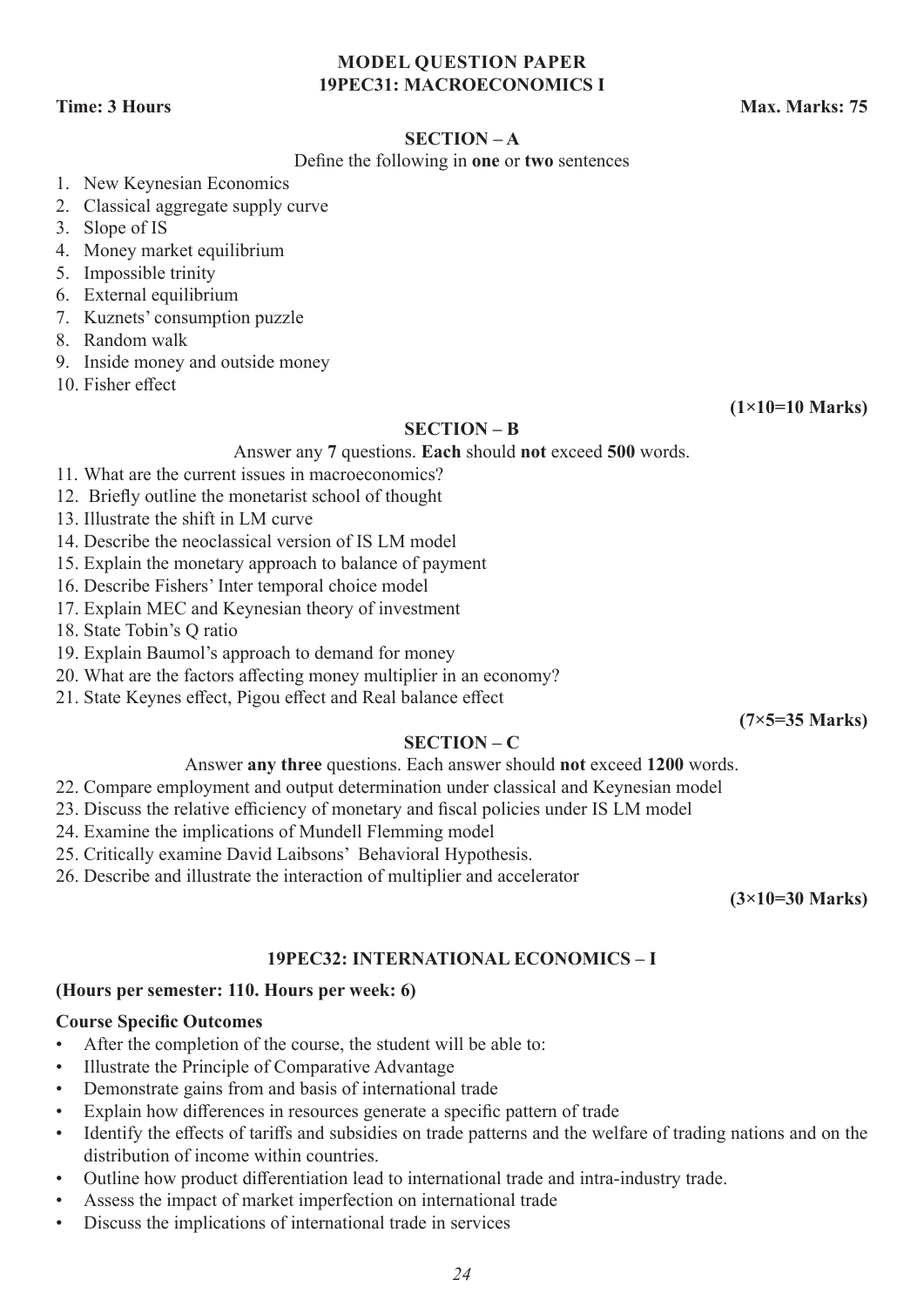#### **MODEL QUESTION PAPER 19PEC31: MACROECONOMICS I**

**Time: 3 Hours Max. Marks: 75** 

#### **SECTION – A**

#### Define the following in **one** or **two** sentences

- 1. New Keynesian Economics
- 2. Classical aggregate supply curve
- 3. Slope of IS
- 4. Money market equilibrium
- 5. Impossible trinity
- 6. External equilibrium
- 7. Kuznets' consumption puzzle
- 8. Random walk
- 9. Inside money and outside money
- 10. Fisher effect

#### **(1×10=10 Marks)**

#### **SECTION – B**

Answer any **7** questions. **Each** should **not** exceed **500** words.

- 11. What are the current issues in macroeconomics?
- 12. Briefly outline the monetarist school of thought
- 13. Illustrate the shift in LM curve
- 14. Describe the neoclassical version of IS LM model
- 15. Explain the monetary approach to balance of payment
- 16. Describe Fishers' Inter temporal choice model
- 17. Explain MEC and Keynesian theory of investment
- 18. State Tobin's Q ratio
- 19. Explain Baumol's approach to demand for money
- 20. What are the factors affecting money multiplier in an economy?
- 21. State Keynes effect, Pigou effect and Real balance effect

**(7×5=35 Marks)**

#### **SECTION – C**

#### Answer **any three** questions. Each answer should **not** exceed **1200** words.

- 22. Compare employment and output determination under classical and Keynesian model
- 23. Discuss the relative efficiency of monetary and fiscal policies under IS LM model
- 24. Examine the implications of Mundell Flemming model
- 25. Critically examine David Laibsons' Behavioral Hypothesis.
- 26. Describe and illustrate the interaction of multiplier and accelerator

**(3×10=30 Marks)**

#### **19PEC32: INTERNATIONAL ECONOMICS – I**

#### **(Hours per semester: 110. Hours per week: 6)**

#### **Course Specific Outcomes**

- After the completion of the course, the student will be able to:
- Illustrate the Principle of Comparative Advantage
- Demonstrate gains from and basis of international trade
- Explain how differences in resources generate a specific pattern of trade
- Identify the effects of tariffs and subsidies on trade patterns and the welfare of trading nations and on the distribution of income within countries.
- Outline how product differentiation lead to international trade and intra-industry trade.
- Assess the impact of market imperfection on international trade
- Discuss the implications of international trade in services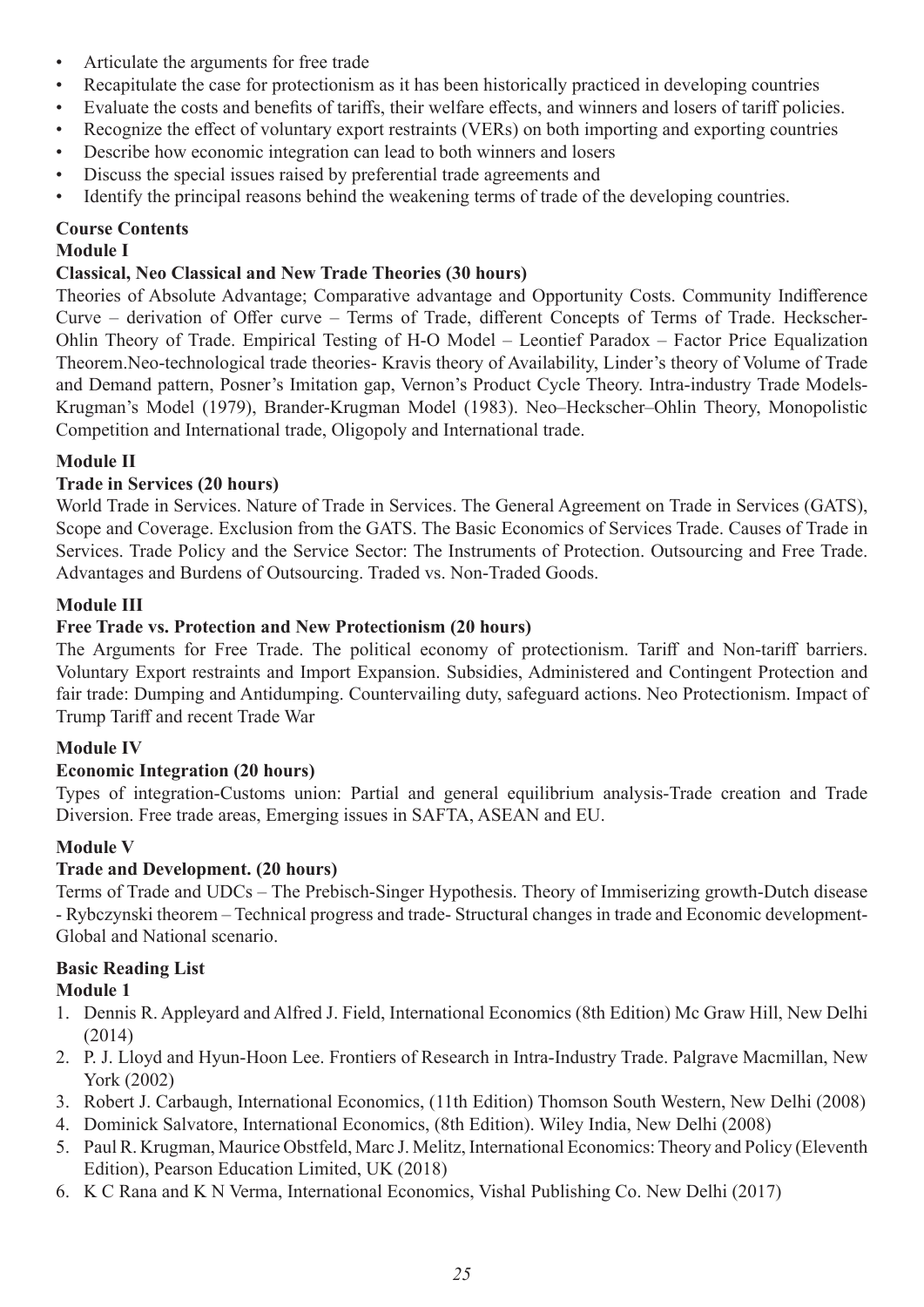- Articulate the arguments for free trade
- Recapitulate the case for protectionism as it has been historically practiced in developing countries
- Evaluate the costs and benefits of tariffs, their welfare effects, and winners and losers of tariff policies.
- Recognize the effect of voluntary export restraints (VERs) on both importing and exporting countries
- Describe how economic integration can lead to both winners and losers
- Discuss the special issues raised by preferential trade agreements and
- Identify the principal reasons behind the weakening terms of trade of the developing countries.

#### **Course Contents**

#### **Module I**

#### **Classical, Neo Classical and New Trade Theories (30 hours)**

Theories of Absolute Advantage; Comparative advantage and Opportunity Costs. Community Indifference Curve – derivation of Offer curve – Terms of Trade, different Concepts of Terms of Trade. Heckscher-Ohlin Theory of Trade. Empirical Testing of H-O Model – Leontief Paradox – Factor Price Equalization Theorem.Neo-technological trade theories- Kravis theory of Availability, Linder's theory of Volume of Trade and Demand pattern, Posner's Imitation gap, Vernon's Product Cycle Theory. Intra-industry Trade Models-Krugman's Model (1979), Brander-Krugman Model (1983). Neo–Heckscher–Ohlin Theory, Monopolistic Competition and International trade, Oligopoly and International trade.

#### **Module II**

#### **Trade in Services (20 hours)**

World Trade in Services. Nature of Trade in Services. The General Agreement on Trade in Services (GATS), Scope and Coverage. Exclusion from the GATS. The Basic Economics of Services Trade. Causes of Trade in Services. Trade Policy and the Service Sector: The Instruments of Protection. Outsourcing and Free Trade. Advantages and Burdens of Outsourcing. Traded vs. Non-Traded Goods.

#### **Module III**

#### **Free Trade vs. Protection and New Protectionism (20 hours)**

The Arguments for Free Trade. The political economy of protectionism. Tariff and Non-tariff barriers. Voluntary Export restraints and Import Expansion. Subsidies, Administered and Contingent Protection and fair trade: Dumping and Antidumping. Countervailing duty, safeguard actions. Neo Protectionism. Impact of Trump Tariff and recent Trade War

#### **Module IV**

#### **Economic Integration (20 hours)**

Types of integration-Customs union: Partial and general equilibrium analysis-Trade creation and Trade Diversion. Free trade areas, Emerging issues in SAFTA, ASEAN and EU.

#### **Module V**

#### **Trade and Development. (20 hours)**

Terms of Trade and UDCs – The Prebisch-Singer Hypothesis. Theory of Immiserizing growth-Dutch disease - Rybczynski theorem – Technical progress and trade- Structural changes in trade and Economic development-Global and National scenario.

# **Basic Reading List**

#### **Module 1**

- 1. Dennis R. Appleyard and Alfred J. Field, International Economics (8th Edition) Mc Graw Hill, New Delhi (2014)
- 2. P. J. Lloyd and Hyun-Hoon Lee. Frontiers of Research in Intra-Industry Trade. Palgrave Macmillan, New York (2002)
- 3. Robert J. Carbaugh, International Economics, (11th Edition) Thomson South Western, New Delhi (2008)
- 4. Dominick Salvatore, International Economics, (8th Edition). Wiley India, New Delhi (2008)
- 5. Paul R. Krugman, Maurice Obstfeld, Marc J. Melitz, International Economics: Theory and Policy (Eleventh Edition), Pearson Education Limited, UK (2018)
- 6. K C Rana and K N Verma, International Economics, Vishal Publishing Co. New Delhi (2017)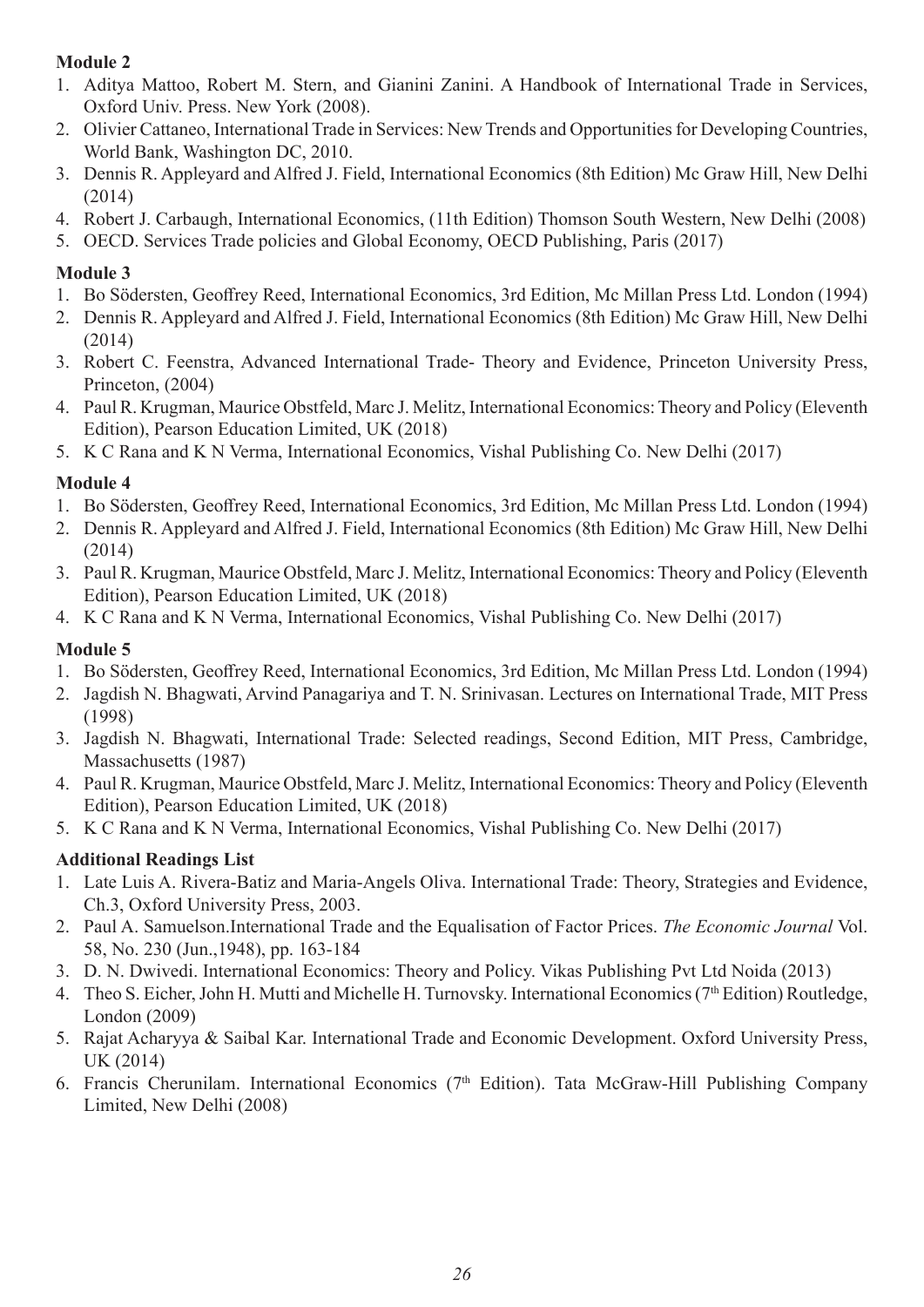### **Module 2**

- 1. Aditya Mattoo, Robert M. Stern, and Gianini Zanini. A Handbook of International Trade in Services, Oxford Univ. Press. New York (2008).
- 2. Olivier Cattaneo, International Trade in Services: New Trends and Opportunities for Developing Countries, World Bank, Washington DC, 2010.
- 3. Dennis R. Appleyard and Alfred J. Field, International Economics (8th Edition) Mc Graw Hill, New Delhi (2014)
- 4. Robert J. Carbaugh, International Economics, (11th Edition) Thomson South Western, New Delhi (2008)
- 5. OECD. Services Trade policies and Global Economy, OECD Publishing, Paris (2017)

#### **Module 3**

- 1. Bo Södersten, Geoffrey Reed, International Economics, 3rd Edition, Mc Millan Press Ltd. London (1994)
- 2. Dennis R. Appleyard and Alfred J. Field, International Economics (8th Edition) Mc Graw Hill, New Delhi (2014)
- 3. Robert C. Feenstra, Advanced International Trade- Theory and Evidence, Princeton University Press, Princeton, (2004)
- 4. Paul R. Krugman, Maurice Obstfeld, Marc J. Melitz, International Economics: Theory and Policy (Eleventh Edition), Pearson Education Limited, UK (2018)
- 5. K C Rana and K N Verma, International Economics, Vishal Publishing Co. New Delhi (2017)

### **Module 4**

- 1. Bo Södersten, Geoffrey Reed, International Economics, 3rd Edition, Mc Millan Press Ltd. London (1994)
- 2. Dennis R. Appleyard and Alfred J. Field, International Economics (8th Edition) Mc Graw Hill, New Delhi (2014)
- 3. Paul R. Krugman, Maurice Obstfeld, Marc J. Melitz, International Economics: Theory and Policy (Eleventh Edition), Pearson Education Limited, UK (2018)
- 4. K C Rana and K N Verma, International Economics, Vishal Publishing Co. New Delhi (2017)

### **Module 5**

- 1. Bo Södersten, Geoffrey Reed, International Economics, 3rd Edition, Mc Millan Press Ltd. London (1994)
- 2. Jagdish N. Bhagwati, Arvind Panagariya and T. N. Srinivasan. Lectures on International Trade, MIT Press (1998)
- 3. Jagdish N. Bhagwati, International Trade: Selected readings, Second Edition, MIT Press, Cambridge, Massachusetts (1987)
- 4. Paul R. Krugman, Maurice Obstfeld, Marc J. Melitz, International Economics: Theory and Policy (Eleventh Edition), Pearson Education Limited, UK (2018)
- 5. K C Rana and K N Verma, International Economics, Vishal Publishing Co. New Delhi (2017)

### **Additional Readings List**

- 1. Late Luis A. Rivera-Batiz and Maria-Angels Oliva. International Trade: Theory, Strategies and Evidence, Ch.3, Oxford University Press, 2003.
- 2. Paul A. Samuelson.International Trade and the Equalisation of Factor Prices. *The Economic Journal* Vol. 58, No. 230 (Jun.,1948), pp. 163-184
- 3. D. N. Dwivedi. International Economics: Theory and Policy. Vikas Publishing Pvt Ltd Noida (2013)
- 4. Theo S. Eicher, John H. Mutti and Michelle H. Turnovsky. International Economics (7<sup>th</sup> Edition) Routledge, London (2009)
- 5. Rajat Acharyya & Saibal Kar. International Trade and Economic Development. Oxford University Press, UK (2014)
- 6. Francis Cherunilam. International Economics (7th Edition). Tata McGraw-Hill Publishing Company Limited, New Delhi (2008)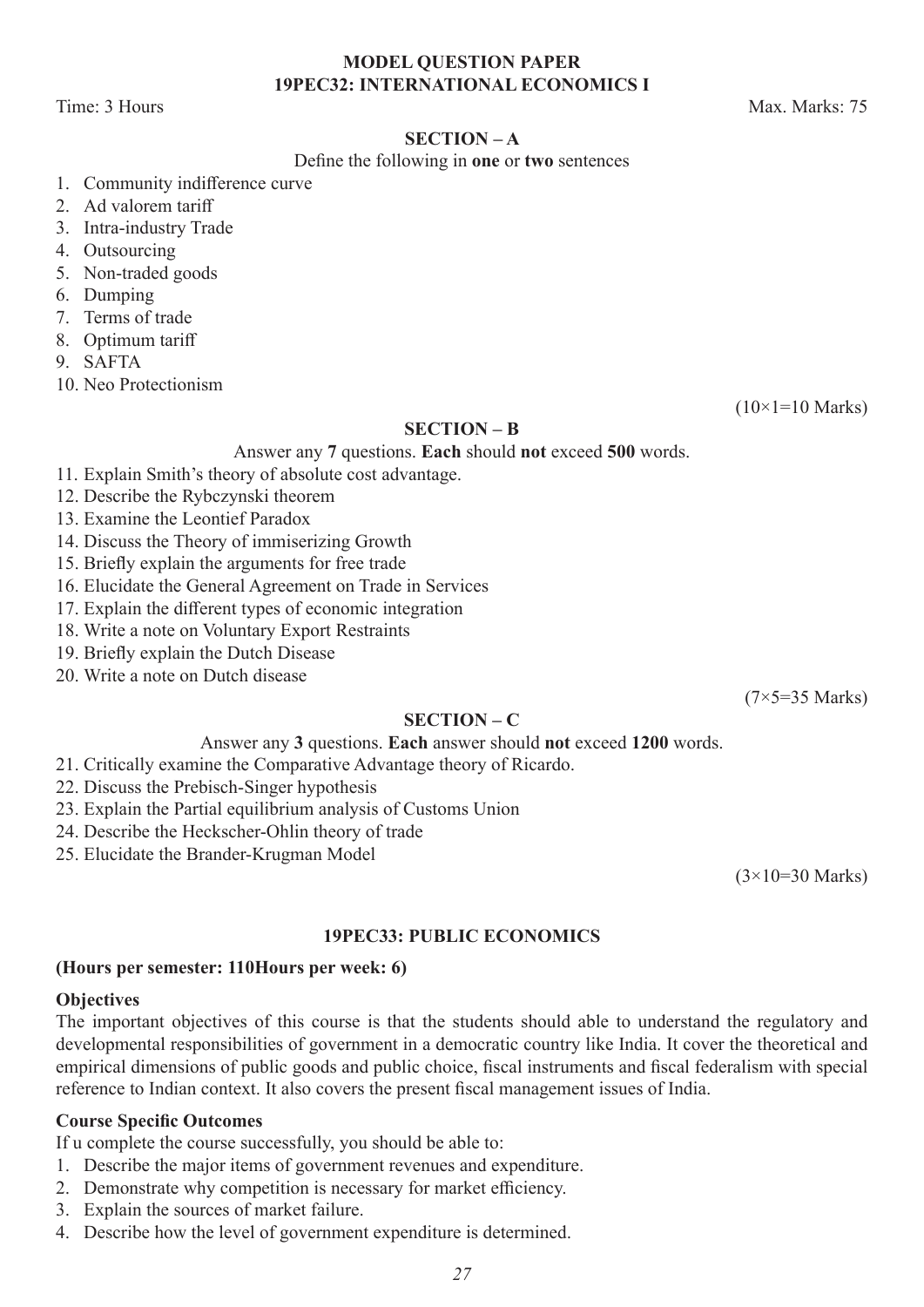#### **MODEL QUESTION PAPER 19PEC32: INTERNATIONAL ECONOMICS I**

Time: 3 Hours Max. Marks: 75

#### **SECTION – A**

#### Define the following in **one** or **two** sentences

- 1. Community indifference curve
- 2. Ad valorem tariff
- 3. Intra-industry Trade
- 4. Outsourcing
- 5. Non-traded goods
- 6. Dumping
- 7. Terms of trade
- 8. Optimum tariff
- 9. SAFTA
- 10. Neo Protectionism

 $(10\times1=10 \text{ Marks})$ 

#### **SECTION – B**

Answer any **7** questions. **Each** should **not** exceed **500** words.

- 11. Explain Smith's theory of absolute cost advantage.
- 12. Describe the Rybczynski theorem
- 13. Examine the Leontief Paradox
- 14. Discuss the Theory of immiserizing Growth
- 15. Briefly explain the arguments for free trade
- 16. Elucidate the General Agreement on Trade in Services
- 17. Explain the different types of economic integration
- 18. Write a note on Voluntary Export Restraints
- 19. Briefly explain the Dutch Disease
- 20. Write a note on Dutch disease

(7×5=35 Marks)

#### **SECTION – C**

#### Answer any **3** questions. **Each** answer should **not** exceed **1200** words.

- 21. Critically examine the Comparative Advantage theory of Ricardo.
- 22. Discuss the Prebisch-Singer hypothesis
- 23. Explain the Partial equilibrium analysis of Customs Union
- 24. Describe the Heckscher-Ohlin theory of trade
- 25. Elucidate the Brander-Krugman Model

(3×10=30 Marks)

#### **19PEC33: PUBLIC ECONOMICS**

#### **(Hours per semester: 110Hours per week: 6)**

#### **Objectives**

The important objectives of this course is that the students should able to understand the regulatory and developmental responsibilities of government in a democratic country like India. It cover the theoretical and empirical dimensions of public goods and public choice, fiscal instruments and fiscal federalism with special reference to Indian context. It also covers the present fiscal management issues of India.

#### **Course Specific Outcomes**

If u complete the course successfully, you should be able to:

- 1. Describe the major items of government revenues and expenditure.
- 2. Demonstrate why competition is necessary for market efficiency.
- 3. Explain the sources of market failure.
- 4. Describe how the level of government expenditure is determined.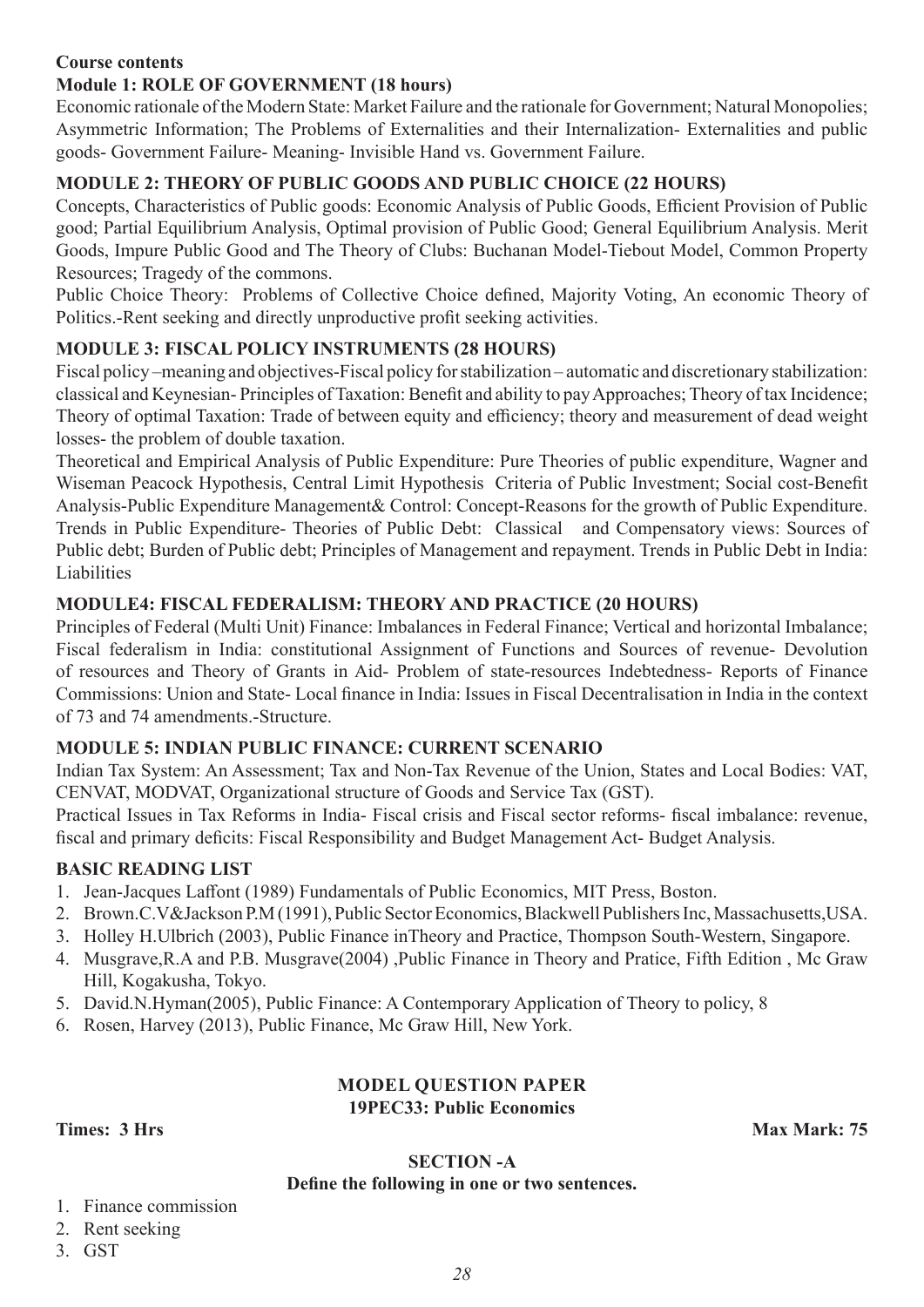#### **Course contents**

#### **Module 1: ROLE OF GOVERNMENT (18 hours)**

Economic rationale of the Modern State: Market Failure and the rationale for Government; Natural Monopolies; Asymmetric Information; The Problems of Externalities and their Internalization- Externalities and public goods- Government Failure- Meaning- Invisible Hand vs. Government Failure.

#### **MODULE 2: THEORY OF PUBLIC GOODS AND PUBLIC CHOICE (22 HOURS)**

Concepts, Characteristics of Public goods: Economic Analysis of Public Goods, Efficient Provision of Public good; Partial Equilibrium Analysis, Optimal provision of Public Good; General Equilibrium Analysis. Merit Goods, Impure Public Good and The Theory of Clubs: Buchanan Model-Tiebout Model, Common Property Resources; Tragedy of the commons.

Public Choice Theory: Problems of Collective Choice defined, Majority Voting, An economic Theory of Politics.-Rent seeking and directly unproductive profit seeking activities.

#### **MODULE 3: FISCAL POLICY INSTRUMENTS (28 HOURS)**

Fiscal policy –meaning and objectives-Fiscal policy for stabilization – automatic and discretionary stabilization: classical and Keynesian- Principles of Taxation: Benefit and ability to pay Approaches; Theory of tax Incidence; Theory of optimal Taxation: Trade of between equity and efficiency; theory and measurement of dead weight losses- the problem of double taxation.

Theoretical and Empirical Analysis of Public Expenditure: Pure Theories of public expenditure, Wagner and Wiseman Peacock Hypothesis, Central Limit Hypothesis Criteria of Public Investment; Social cost-Benefit Analysis-Public Expenditure Management& Control: Concept-Reasons for the growth of Public Expenditure. Trends in Public Expenditure- Theories of Public Debt: Classical and Compensatory views: Sources of Public debt; Burden of Public debt; Principles of Management and repayment. Trends in Public Debt in India: Liabilities

#### **MODULE4: FISCAL FEDERALISM: THEORY AND PRACTICE (20 HOURS)**

Principles of Federal (Multi Unit) Finance: Imbalances in Federal Finance; Vertical and horizontal Imbalance; Fiscal federalism in India: constitutional Assignment of Functions and Sources of revenue- Devolution of resources and Theory of Grants in Aid- Problem of state-resources Indebtedness- Reports of Finance Commissions: Union and State- Local finance in India: Issues in Fiscal Decentralisation in India in the context of 73 and 74 amendments.-Structure.

#### **MODULE 5: INDIAN PUBLIC FINANCE: CURRENT SCENARIO**

Indian Tax System: An Assessment; Tax and Non-Tax Revenue of the Union, States and Local Bodies: VAT, CENVAT, MODVAT, Organizational structure of Goods and Service Tax (GST).

Practical Issues in Tax Reforms in India- Fiscal crisis and Fiscal sector reforms- fiscal imbalance: revenue, fiscal and primary deficits: Fiscal Responsibility and Budget Management Act- Budget Analysis.

#### **BASIC READING LIST**

- 1. Jean-Jacques Laffont (1989) Fundamentals of Public Economics, MIT Press, Boston.
- 2. Brown.C.V&Jackson P.M (1991), Public Sector Economics, Blackwell Publishers Inc, Massachusetts,USA.
- 3. Holley H.Ulbrich (2003), Public Finance inTheory and Practice, Thompson South-Western, Singapore.
- 4. Musgrave,R.A and P.B. Musgrave(2004) ,Public Finance in Theory and Pratice, Fifth Edition , Mc Graw Hill, Kogakusha, Tokyo.
- 5. David.N.Hyman(2005), Public Finance: A Contemporary Application of Theory to policy, 8
- 6. Rosen, Harvey (2013), Public Finance, Mc Graw Hill, New York.

#### **MODEL QUESTION PAPER 19PEC33: Public Economics**

**Times: 3 Hrs Max Mark: 75** 

#### **SECTION -A**

#### **Define the following in one or two sentences.**

#### 1. Finance commission

#### 2. Rent seeking

3. GST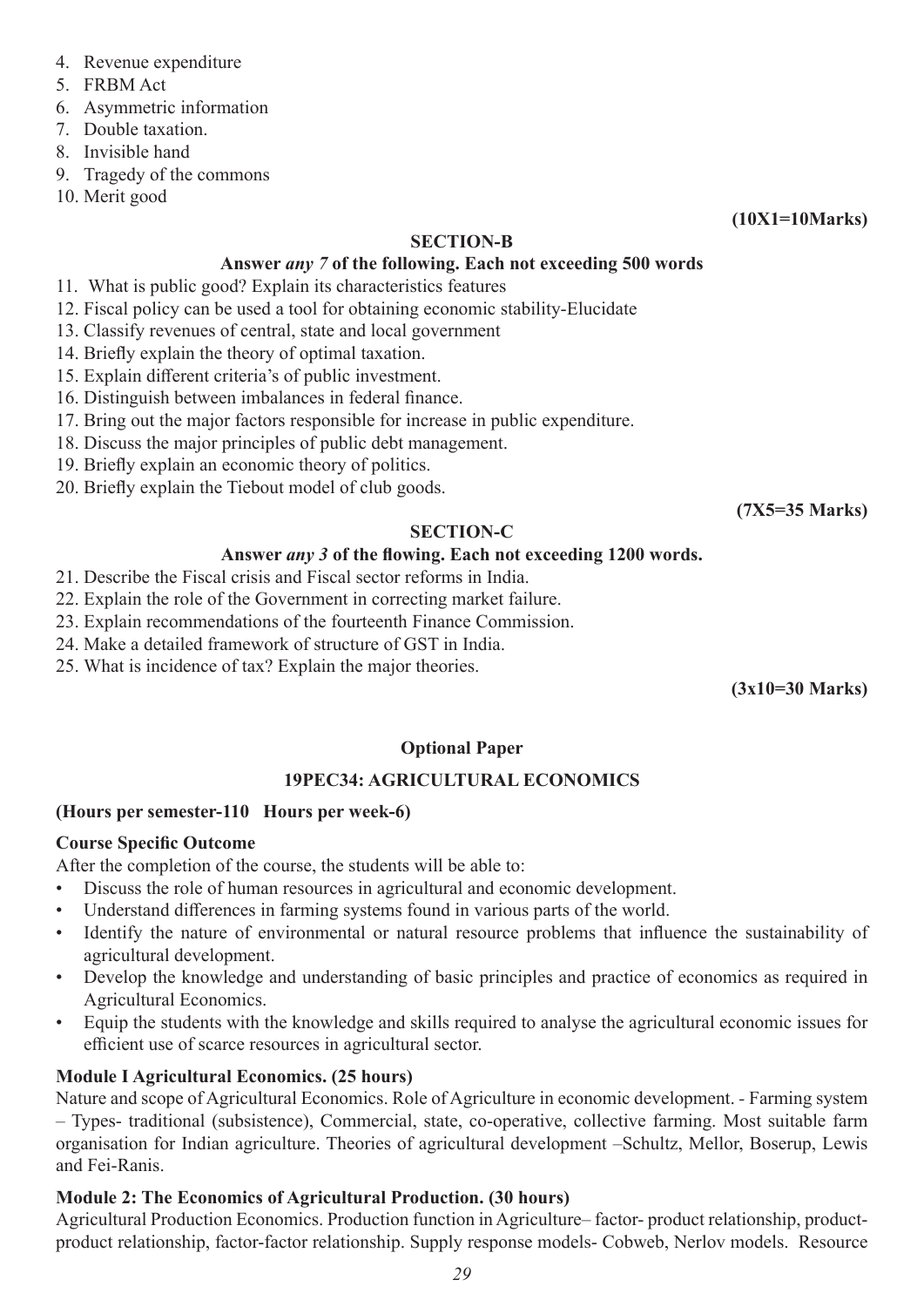- 4. Revenue expenditure
- 5. FRBM Act
- 6. Asymmetric information
- 7. Double taxation.
- 8. Invisible hand
- 9. Tragedy of the commons
- 10. Merit good

#### **SECTION-B**

#### **Answer** *any 7* **of the following. Each not exceeding 500 words**

- 11. What is public good? Explain its characteristics features
- 12. Fiscal policy can be used a tool for obtaining economic stability-Elucidate
- 13. Classify revenues of central, state and local government
- 14. Briefly explain the theory of optimal taxation.
- 15. Explain different criteria's of public investment.
- 16. Distinguish between imbalances in federal finance.
- 17. Bring out the major factors responsible for increase in public expenditure.
- 18. Discuss the major principles of public debt management.
- 19. Briefly explain an economic theory of politics.
- 20. Briefly explain the Tiebout model of club goods.

**(7X5=35 Marks)**

**(10X1=10Marks)**

#### **SECTION-C**

#### **Answer** *any 3* **of the flowing. Each not exceeding 1200 words.**

- 21. Describe the Fiscal crisis and Fiscal sector reforms in India.
- 22. Explain the role of the Government in correcting market failure.
- 23. Explain recommendations of the fourteenth Finance Commission.
- 24. Make a detailed framework of structure of GST in India.
- 25. What is incidence of tax? Explain the major theories.

**(3x10=30 Marks)**

#### **Optional Paper**

#### **19PEC34: AGRICULTURAL ECONOMICS**

#### **(Hours per semester-110 Hours per week-6)**

#### **Course Specific Outcome**

After the completion of the course, the students will be able to:

- Discuss the role of human resources in agricultural and economic development.
- Understand differences in farming systems found in various parts of the world.
- Identify the nature of environmental or natural resource problems that influence the sustainability of agricultural development.
- Develop the knowledge and understanding of basic principles and practice of economics as required in Agricultural Economics.
- Equip the students with the knowledge and skills required to analyse the agricultural economic issues for efficient use of scarce resources in agricultural sector.

#### **Module I Agricultural Economics. (25 hours)**

Nature and scope of Agricultural Economics. Role of Agriculture in economic development. *-* Farming system – Types- traditional (subsistence), Commercial, state, co-operative, collective farming. Most suitable farm organisation for Indian agriculture. Theories of agricultural development –Schultz, Mellor, Boserup, Lewis and Fei-Ranis.

### **Module 2: The Economics of Agricultural Production. (30 hours)**

Agricultural Production Economics. Production function in Agriculture– factor- product relationship, productproduct relationship, factor-factor relationship. Supply response models- Cobweb, Nerlov models. Resource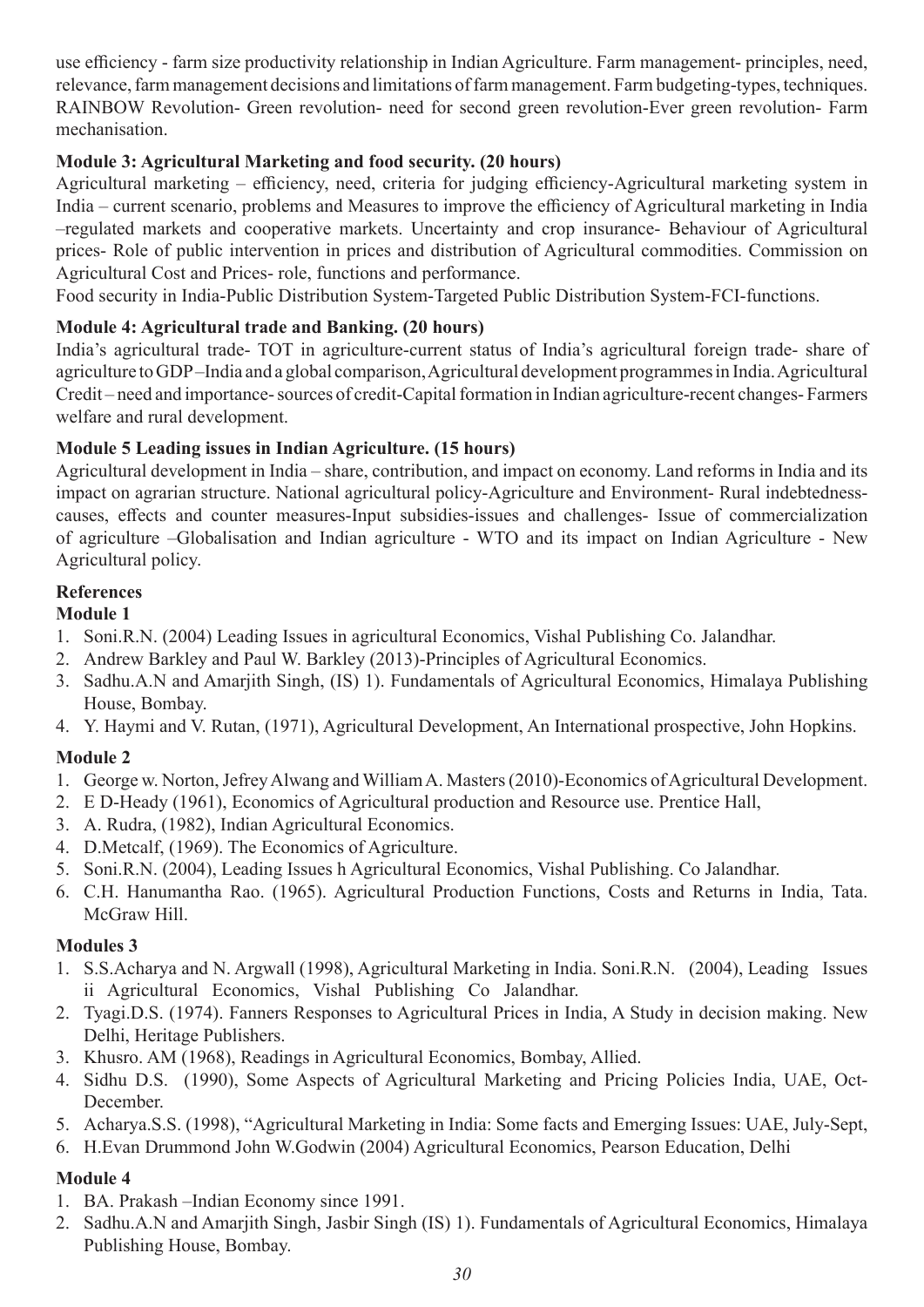use efficiency - farm size productivity relationship in Indian Agriculture. Farm management- principles, need, relevance, farm management decisions and limitations of farm management. Farm budgeting-types, techniques. RAINBOW Revolution- Green revolution- need for second green revolution-Ever green revolution- Farm mechanisation.

#### **Module 3: Agricultural Marketing and food security. (20 hours)**

Agricultural marketing – efficiency, need, criteria for judging efficiency-Agricultural marketing system in India – current scenario, problems and Measures to improve the efficiency of Agricultural marketing in India –regulated markets and cooperative markets. Uncertainty and crop insurance- Behaviour of Agricultural prices- Role of public intervention in prices and distribution of Agricultural commodities. Commission on Agricultural Cost and Prices- role, functions and performance.

Food security in India-Public Distribution System-Targeted Public Distribution System-FCI-functions.

#### **Module 4: Agricultural trade and Banking. (20 hours)**

India's agricultural trade- TOT in agriculture-current status of India's agricultural foreign trade- share of agriculture to GDP –India and a global comparison, Agricultural development programmes in India. Agricultural Credit – need and importance- sources of credit-Capital formation in Indian agriculture-recent changes- Farmers welfare and rural development.

#### **Module 5 Leading issues in Indian Agriculture. (15 hours)**

Agricultural development in India – share, contribution, and impact on economy. Land reforms in India and its impact on agrarian structure. National agricultural policy-Agriculture and Environment- Rural indebtednesscauses, effects and counter measures-Input subsidies-issues and challenges- Issue of commercialization of agriculture –Globalisation and Indian agriculture - WTO and its impact on Indian Agriculture - New Agricultural policy.

#### **References**

#### **Module 1**

- 1. Soni.R.N. (2004) Leading Issues in agricultural Economics, Vishal Publishing Co. Jalandhar.
- 2. Andrew Barkley and Paul W. Barkley (2013)-Principles of Agricultural Economics.
- 3. Sadhu.A.N and Amarjith Singh, (IS) 1). Fundamentals of Agricultural Economics, Himalaya Publishing House, Bombay.
- 4. Y. Haymi and V. Rutan, (1971), Agricultural Development, An International prospective, John Hopkins.

#### **Module 2**

- 1. George w. Norton, Jefrey Alwang and William A. Masters (2010)-Economics of Agricultural Development.
- 2. E D-Heady (1961), Economics of Agricultural production and Resource use. Prentice Hall,
- 3. A. Rudra, (1982), Indian Agricultural Economics.
- 4. D.Metcalf, (1969). The Economics of Agriculture.
- 5. Soni.R.N. (2004), Leading Issues h Agricultural Economics, Vishal Publishing. Co Jalandhar.
- 6. C.H. Hanumantha Rao. (1965). Agricultural Production Functions, Costs and Returns in India, Tata. McGraw Hill.

#### **Modules 3**

- 1. S.S.Acharya and N. Argwall (1998), Agricultural Marketing in India. Soni.R.N. (2004), Leading Issues ii Agricultural Economics, Vishal Publishing Co Jalandhar.
- 2. Tyagi.D.S. (1974). Fanners Responses to Agricultural Prices in India, A Study in decision making. New Delhi, Heritage Publishers.
- 3. Khusro. AM (1968), Readings in Agricultural Economics, Bombay, Allied.
- 4. Sidhu D.S. (1990), Some Aspects of Agricultural Marketing and Pricing Policies India, UAE, Oct-December.
- 5. Acharya.S.S. (1998), "Agricultural Marketing in India: Some facts and Emerging Issues: UAE, July-Sept,
- 6. H.Evan Drummond John W.Godwin (2004) Agricultural Economics, Pearson Education, Delhi

#### **Module 4**

- 1. BA. Prakash –Indian Economy since 1991.
- 2. Sadhu.A.N and Amarjith Singh, Jasbir Singh (IS) 1). Fundamentals of Agricultural Economics, Himalaya Publishing House, Bombay.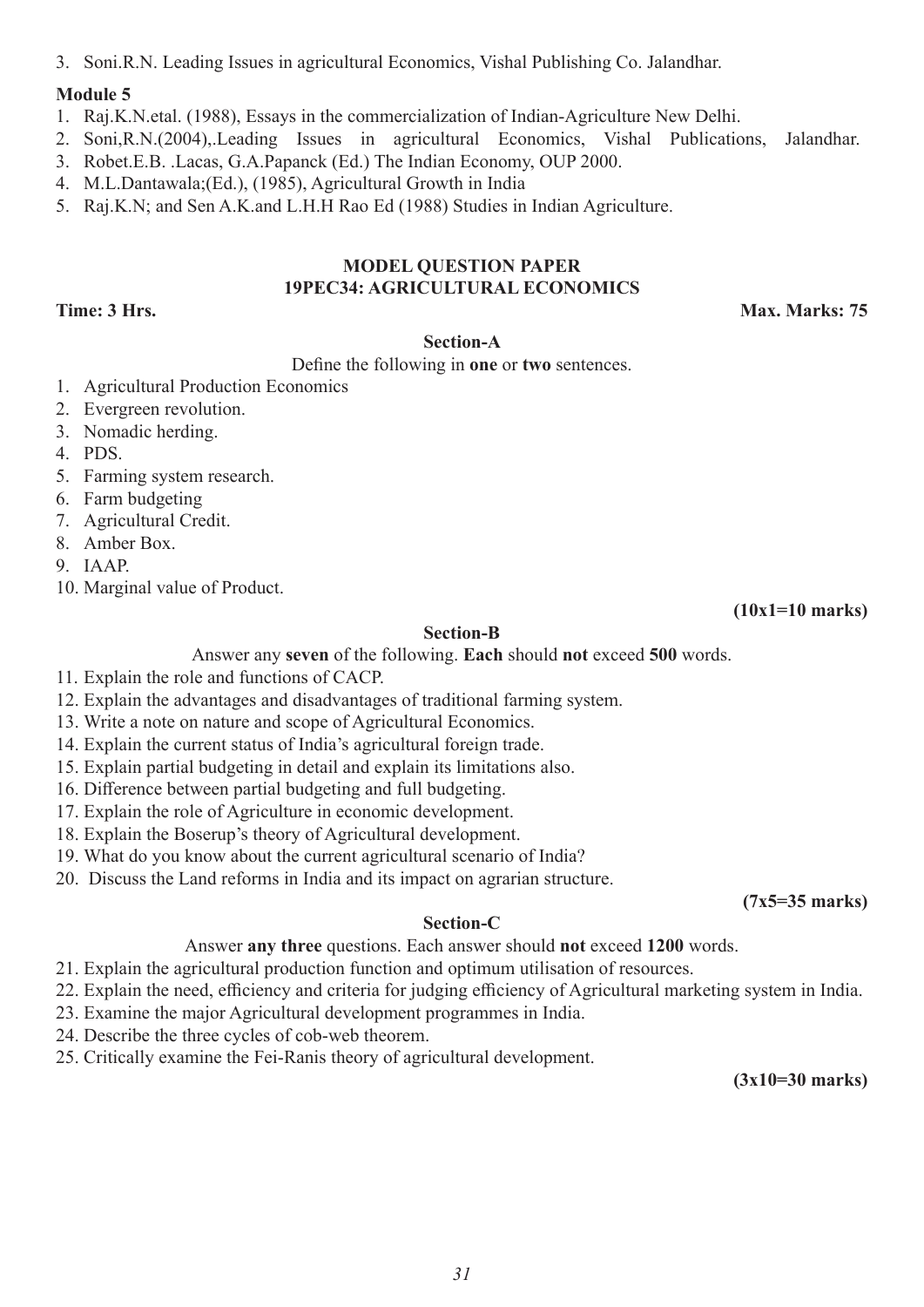#### **Module 5**

1. Raj.K.N.etal. (1988), Essays in the commercialization of Indian-Agriculture New Delhi.

2. Soni,R.N.(2004),.Leading Issues in agricultural Economics, Vishal Publications, Jalandhar.

- 3. Robet.E.B. .Lacas, G.A.Papanck (Ed.) The Indian Economy, OUP 2000.
- 4. M.L.Dantawala;(Ed.), (1985), Agricultural Growth in India
- 5. Raj.K.N; and Sen A.K.and L.H.H Rao Ed (1988) Studies in Indian Agriculture.

#### **MODEL QUESTION PAPER 19PEC34: AGRICULTURAL ECONOMICS**

**Time: 3 Hrs. Max. Marks: 75**

#### **Section-A**

Define the following in **one** or **two** sentences.

- 1. Agricultural Production Economics
- 2. Evergreen revolution.
- 3. Nomadic herding.
- 4. PDS.
- 5. Farming system research.
- 6. Farm budgeting
- 7. Agricultural Credit.
- 8. Amber Box.
- 9. IAAP.
- 10. Marginal value of Product.

**(10x1=10 marks)**

#### **Section-B**

Answer any **seven** of the following. **Each** should **not** exceed **500** words.

- 11. Explain the role and functions of CACP.
- 12. Explain the advantages and disadvantages of traditional farming system.
- 13. Write a note on nature and scope of Agricultural Economics.
- 14. Explain the current status of India's agricultural foreign trade.
- 15. Explain partial budgeting in detail and explain its limitations also.
- 16. Difference between partial budgeting and full budgeting.
- 17. Explain the role of Agriculture in economic development.
- 18. Explain the Boserup's theory of Agricultural development.
- 19. What do you know about the current agricultural scenario of India?
- 20. Discuss the Land reforms in India and its impact on agrarian structure.

#### **Section-C**

Answer **any three** questions. Each answer should **not** exceed **1200** words.

- 21. Explain the agricultural production function and optimum utilisation of resources.
- 22. Explain the need, efficiency and criteria for judging efficiency of Agricultural marketing system in India.
- 23. Examine the major Agricultural development programmes in India.
- 24. Describe the three cycles of cob-web theorem.
- 25. Critically examine the Fei-Ranis theory of agricultural development.

**(3x10=30 marks)**

**(7x5=35 marks)**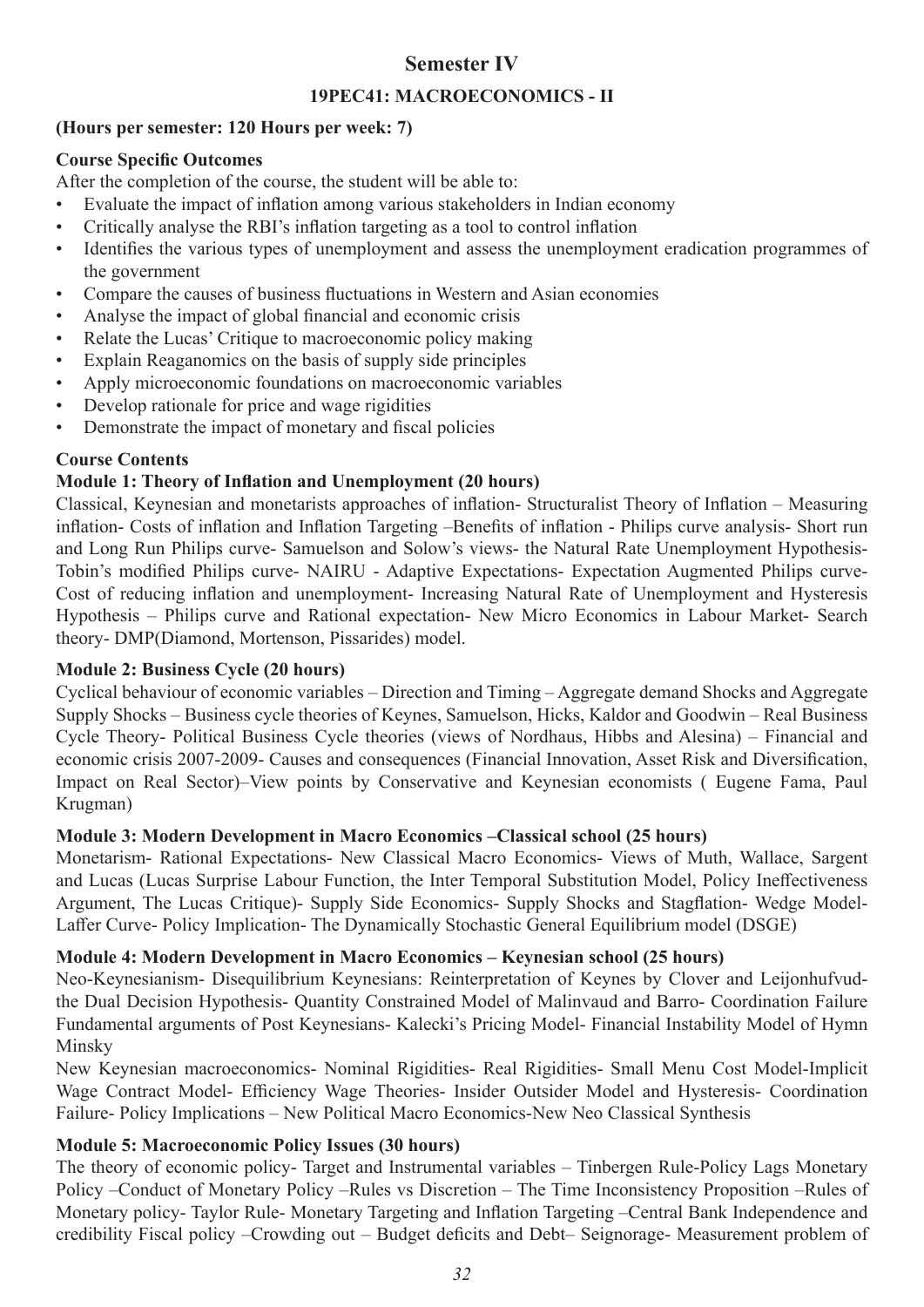### **Semester IV**

#### **19PEC41: MACROECONOMICS - II**

#### **(Hours per semester: 120 Hours per week: 7)**

#### **Course Specific Outcomes**

After the completion of the course, the student will be able to:

- Evaluate the impact of inflation among various stakeholders in Indian economy
- Critically analyse the RBI's inflation targeting as a tool to control inflation
- Identifies the various types of unemployment and assess the unemployment eradication programmes of the government
- Compare the causes of business fluctuations in Western and Asian economies
- Analyse the impact of global financial and economic crisis
- Relate the Lucas' Critique to macroeconomic policy making
- Explain Reaganomics on the basis of supply side principles
- Apply microeconomic foundations on macroeconomic variables
- Develop rationale for price and wage rigidities
- Demonstrate the impact of monetary and fiscal policies

#### **Course Contents**

#### **Module 1: Theory of Inflation and Unemployment (20 hours)**

Classical, Keynesian and monetarists approaches of inflation- Structuralist Theory of Inflation – Measuring inflation- Costs of inflation and Inflation Targeting –Benefits of inflation - Philips curve analysis- Short run and Long Run Philips curve- Samuelson and Solow's views- the Natural Rate Unemployment Hypothesis-Tobin's modified Philips curve- NAIRU - Adaptive Expectations- Expectation Augmented Philips curve-Cost of reducing inflation and unemployment- Increasing Natural Rate of Unemployment and Hysteresis Hypothesis – Philips curve and Rational expectation- New Micro Economics in Labour Market- Search theory- DMP(Diamond, Mortenson, Pissarides) model.

#### **Module 2: Business Cycle (20 hours)**

Cyclical behaviour of economic variables – Direction and Timing – Aggregate demand Shocks and Aggregate Supply Shocks – Business cycle theories of Keynes, Samuelson, Hicks, Kaldor and Goodwin – Real Business Cycle Theory- Political Business Cycle theories (views of Nordhaus, Hibbs and Alesina) – Financial and economic crisis 2007-2009- Causes and consequences (Financial Innovation, Asset Risk and Diversification, Impact on Real Sector)–View points by Conservative and Keynesian economists ( Eugene Fama, Paul Krugman)

#### **Module 3: Modern Development in Macro Economics –Classical school (25 hours)**

Monetarism- Rational Expectations- New Classical Macro Economics- Views of Muth, Wallace, Sargent and Lucas (Lucas Surprise Labour Function, the Inter Temporal Substitution Model, Policy Ineffectiveness Argument, The Lucas Critique)- Supply Side Economics- Supply Shocks and Stagflation- Wedge Model-Laffer Curve- Policy Implication- The Dynamically Stochastic General Equilibrium model (DSGE)

### **Module 4: Modern Development in Macro Economics – Keynesian school (25 hours)**

Neo-Keynesianism- Disequilibrium Keynesians: Reinterpretation of Keynes by Clover and Leijonhufvudthe Dual Decision Hypothesis- Quantity Constrained Model of Malinvaud and Barro- Coordination Failure Fundamental arguments of Post Keynesians- Kalecki's Pricing Model- Financial Instability Model of Hymn Minsky

New Keynesian macroeconomics- Nominal Rigidities- Real Rigidities- Small Menu Cost Model-Implicit Wage Contract Model- Efficiency Wage Theories- Insider Outsider Model and Hysteresis- Coordination Failure- Policy Implications – New Political Macro Economics-New Neo Classical Synthesis

### **Module 5: Macroeconomic Policy Issues (30 hours)**

The theory of economic policy- Target and Instrumental variables – Tinbergen Rule-Policy Lags Monetary Policy –Conduct of Monetary Policy –Rules vs Discretion – The Time Inconsistency Proposition –Rules of Monetary policy- Taylor Rule- Monetary Targeting and Inflation Targeting –Central Bank Independence and credibility Fiscal policy –Crowding out – Budget deficits and Debt– Seignorage- Measurement problem of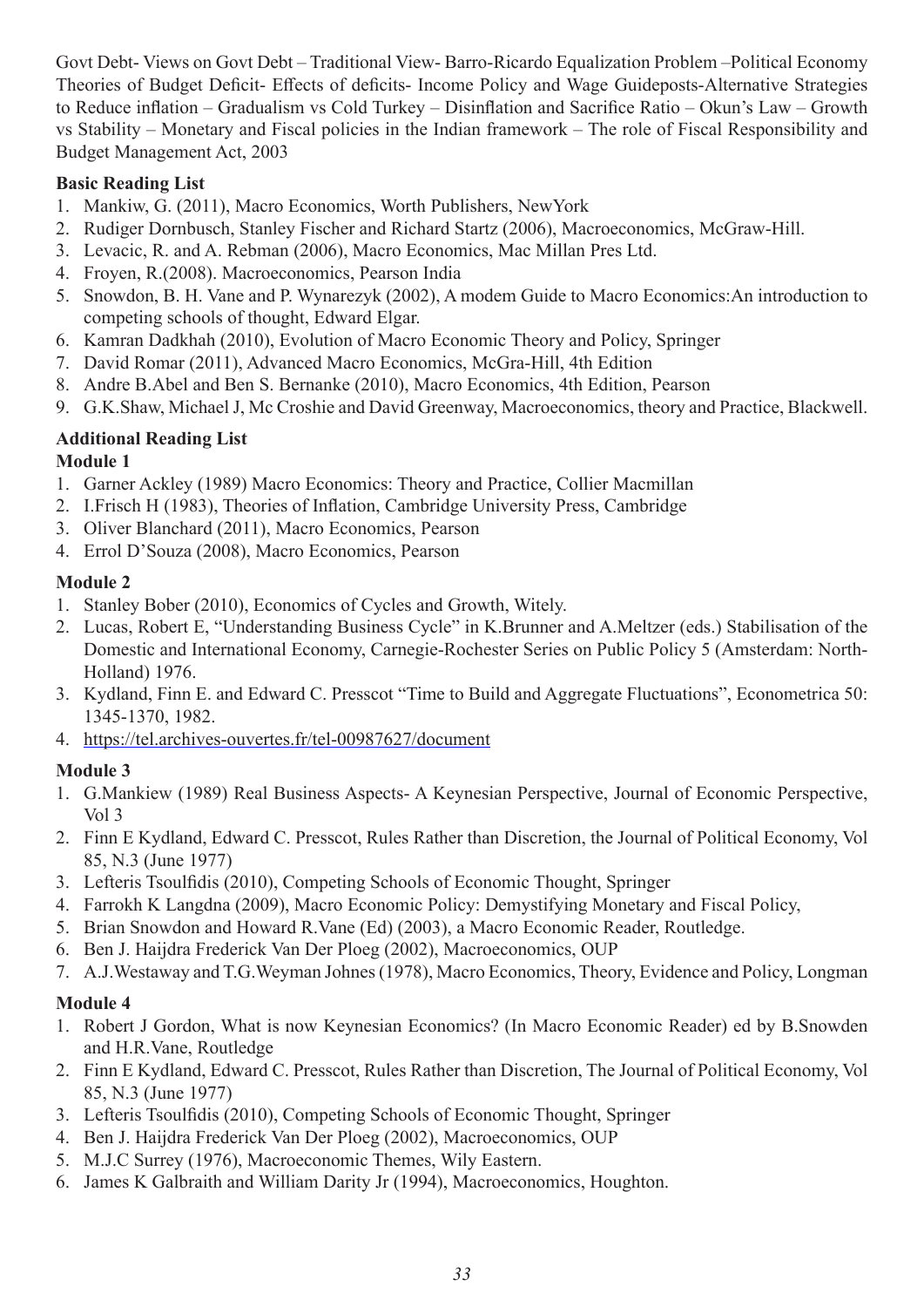Govt Debt- Views on Govt Debt – Traditional View- Barro-Ricardo Equalization Problem –Political Economy Theories of Budget Deficit- Effects of deficits- Income Policy and Wage Guideposts-Alternative Strategies to Reduce inflation – Gradualism vs Cold Turkey – Disinflation and Sacrifice Ratio – Okun's Law – Growth vs Stability – Monetary and Fiscal policies in the Indian framework – The role of Fiscal Responsibility and Budget Management Act, 2003

#### **Basic Reading List**

- 1. Mankiw, G. (2011), Macro Economics, Worth Publishers, NewYork
- 2. Rudiger Dornbusch, Stanley Fischer and Richard Startz (2006), Macroeconomics, McGraw-Hill.
- 3. Levacic, R. and A. Rebman (2006), Macro Economics, Mac Millan Pres Ltd.
- 4. Froyen, R.(2008). Macroeconomics, Pearson India
- 5. Snowdon, B. H. Vane and P. Wynarezyk (2002), A modem Guide to Macro Economics:An introduction to competing schools of thought, Edward Elgar.
- 6. Kamran Dadkhah (2010), Evolution of Macro Economic Theory and Policy, Springer
- 7. David Romar (2011), Advanced Macro Economics, McGra-Hill, 4th Edition
- 8. Andre B.Abel and Ben S. Bernanke (2010), Macro Economics, 4th Edition, Pearson
- 9. G.K.Shaw, Michael J, Mc Croshie and David Greenway, Macroeconomics, theory and Practice, Blackwell.

### **Additional Reading List**

#### **Module 1**

- 1. Garner Ackley (1989) Macro Economics: Theory and Practice, Collier Macmillan
- 2. I.Frisch H (1983), Theories of Inflation, Cambridge University Press, Cambridge
- 3. Oliver Blanchard (2011), Macro Economics, Pearson
- 4. Errol D'Souza (2008), Macro Economics, Pearson

### **Module 2**

- 1. Stanley Bober (2010), Economics of Cycles and Growth, Witely.
- 2. Lucas, Robert E, "Understanding Business Cycle" in K.Brunner and A.Meltzer (eds.) Stabilisation of the Domestic and International Economy, Carnegie-Rochester Series on Public Policy 5 (Amsterdam: North-Holland) 1976.
- 3. Kydland, Finn E. and Edward C. Presscot "Time to Build and Aggregate Fluctuations", Econometrica 50: 1345-1370, 1982.
- 4. https://tel.archives-ouvertes.fr/tel-00987627/document

### **Module 3**

- 1. G.Mankiew (1989) Real Business Aspects- A Keynesian Perspective, Journal of Economic Perspective, Vol 3
- 2. Finn E Kydland, Edward C. Presscot, Rules Rather than Discretion, the Journal of Political Economy, Vol 85, N.3 (June 1977)
- 3. Lefteris Tsoulfidis (2010), Competing Schools of Economic Thought, Springer
- 4. Farrokh K Langdna (2009), Macro Economic Policy: Demystifying Monetary and Fiscal Policy,
- 5. Brian Snowdon and Howard R.Vane (Ed) (2003), a Macro Economic Reader, Routledge.
- 6. Ben J. Haijdra Frederick Van Der Ploeg (2002), Macroeconomics, OUP
- 7. A.J.Westaway and T.G.Weyman Johnes (1978), Macro Economics, Theory, Evidence and Policy, Longman

### **Module 4**

- 1. Robert J Gordon, What is now Keynesian Economics? (In Macro Economic Reader) ed by B.Snowden and H.R.Vane, Routledge
- 2. Finn E Kydland, Edward C. Presscot, Rules Rather than Discretion, The Journal of Political Economy, Vol 85, N.3 (June 1977)
- 3. Lefteris Tsoulfidis (2010), Competing Schools of Economic Thought, Springer
- 4. Ben J. Haijdra Frederick Van Der Ploeg (2002), Macroeconomics, OUP
- 5. M.J.C Surrey (1976), Macroeconomic Themes, Wily Eastern.
- 6. James K Galbraith and William Darity Jr (1994), Macroeconomics, Houghton.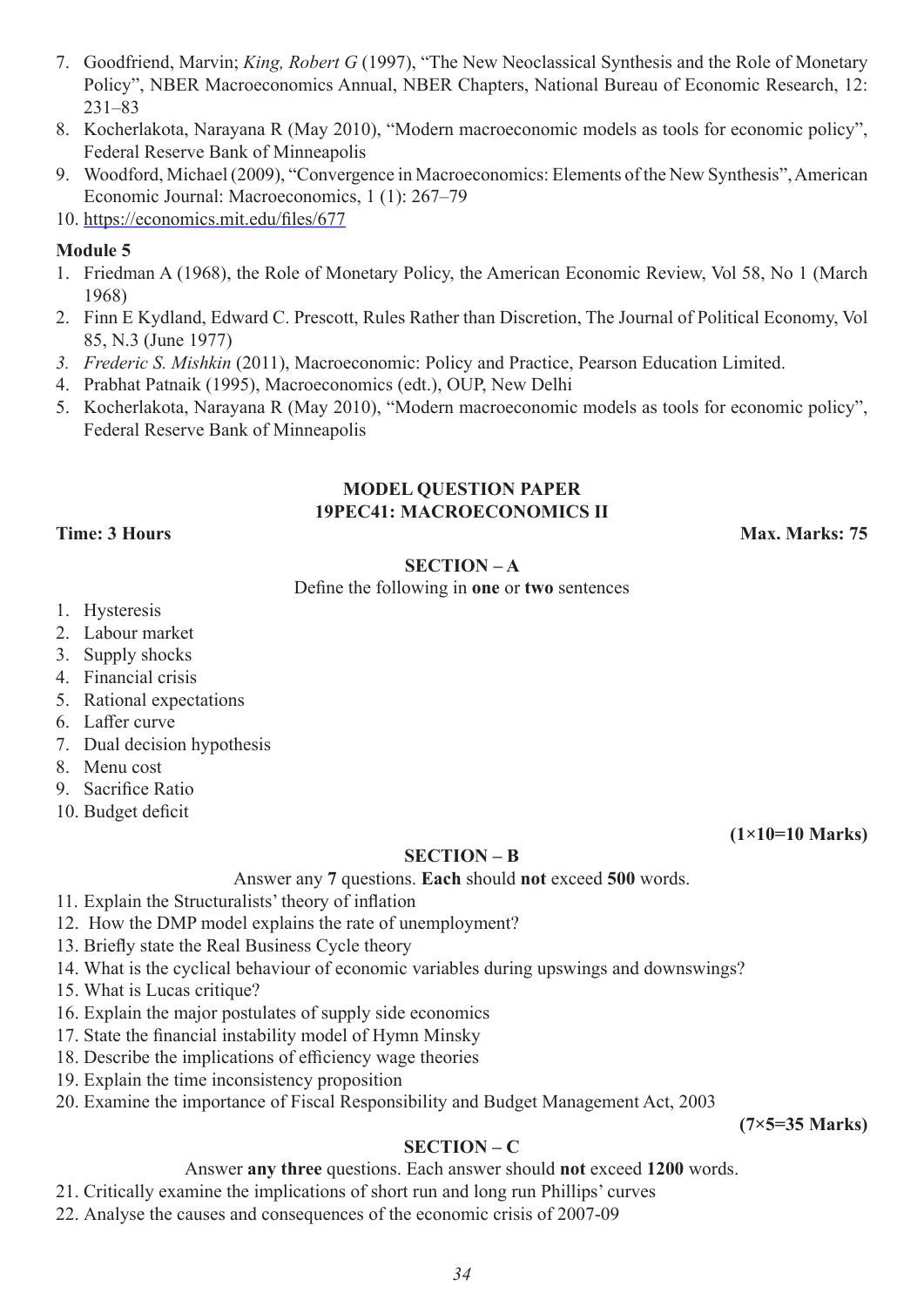- 7. Goodfriend, Marvin; *King, Robert G* (1997), "The New Neoclassical Synthesis and the Role of Monetary Policy", NBER Macroeconomics Annual, NBER Chapters, National Bureau of Economic Research, 12: 231–83
- 8. Kocherlakota, Narayana R (May 2010), "Modern macroeconomic models as tools for economic policy", Federal Reserve Bank of Minneapolis
- 9. Woodford, Michael (2009), "Convergence in Macroeconomics: Elements of the New Synthesis", American Economic Journal: Macroeconomics, 1 (1): 267–79
- 10. https://economics.mit.edu/files/677

#### **Module 5**

- 1. Friedman A (1968), the Role of Monetary Policy, the American Economic Review, Vol 58, No 1 (March 1968)
- 2. Finn E Kydland, Edward C. Prescott, Rules Rather than Discretion, The Journal of Political Economy, Vol 85, N.3 (June 1977)
- *3. Frederic S. Mishkin* (2011), Macroeconomic: Policy and Practice, Pearson Education Limited.
- 4. Prabhat Patnaik (1995), Macroeconomics (edt.), OUP, New Delhi
- 5. Kocherlakota, Narayana R (May 2010), "Modern macroeconomic models as tools for economic policy", Federal Reserve Bank of Minneapolis

#### **MODEL QUESTION PAPER 19PEC41: MACROECONOMICS II**

**Time: 3 Hours Max. Marks: 75** 

#### **SECTION – A**

Define the following in **one** or **two** sentences

- 1. Hysteresis
- 2. Labour market
- 3. Supply shocks
- 4. Financial crisis
- 5. Rational expectations
- 6. Laffer curve
- 7. Dual decision hypothesis
- 8. Menu cost
- 9. Sacrifice Ratio
- 10. Budget deficit

**(1×10=10 Marks)**

#### **SECTION – B**

Answer any **7** questions. **Each** should **not** exceed **500** words.

- 11. Explain the Structuralists' theory of inflation
- 12. How the DMP model explains the rate of unemployment?
- 13. Briefly state the Real Business Cycle theory
- 14. What is the cyclical behaviour of economic variables during upswings and downswings?
- 15. What is Lucas critique?
- 16. Explain the major postulates of supply side economics
- 17. State the financial instability model of Hymn Minsky
- 18. Describe the implications of efficiency wage theories
- 19. Explain the time inconsistency proposition
- 20. Examine the importance of Fiscal Responsibility and Budget Management Act, 2003

**(7×5=35 Marks)**

#### **SECTION – C**

Answer **any three** questions. Each answer should **not** exceed **1200** words.

- 21. Critically examine the implications of short run and long run Phillips' curves
- 22. Analyse the causes and consequences of the economic crisis of 2007-09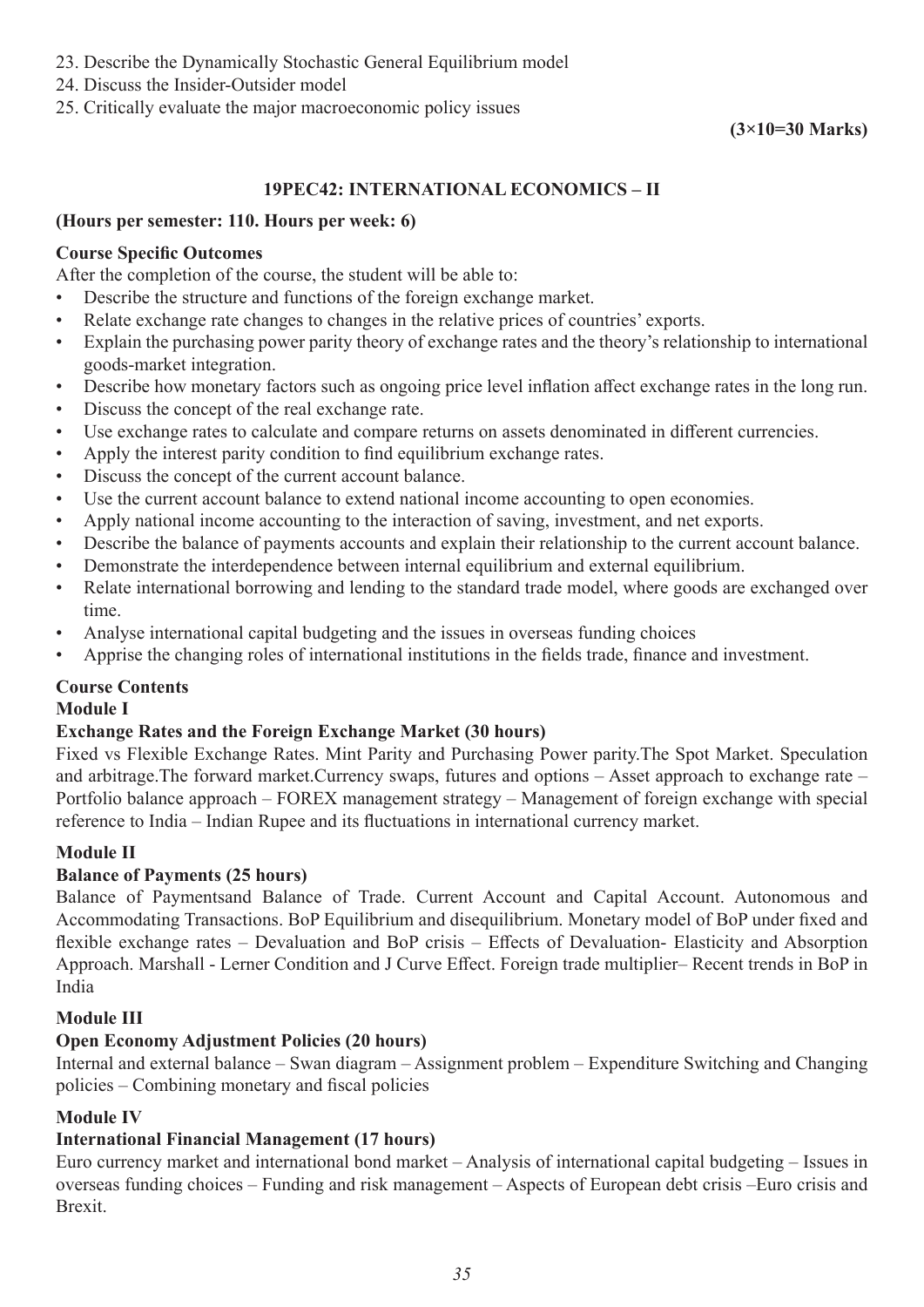- 23. Describe the Dynamically Stochastic General Equilibrium model
- 24. Discuss the Insider-Outsider model
- 25. Critically evaluate the major macroeconomic policy issues

#### **(3×10=30 Marks)**

#### **19PEC42: INTERNATIONAL ECONOMICS – II**

#### **(Hours per semester: 110. Hours per week: 6)**

#### **Course Specific Outcomes**

After the completion of the course, the student will be able to:

- Describe the structure and functions of the foreign exchange market.
- Relate exchange rate changes to changes in the relative prices of countries' exports.
- Explain the purchasing power parity theory of exchange rates and the theory's relationship to international goods-market integration.
- Describe how monetary factors such as ongoing price level inflation affect exchange rates in the long run.
- Discuss the concept of the real exchange rate.
- Use exchange rates to calculate and compare returns on assets denominated in different currencies.
- Apply the interest parity condition to find equilibrium exchange rates.
- Discuss the concept of the current account balance.
- Use the current account balance to extend national income accounting to open economies.
- Apply national income accounting to the interaction of saving, investment, and net exports.
- Describe the balance of payments accounts and explain their relationship to the current account balance.
- Demonstrate the interdependence between internal equilibrium and external equilibrium.
- Relate international borrowing and lending to the standard trade model, where goods are exchanged over time.
- Analyse international capital budgeting and the issues in overseas funding choices
- Apprise the changing roles of international institutions in the fields trade, finance and investment.

#### **Course Contents**

#### **Module I**

#### **Exchange Rates and the Foreign Exchange Market (30 hours)**

Fixed vs Flexible Exchange Rates. Mint Parity and Purchasing Power parity.The Spot Market. Speculation and arbitrage.The forward market.Currency swaps, futures and options – Asset approach to exchange rate – Portfolio balance approach – FOREX management strategy – Management of foreign exchange with special reference to India – Indian Rupee and its fluctuations in international currency market.

#### **Module II**

#### **Balance of Payments (25 hours)**

Balance of Paymentsand Balance of Trade. Current Account and Capital Account. Autonomous and Accommodating Transactions. BoP Equilibrium and disequilibrium. Monetary model of BoP under fixed and flexible exchange rates – Devaluation and BoP crisis – Effects of Devaluation- Elasticity and Absorption Approach. Marshall - Lerner Condition and J Curve Effect. Foreign trade multiplier– Recent trends in BoP in India

#### **Module III**

#### **Open Economy Adjustment Policies (20 hours)**

Internal and external balance – Swan diagram – Assignment problem – Expenditure Switching and Changing policies – Combining monetary and fiscal policies

#### **Module IV**

#### **International Financial Management (17 hours)**

Euro currency market and international bond market – Analysis of international capital budgeting – Issues in overseas funding choices – Funding and risk management – Aspects of European debt crisis –Euro crisis and Brexit.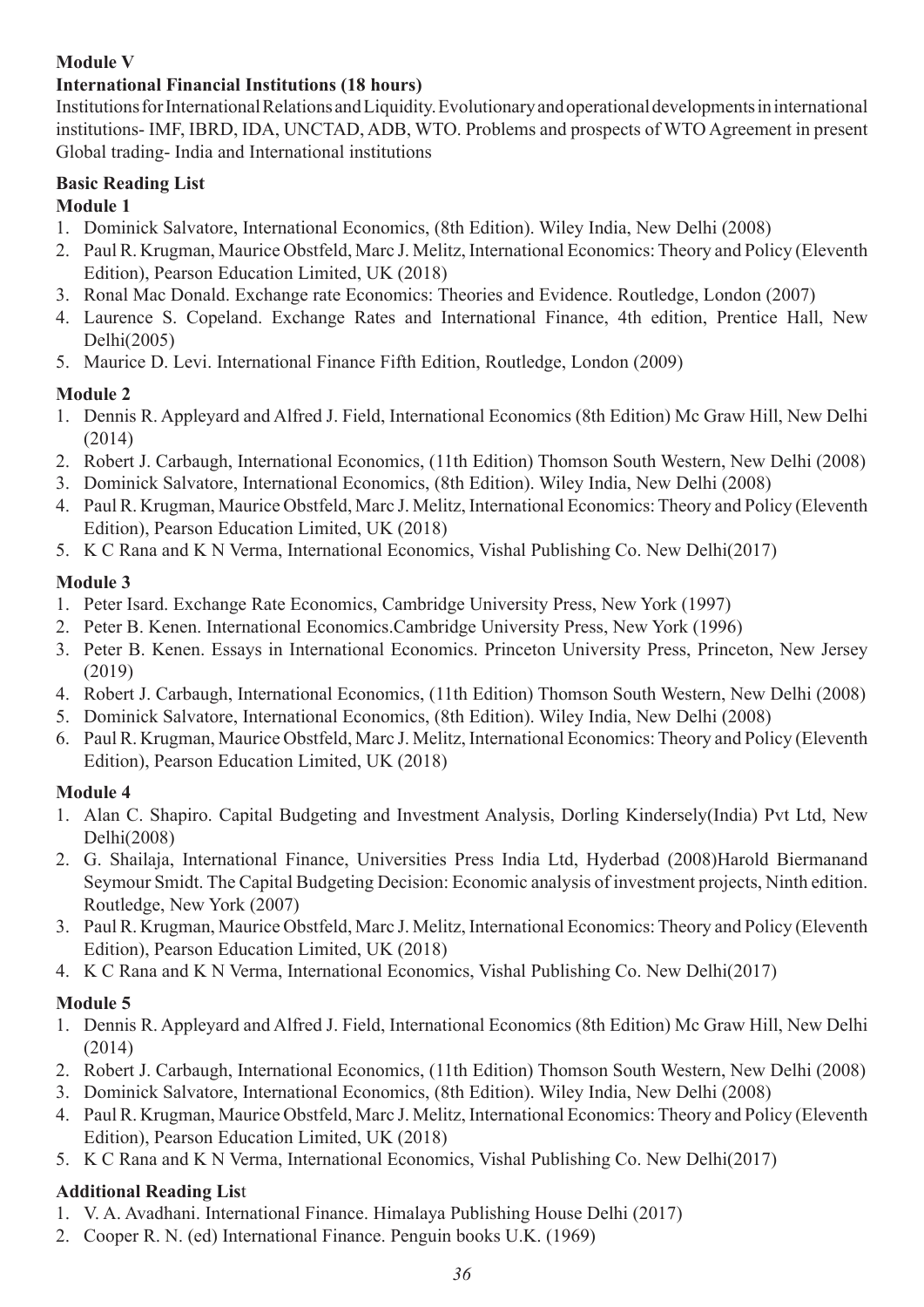#### **Module V**

#### **International Financial Institutions (18 hours)**

Institutions for International Relations and Liquidity. Evolutionary and operational developments in international institutions- IMF, IBRD, IDA, UNCTAD, ADB, WTO. Problems and prospects of WTO Agreement in present Global trading- India and International institutions

## **Basic Reading List**

#### **Module 1**

- 1. Dominick Salvatore, International Economics, (8th Edition). Wiley India, New Delhi (2008)
- 2. Paul R. Krugman, Maurice Obstfeld, Marc J. Melitz, International Economics: Theory and Policy (Eleventh Edition), Pearson Education Limited, UK (2018)
- 3. Ronal Mac Donald. Exchange rate Economics: Theories and Evidence. Routledge, London (2007)
- 4. Laurence S. Copeland. Exchange Rates and International Finance, 4th edition, Prentice Hall, New Delhi(2005)
- 5. Maurice D. Levi. International Finance Fifth Edition, Routledge, London (2009)

### **Module 2**

- 1. Dennis R. Appleyard and Alfred J. Field, International Economics (8th Edition) Mc Graw Hill, New Delhi (2014)
- 2. Robert J. Carbaugh, International Economics, (11th Edition) Thomson South Western, New Delhi (2008)
- 3. Dominick Salvatore, International Economics, (8th Edition). Wiley India, New Delhi (2008)
- 4. Paul R. Krugman, Maurice Obstfeld, Marc J. Melitz, International Economics: Theory and Policy (Eleventh Edition), Pearson Education Limited, UK (2018)
- 5. K C Rana and K N Verma, International Economics, Vishal Publishing Co. New Delhi(2017)

### **Module 3**

- 1. Peter Isard. Exchange Rate Economics, Cambridge University Press, New York (1997)
- 2. Peter B. Kenen. International Economics.Cambridge University Press, New York (1996)
- 3. Peter B. Kenen. Essays in International Economics. Princeton University Press, Princeton, New Jersey (2019)
- 4. Robert J. Carbaugh, International Economics, (11th Edition) Thomson South Western, New Delhi (2008)
- 5. Dominick Salvatore, International Economics, (8th Edition). Wiley India, New Delhi (2008)
- 6. Paul R. Krugman, Maurice Obstfeld, Marc J. Melitz, International Economics: Theory and Policy (Eleventh Edition), Pearson Education Limited, UK (2018)

### **Module 4**

- 1. Alan C. Shapiro. Capital Budgeting and Investment Analysis, Dorling Kindersely(India) Pvt Ltd, New Delhi(2008)
- 2. G. Shailaja, International Finance, Universities Press India Ltd, Hyderbad (2008)Harold Biermanand Seymour Smidt. The Capital Budgeting Decision: Economic analysis of investment projects, Ninth edition. Routledge, New York (2007)
- 3. Paul R. Krugman, Maurice Obstfeld, Marc J. Melitz, International Economics: Theory and Policy (Eleventh Edition), Pearson Education Limited, UK (2018)
- 4. K C Rana and K N Verma, International Economics, Vishal Publishing Co. New Delhi(2017)

### **Module 5**

- 1. Dennis R. Appleyard and Alfred J. Field, International Economics (8th Edition) Mc Graw Hill, New Delhi (2014)
- 2. Robert J. Carbaugh, International Economics, (11th Edition) Thomson South Western, New Delhi (2008)
- 3. Dominick Salvatore, International Economics, (8th Edition). Wiley India, New Delhi (2008)
- 4. Paul R. Krugman, Maurice Obstfeld, Marc J. Melitz, International Economics: Theory and Policy (Eleventh Edition), Pearson Education Limited, UK (2018)
- 5. K C Rana and K N Verma, International Economics, Vishal Publishing Co. New Delhi(2017)

### **Additional Reading Lis**t

- 1. V. A. Avadhani. International Finance. Himalaya Publishing House Delhi (2017)
- 2. Cooper R. N. (ed) International Finance. Penguin books U.K. (1969)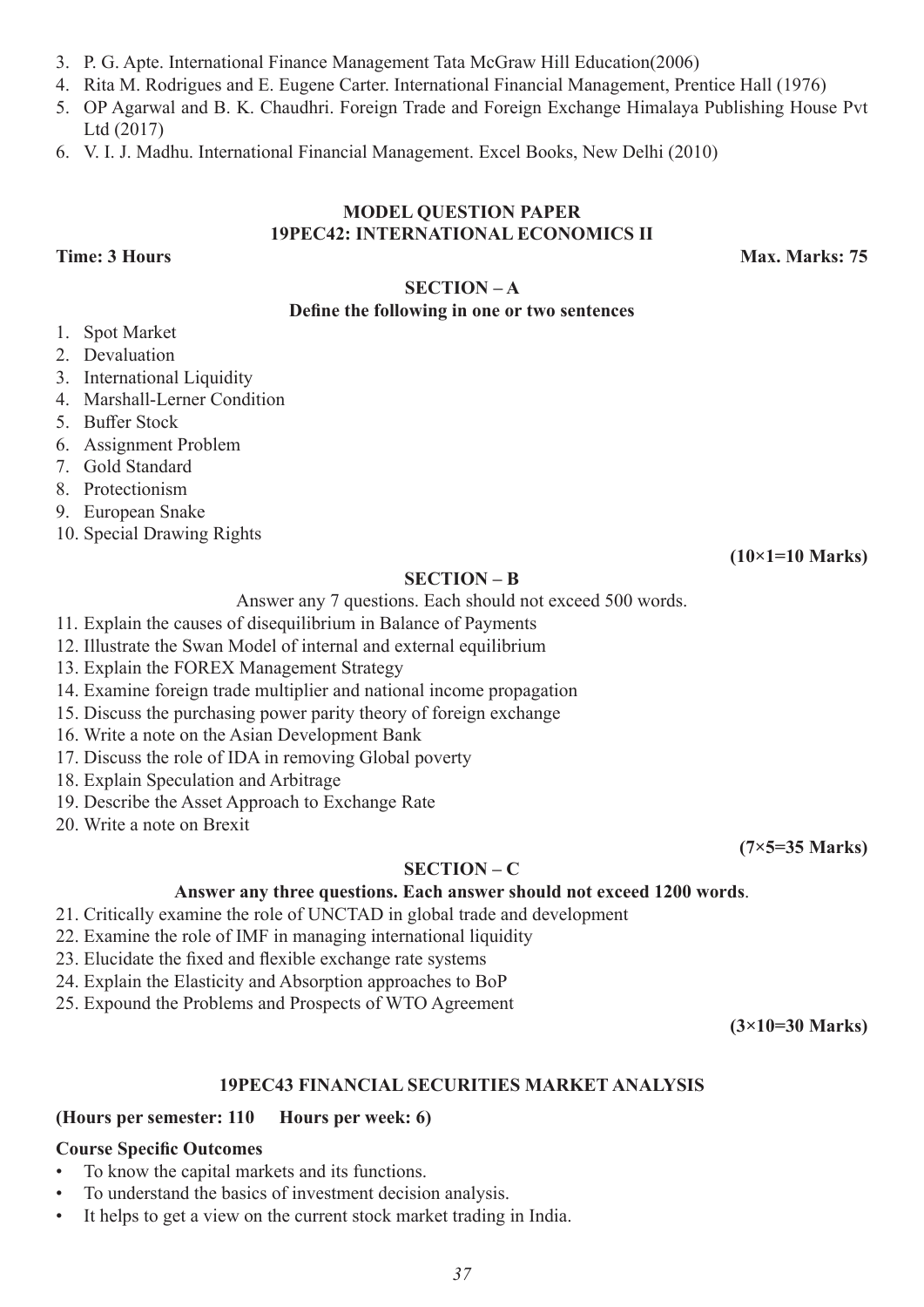- 3. P. G. Apte. International Finance Management Tata McGraw Hill Education(2006)
- 4. Rita M. Rodrigues and E. Eugene Carter. International Financial Management, Prentice Hall (1976)
- 5. OP Agarwal and B. K. Chaudhri. Foreign Trade and Foreign Exchange Himalaya Publishing House Pvt Ltd (2017)
- 6. V. I. J. Madhu. International Financial Management. Excel Books, New Delhi (2010)

#### **MODEL QUESTION PAPER 19PEC42: INTERNATIONAL ECONOMICS II**

**SECTION – A**

#### **Define the following in one or two sentences**

- 1. Spot Market
- 2. Devaluation
- 3. International Liquidity
- 4. Marshall-Lerner Condition
- 5. Buffer Stock
- 6. Assignment Problem
- 7. Gold Standard
- 8. Protectionism
- 9. European Snake
- 10. Special Drawing Rights

#### **SECTION – B**

Answer any 7 questions. Each should not exceed 500 words.

- 11. Explain the causes of disequilibrium in Balance of Payments
- 12. Illustrate the Swan Model of internal and external equilibrium
- 13. Explain the FOREX Management Strategy
- 14. Examine foreign trade multiplier and national income propagation
- 15. Discuss the purchasing power parity theory of foreign exchange
- 16. Write a note on the Asian Development Bank
- 17. Discuss the role of IDA in removing Global poverty
- 18. Explain Speculation and Arbitrage
- 19. Describe the Asset Approach to Exchange Rate
- 20. Write a note on Brexit

#### **SECTION – C**

#### **Answer any three questions. Each answer should not exceed 1200 words**.

- 21. Critically examine the role of UNCTAD in global trade and development
- 22. Examine the role of IMF in managing international liquidity
- 23. Elucidate the fixed and flexible exchange rate systems
- 24. Explain the Elasticity and Absorption approaches to BoP
- 25. Expound the Problems and Prospects of WTO Agreement

**(3×10=30 Marks)**

**(7×5=35 Marks)**

#### **19PEC43 FINANCIAL SECURITIES MARKET ANALYSIS**

#### **(Hours per semester: 110 Hours per week: 6)**

#### **Course Specific Outcomes**

- To know the capital markets and its functions.
- To understand the basics of investment decision analysis.
- It helps to get a view on the current stock market trading in India.

**Time: 3 Hours Max. Marks: 75** 

**(10×1=10 Marks)**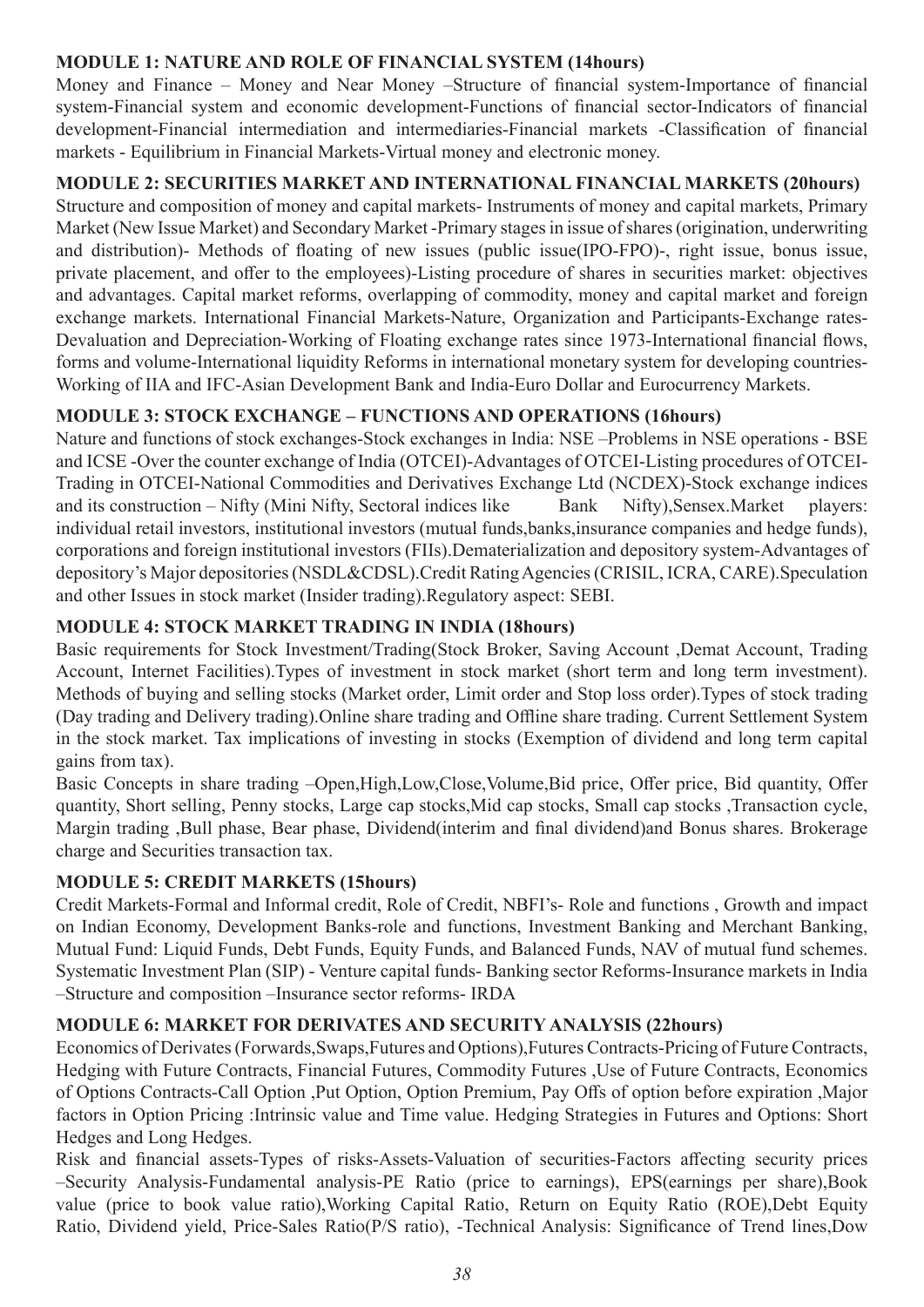#### **MODULE 1: NATURE AND ROLE OF FINANCIAL SYSTEM (14hours)**

Money and Finance – Money and Near Money –Structure of financial system-Importance of financial system-Financial system and economic development-Functions of financial sector-Indicators of financial development-Financial intermediation and intermediaries-Financial markets -Classification of financial markets - Equilibrium in Financial Markets-Virtual money and electronic money.

#### **MODULE 2: SECURITIES MARKET AND INTERNATIONAL FINANCIAL MARKETS (20hours)**

Structure and composition of money and capital markets- Instruments of money and capital markets, Primary Market (New Issue Market) and Secondary Market -Primary stages in issue of shares (origination, underwriting and distribution)- Methods of floating of new issues (public issue(IPO-FPO)-, right issue, bonus issue, private placement, and offer to the employees)-Listing procedure of shares in securities market: objectives and advantages. Capital market reforms, overlapping of commodity, money and capital market and foreign exchange markets. International Financial Markets-Nature, Organization and Participants-Exchange rates-Devaluation and Depreciation-Working of Floating exchange rates since 1973-International financial flows, forms and volume-International liquidity Reforms in international monetary system for developing countries-Working of IIA and IFC-Asian Development Bank and India-Euro Dollar and Eurocurrency Markets.

#### **MODULE 3: STOCK EXCHANGE – FUNCTIONS AND OPERATIONS (16hours)**

Nature and functions of stock exchanges-Stock exchanges in India: NSE –Problems in NSE operations - BSE and ICSE -Over the counter exchange of India (OTCEI)-Advantages of OTCEI-Listing procedures of OTCEI-Trading in OTCEI-National Commodities and Derivatives Exchange Ltd (NCDEX)-Stock exchange indices and its construction – Nifty (Mini Nifty, Sectoral indices like Bank Nifty), Sensex.Market players: individual retail investors, institutional investors (mutual funds,banks,insurance companies and hedge funds), corporations and foreign institutional investors (FIIs).Dematerialization and depository system-Advantages of depository's Major depositories (NSDL&CDSL).Credit Rating Agencies (CRISIL, ICRA, CARE).Speculation and other Issues in stock market (Insider trading).Regulatory aspect: SEBI.

#### **MODULE 4: STOCK MARKET TRADING IN INDIA (18hours)**

Basic requirements for Stock Investment/Trading(Stock Broker, Saving Account, Demat Account, Trading Account, Internet Facilities).Types of investment in stock market (short term and long term investment). Methods of buying and selling stocks (Market order, Limit order and Stop loss order).Types of stock trading (Day trading and Delivery trading).Online share trading and Offline share trading. Current Settlement System in the stock market. Tax implications of investing in stocks (Exemption of dividend and long term capital gains from tax).

Basic Concepts in share trading –Open,High,Low,Close,Volume,Bid price, Offer price, Bid quantity, Offer quantity, Short selling, Penny stocks, Large cap stocks,Mid cap stocks, Small cap stocks ,Transaction cycle, Margin trading ,Bull phase, Bear phase, Dividend(interim and final dividend)and Bonus shares. Brokerage charge and Securities transaction tax.

#### **MODULE 5: CREDIT MARKETS (15hours)**

Credit Markets-Formal and Informal credit, Role of Credit, NBFI's- Role and functions , Growth and impact on Indian Economy, Development Banks-role and functions, Investment Banking and Merchant Banking, Mutual Fund: Liquid Funds, Debt Funds, Equity Funds, and Balanced Funds, NAV of mutual fund schemes. Systematic Investment Plan (SIP) - Venture capital funds- Banking sector Reforms-Insurance markets in India –Structure and composition –Insurance sector reforms- IRDA

#### **MODULE 6: MARKET FOR DERIVATES AND SECURITY ANALYSIS (22hours)**

Economics of Derivates (Forwards,Swaps,Futures and Options),Futures Contracts-Pricing of Future Contracts, Hedging with Future Contracts, Financial Futures, Commodity Futures ,Use of Future Contracts, Economics of Options Contracts-Call Option ,Put Option, Option Premium, Pay Offs of option before expiration ,Major factors in Option Pricing :Intrinsic value and Time value. Hedging Strategies in Futures and Options: Short Hedges and Long Hedges.

Risk and financial assets-Types of risks-Assets-Valuation of securities-Factors affecting security prices –Security Analysis-Fundamental analysis-PE Ratio (price to earnings), EPS(earnings per share),Book value (price to book value ratio),Working Capital Ratio, Return on Equity Ratio (ROE),Debt Equity Ratio, Dividend yield, Price-Sales Ratio(P/S ratio), -Technical Analysis: Significance of Trend lines,Dow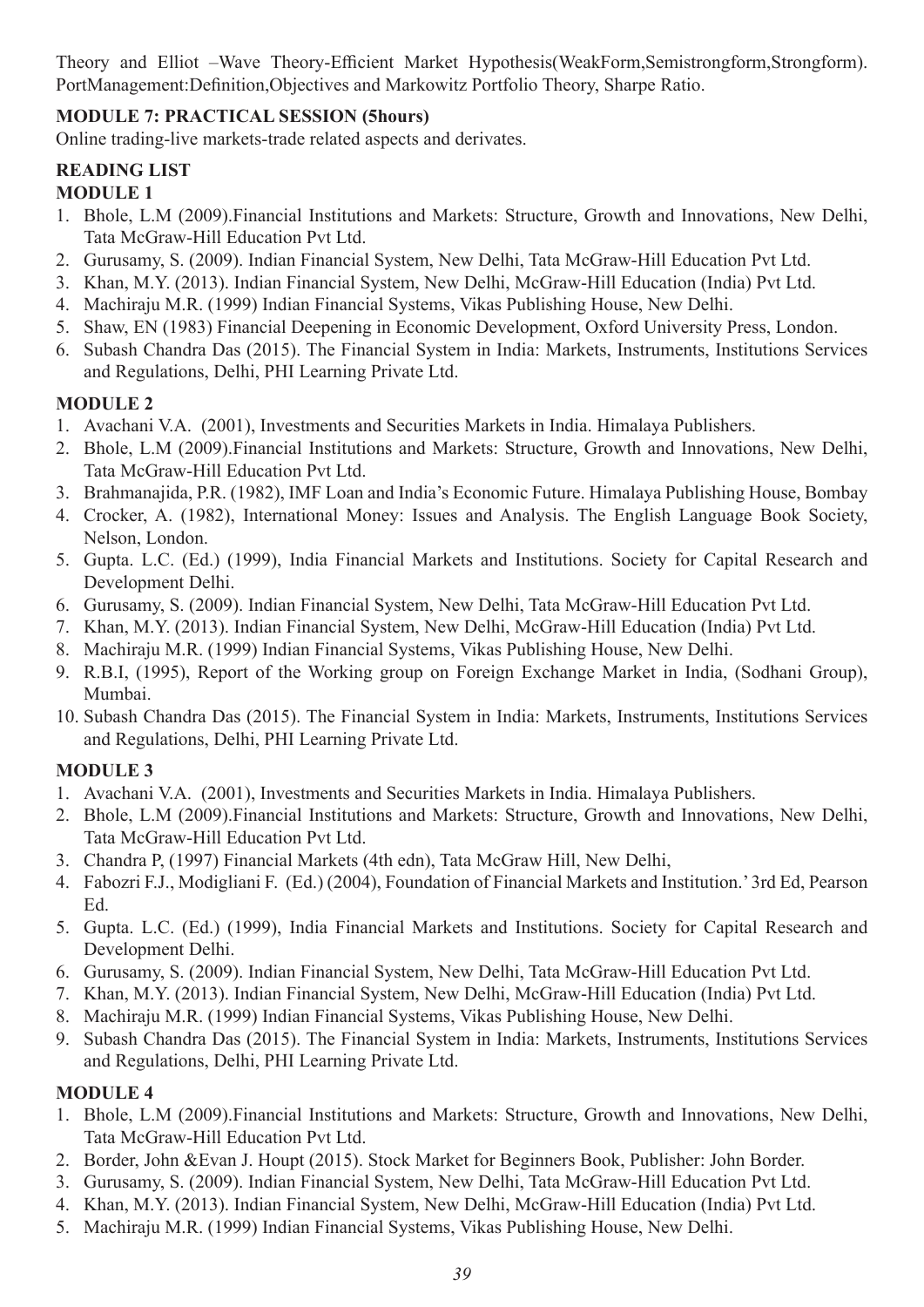Theory and Elliot –Wave Theory-Efficient Market Hypothesis(WeakForm,Semistrongform,Strongform). PortManagement:Definition,Objectives and Markowitz Portfolio Theory, Sharpe Ratio.

#### **MODULE 7: PRACTICAL SESSION (5hours)**

Online trading-live markets-trade related aspects and derivates.

# **READING LIST**

#### **MODULE 1**

- 1. Bhole, L.M (2009).Financial Institutions and Markets: Structure, Growth and Innovations, New Delhi, Tata McGraw-Hill Education Pvt Ltd.
- 2. Gurusamy, S. (2009). Indian Financial System, New Delhi, Tata McGraw-Hill Education Pvt Ltd.
- 3. Khan, M.Y. (2013). Indian Financial System, New Delhi, McGraw-Hill Education (India) Pvt Ltd.
- 4. Machiraju M.R. (1999) Indian Financial Systems, Vikas Publishing House, New Delhi.
- 5. Shaw, EN (1983) Financial Deepening in Economic Development, Oxford University Press, London.
- 6. Subash Chandra Das (2015). The Financial System in India: Markets, Instruments, Institutions Services and Regulations, Delhi, PHI Learning Private Ltd.

### **MODULE 2**

- 1. Avachani V.A. (2001), Investments and Securities Markets in India. Himalaya Publishers.
- 2. Bhole, L.M (2009).Financial Institutions and Markets: Structure, Growth and Innovations, New Delhi, Tata McGraw-Hill Education Pvt Ltd.
- 3. Brahmanajida, P.R. (1982), IMF Loan and India's Economic Future. Himalaya Publishing House, Bombay
- 4. Crocker, A. (1982), International Money: Issues and Analysis. The English Language Book Society, Nelson, London.
- 5. Gupta. L.C. (Ed.) (1999), India Financial Markets and Institutions. Society for Capital Research and Development Delhi.
- 6. Gurusamy, S. (2009). Indian Financial System, New Delhi, Tata McGraw-Hill Education Pvt Ltd.
- 7. Khan, M.Y. (2013). Indian Financial System, New Delhi, McGraw-Hill Education (India) Pvt Ltd.
- 8. Machiraju M.R. (1999) Indian Financial Systems, Vikas Publishing House, New Delhi.
- 9. R.B.I, (1995), Report of the Working group on Foreign Exchange Market in India, (Sodhani Group), Mumbai.
- 10. Subash Chandra Das (2015). The Financial System in India: Markets, Instruments, Institutions Services and Regulations, Delhi, PHI Learning Private Ltd.

### **MODULE 3**

- 1. Avachani V.A. (2001), Investments and Securities Markets in India. Himalaya Publishers.
- 2. Bhole, L.M (2009).Financial Institutions and Markets: Structure, Growth and Innovations, New Delhi, Tata McGraw-Hill Education Pvt Ltd.
- 3. Chandra P, (1997) Financial Markets (4th edn), Tata McGraw Hill, New Delhi,
- 4. Fabozri F.J., Modigliani F. (Ed.) (2004), Foundation of Financial Markets and Institution.' 3rd Ed, Pearson Ed.
- 5. Gupta. L.C. (Ed.) (1999), India Financial Markets and Institutions. Society for Capital Research and Development Delhi.
- 6. Gurusamy, S. (2009). Indian Financial System, New Delhi, Tata McGraw-Hill Education Pvt Ltd.
- 7. Khan, M.Y. (2013). Indian Financial System, New Delhi, McGraw-Hill Education (India) Pvt Ltd.
- 8. Machiraju M.R. (1999) Indian Financial Systems, Vikas Publishing House, New Delhi.
- 9. Subash Chandra Das (2015). The Financial System in India: Markets, Instruments, Institutions Services and Regulations, Delhi, PHI Learning Private Ltd.

### **MODULE 4**

- 1. Bhole, L.M (2009).Financial Institutions and Markets: Structure, Growth and Innovations, New Delhi, Tata McGraw-Hill Education Pvt Ltd.
- 2. Border, John &Evan J. Houpt (2015). Stock Market for Beginners Book, Publisher: John Border.
- 3. Gurusamy, S. (2009). Indian Financial System, New Delhi, Tata McGraw-Hill Education Pvt Ltd.
- 4. Khan, M.Y. (2013). Indian Financial System, New Delhi, McGraw-Hill Education (India) Pvt Ltd.
- 5. Machiraju M.R. (1999) Indian Financial Systems, Vikas Publishing House, New Delhi.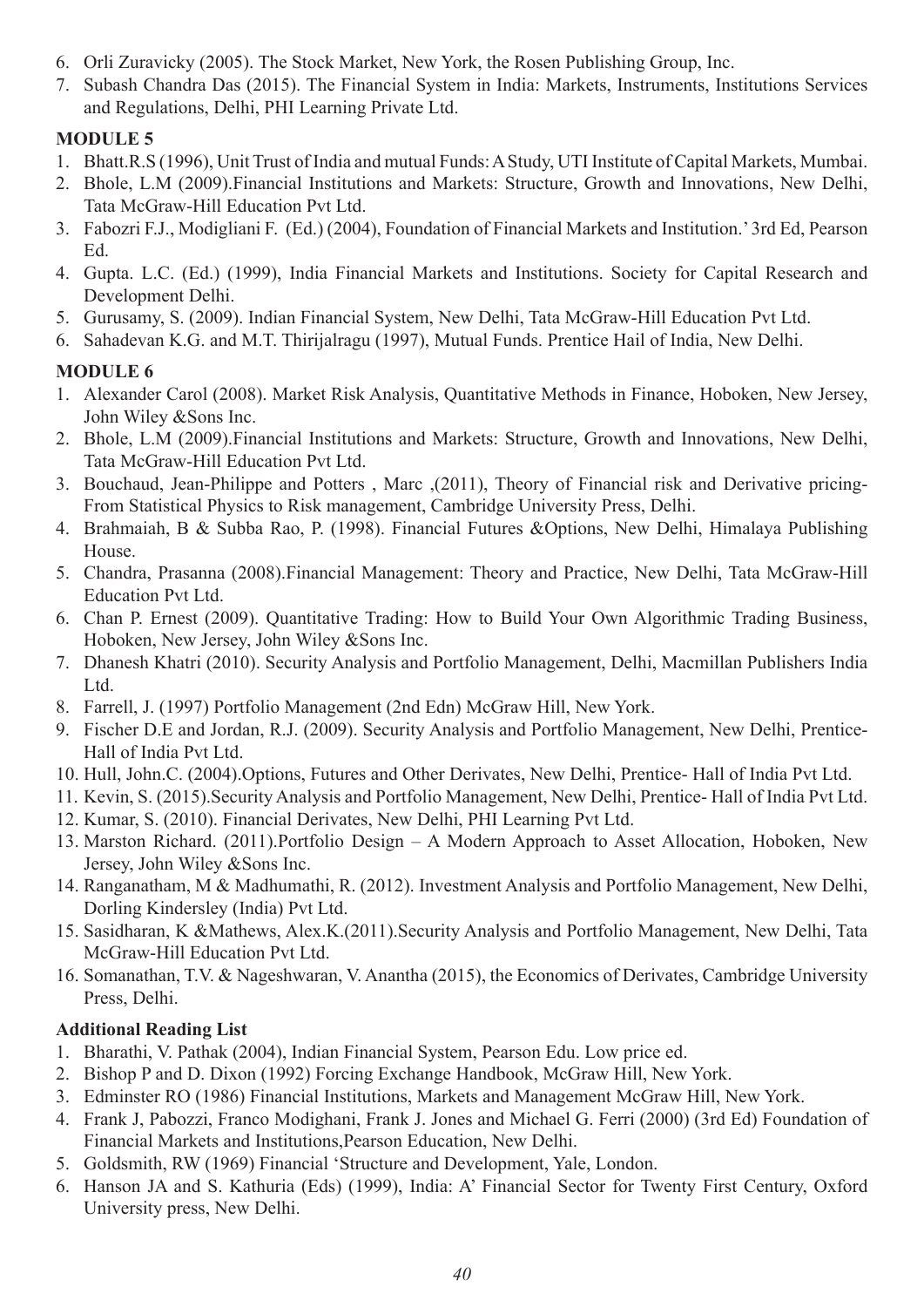- 6. Orli Zuravicky (2005). The Stock Market, New York, the Rosen Publishing Group, Inc.
- 7. Subash Chandra Das (2015). The Financial System in India: Markets, Instruments, Institutions Services and Regulations, Delhi, PHI Learning Private Ltd.

### **MODULE 5**

- 1. Bhatt.R.S (1996), Unit Trust of India and mutual Funds: A Study, UTI Institute of Capital Markets, Mumbai.
- 2. Bhole, L.M (2009).Financial Institutions and Markets: Structure, Growth and Innovations, New Delhi, Tata McGraw-Hill Education Pvt Ltd.
- 3. Fabozri F.J., Modigliani F. (Ed.) (2004), Foundation of Financial Markets and Institution.' 3rd Ed, Pearson Ed.
- 4. Gupta. L.C. (Ed.) (1999), India Financial Markets and Institutions. Society for Capital Research and Development Delhi.
- 5. Gurusamy, S. (2009). Indian Financial System, New Delhi, Tata McGraw-Hill Education Pvt Ltd.
- 6. Sahadevan K.G. and M.T. Thirijalragu (1997), Mutual Funds. Prentice Hail of India, New Delhi.

### **MODULE 6**

- 1. Alexander Carol (2008). Market Risk Analysis, Quantitative Methods in Finance, Hoboken, New Jersey, John Wiley &Sons Inc.
- 2. Bhole, L.M (2009).Financial Institutions and Markets: Structure, Growth and Innovations, New Delhi, Tata McGraw-Hill Education Pvt Ltd.
- 3. Bouchaud, Jean-Philippe and Potters , Marc ,(2011), Theory of Financial risk and Derivative pricing-From Statistical Physics to Risk management, Cambridge University Press, Delhi.
- 4. Brahmaiah, B & Subba Rao, P. (1998). Financial Futures &Options, New Delhi, Himalaya Publishing House.
- 5. Chandra, Prasanna (2008).Financial Management: Theory and Practice, New Delhi, Tata McGraw-Hill Education Pvt Ltd.
- 6. Chan P. Ernest (2009). Quantitative Trading: How to Build Your Own Algorithmic Trading Business, Hoboken, New Jersey, John Wiley &Sons Inc.
- 7. Dhanesh Khatri (2010). Security Analysis and Portfolio Management, Delhi, Macmillan Publishers India Ltd.
- 8. Farrell, J. (1997) Portfolio Management (2nd Edn) McGraw Hill, New York.
- 9. Fischer D.E and Jordan, R.J. (2009). Security Analysis and Portfolio Management, New Delhi, Prentice-Hall of India Pvt Ltd.
- 10. Hull, John.C. (2004).Options, Futures and Other Derivates, New Delhi, Prentice- Hall of India Pvt Ltd.
- 11. Kevin, S. (2015).Security Analysis and Portfolio Management, New Delhi, Prentice- Hall of India Pvt Ltd.
- 12. Kumar, S. (2010). Financial Derivates, New Delhi, PHI Learning Pvt Ltd.
- 13. Marston Richard. (2011).Portfolio Design A Modern Approach to Asset Allocation, Hoboken, New Jersey, John Wiley &Sons Inc.
- 14. Ranganatham, M & Madhumathi, R. (2012). Investment Analysis and Portfolio Management, New Delhi, Dorling Kindersley (India) Pvt Ltd.
- 15. Sasidharan, K &Mathews, Alex.K.(2011).Security Analysis and Portfolio Management, New Delhi, Tata McGraw-Hill Education Pvt Ltd.
- 16. Somanathan, T.V. & Nageshwaran, V. Anantha (2015), the Economics of Derivates, Cambridge University Press, Delhi.

### **Additional Reading List**

- 1. Bharathi, V. Pathak (2004), Indian Financial System, Pearson Edu. Low price ed.
- 2. Bishop P and D. Dixon (1992) Forcing Exchange Handbook, McGraw Hill, New York.
- 3. Edminster RO (1986) Financial Institutions, Markets and Management McGraw Hill, New York.
- 4. Frank J, Pabozzi, Franco Modighani, Frank J. Jones and Michael G. Ferri (2000) (3rd Ed) Foundation of Financial Markets and Institutions,Pearson Education, New Delhi.
- 5. Goldsmith, RW (1969) Financial 'Structure and Development, Yale, London.
- 6. Hanson JA and S. Kathuria (Eds) (1999), India: A' Financial Sector for Twenty First Century, Oxford University press, New Delhi.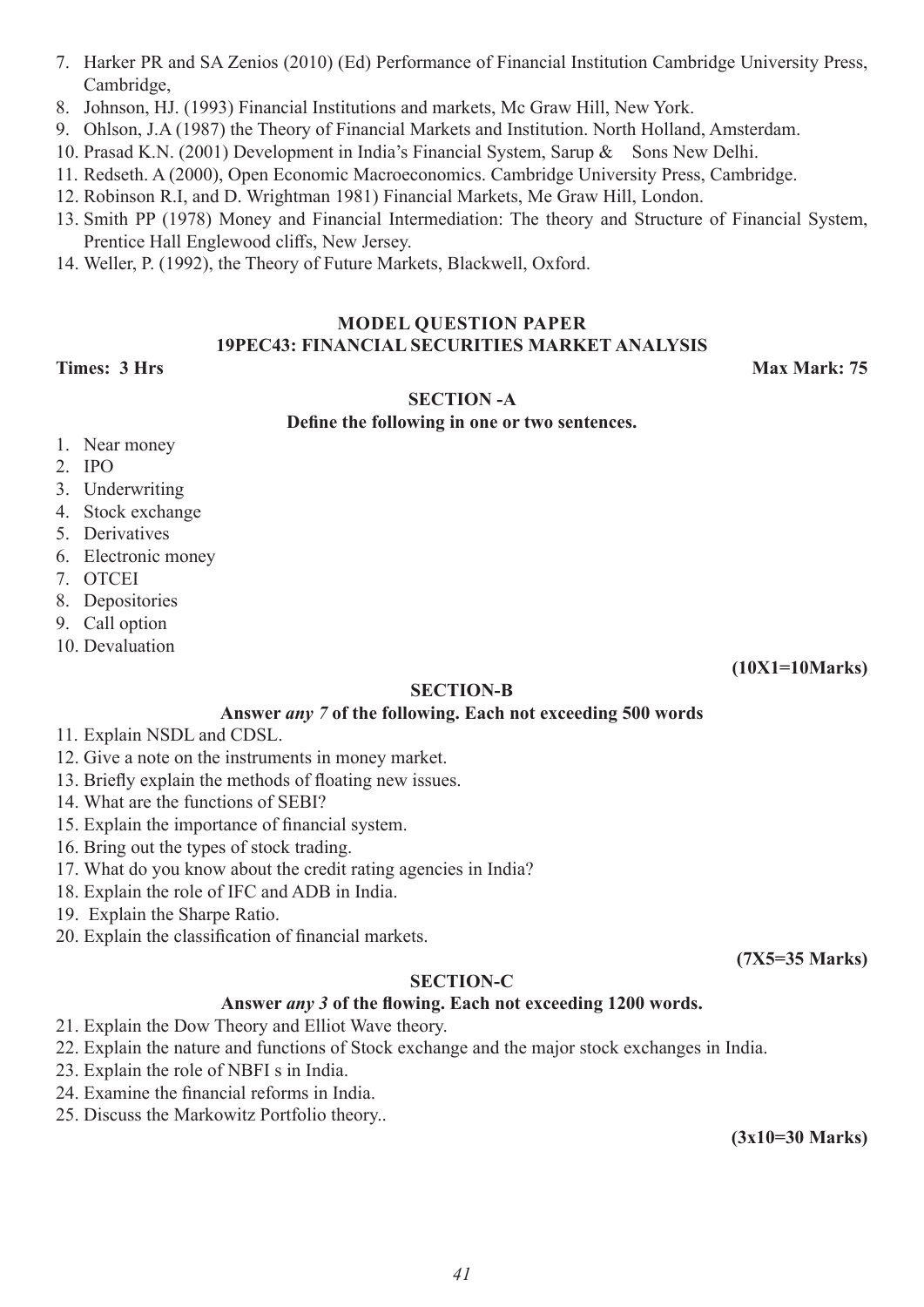- 7. Harker PR and SA Zenios (2010) (Ed) Performance of Financial Institution Cambridge University Press, Cambridge,
- 8. Johnson, HJ. (1993) Financial Institutions and markets, Mc Graw Hill, New York.
- 9. Ohlson, J.A (1987) the Theory of Financial Markets and Institution. North Holland, Amsterdam.
- 10. Prasad K.N. (2001) Development in India's Financial System, Sarup & Sons New Delhi.
- 11. Redseth. A (2000), Open Economic Macroeconomics. Cambridge University Press, Cambridge.
- 12. Robinson R.I, and D. Wrightman 1981) Financial Markets, Me Graw Hill, London.
- 13. Smith PP (1978) Money and Financial Intermediation: The theory and Structure of Financial System, Prentice Hall Englewood cliffs, New Jersey.
- 14. Weller, P. (1992), the Theory of Future Markets, Blackwell, Oxford.

#### **MODEL QUESTION PAPER 19PEC43: FINANCIAL SECURITIES MARKET ANALYSIS**

**Times: 3 Hrs Max Mark: 75 Max Mark: 75 Max Mark: 75** 

#### **SECTION -A**

#### **Define the following in one or two sentences.**

- 1. Near money
- 2. IPO
- 3. Underwriting
- 4. Stock exchange
- 5. Derivatives
- 6. Electronic money
- 7. OTCEI
- 8. Depositories
- 9. Call option
- 10. Devaluation

**(10X1=10Marks)**

#### **SECTION-B**

#### **Answer** *any 7* **of the following. Each not exceeding 500 words**

- 11. Explain NSDL and CDSL.
- 12. Give a note on the instruments in money market.
- 13. Briefly explain the methods of floating new issues.
- 14. What are the functions of SEBI?
- 15. Explain the importance of financial system.
- 16. Bring out the types of stock trading.
- 17. What do you know about the credit rating agencies in India?
- 18. Explain the role of IFC and ADB in India.
- 19. Explain the Sharpe Ratio.
- 20. Explain the classification of financial markets.

#### **SECTION-C**

#### **Answer** *any 3* **of the flowing. Each not exceeding 1200 words.**

- 21. Explain the Dow Theory and Elliot Wave theory.
- 22. Explain the nature and functions of Stock exchange and the major stock exchanges in India.
- 23. Explain the role of NBFI s in India.
- 24. Examine the financial reforms in India.
- 25. Discuss the Markowitz Portfolio theory..

**(3x10=30 Marks)**

**(7X5=35 Marks)**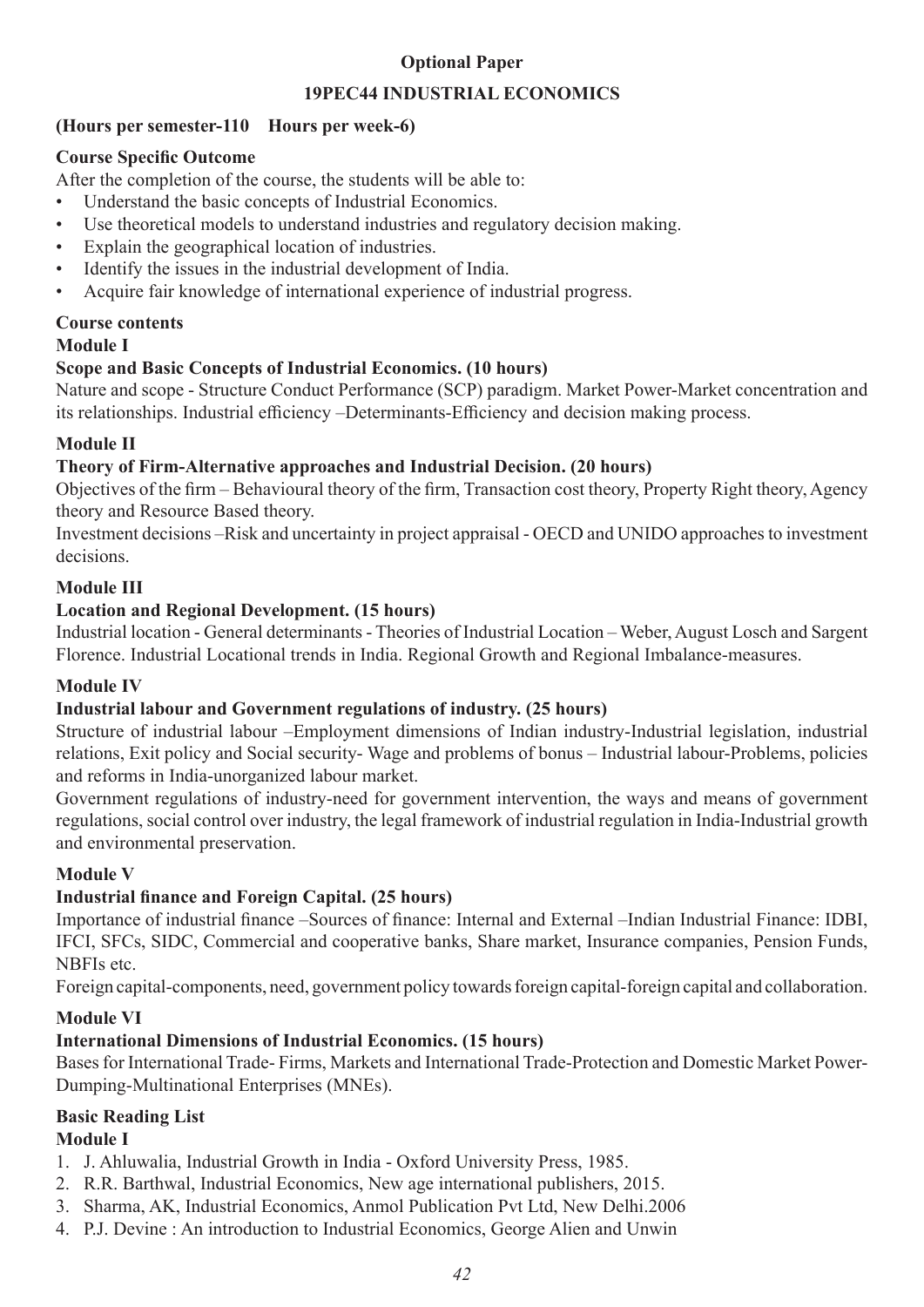#### **Optional Paper**

#### **19PEC44 INDUSTRIAL ECONOMICS**

#### **(Hours per semester-110 Hours per week-6)**

#### **Course Specific Outcome**

After the completion of the course, the students will be able to:

- Understand the basic concepts of Industrial Economics.
- Use theoretical models to understand industries and regulatory decision making.
- Explain the geographical location of industries.
- Identify the issues in the industrial development of India.
- Acquire fair knowledge of international experience of industrial progress.

#### **Course contents**

#### **Module I**

#### **Scope and Basic Concepts of Industrial Economics. (10 hours)**

Nature and scope - Structure Conduct Performance (SCP) paradigm. Market Power-Market concentration and its relationships. Industrial efficiency –Determinants-Efficiency and decision making process.

#### **Module II**

#### **Theory of Firm-Alternative approaches and Industrial Decision. (20 hours)**

Objectives of the firm – Behavioural theory of the firm, Transaction cost theory, Property Right theory, Agency theory and Resource Based theory.

Investment decisions –Risk and uncertainty in project appraisal - OECD and UNIDO approaches to investment decisions.

#### **Module III**

#### **Location and Regional Development. (15 hours)**

Industrial location - General determinants - Theories of Industrial Location – Weber, August Losch and Sargent Florence. Industrial Locational trends in India. Regional Growth and Regional Imbalance-measures.

#### **Module IV**

#### **Industrial labour and Government regulations of industry. (25 hours)**

Structure of industrial labour –Employment dimensions of Indian industry-Industrial legislation, industrial relations, Exit policy and Social security- Wage and problems of bonus – Industrial labour-Problems, policies and reforms in India-unorganized labour market.

Government regulations of industry-need for government intervention, the ways and means of government regulations, social control over industry, the legal framework of industrial regulation in India-Industrial growth and environmental preservation.

#### **Module V**

#### **Industrial finance and Foreign Capital. (25 hours)**

Importance of industrial finance –Sources of finance: Internal and External –Indian Industrial Finance: IDBI, IFCI, SFCs, SIDC, Commercial and cooperative banks, Share market, Insurance companies, Pension Funds, NBFIs etc.

Foreign capital-components, need, government policy towards foreign capital-foreign capital and collaboration.

#### **Module VI**

#### **International Dimensions of Industrial Economics. (15 hours)**

Bases for International Trade- Firms, Markets and International Trade-Protection and Domestic Market Power-Dumping-Multinational Enterprises (MNEs).

# **Basic Reading List**

#### **Module I**

- 1. J. Ahluwalia, Industrial Growth in India Oxford University Press, 1985.
- 2. R.R. Barthwal, Industrial Economics, New age international publishers, 2015.
- 3. Sharma, AK, Industrial Economics, Anmol Publication Pvt Ltd, New Delhi.2006
- 4. P.J. Devine : An introduction to Industrial Economics, George Alien and Unwin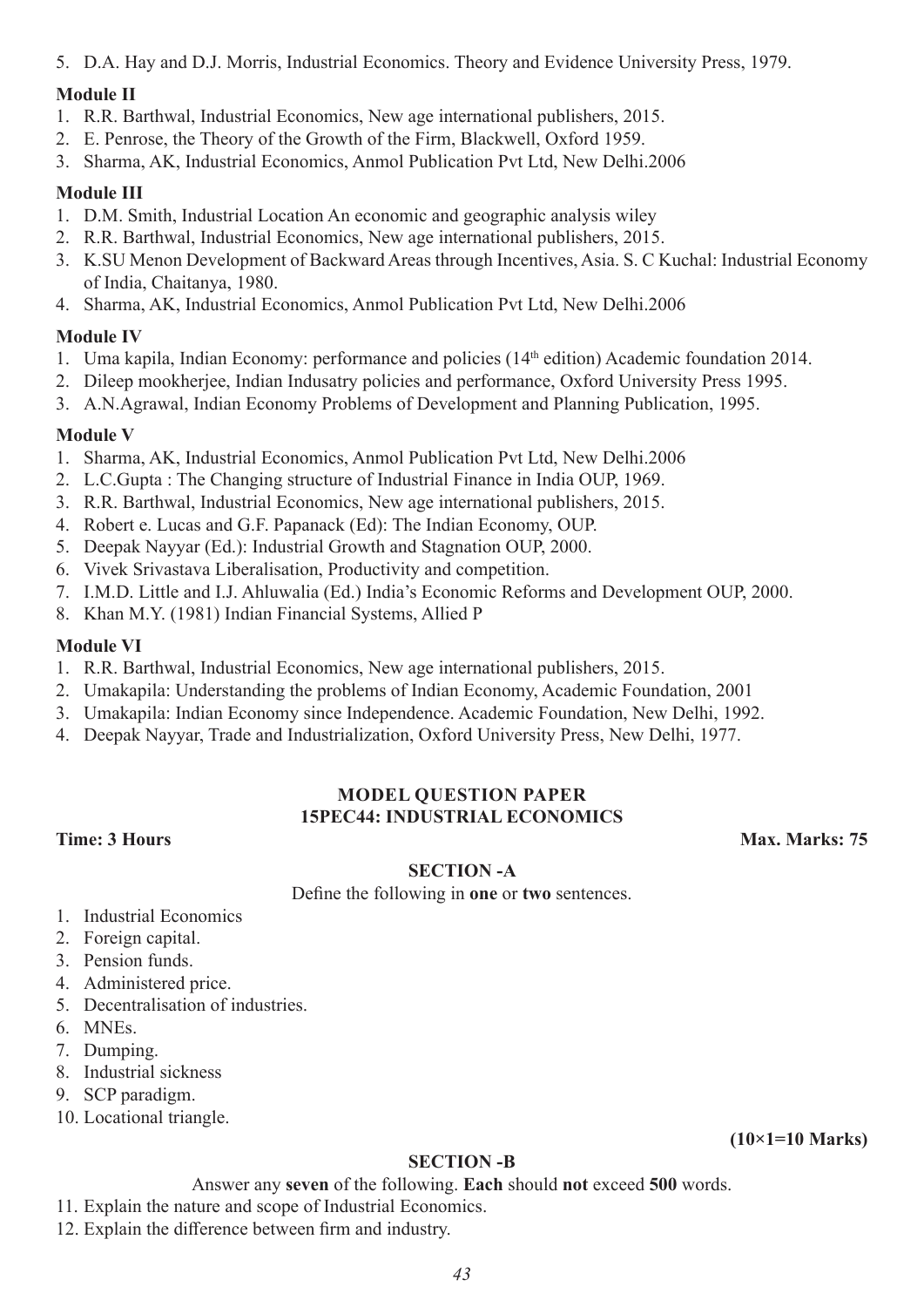5. D.A. Hay and D.J. Morris, Industrial Economics. Theory and Evidence University Press, 1979.

#### **Module II**

- 1. R.R. Barthwal, Industrial Economics, New age international publishers, 2015.
- 2. E. Penrose, the Theory of the Growth of the Firm, Blackwell, Oxford 1959.
- 3. Sharma, AK, Industrial Economics, Anmol Publication Pvt Ltd, New Delhi.2006

#### **Module III**

- 1. D.M. Smith, Industrial Location An economic and geographic analysis wiley
- 2. R.R. Barthwal, Industrial Economics, New age international publishers, 2015.
- 3. K.SU Menon Development of Backward Areas through Incentives, Asia. S. C Kuchal: Industrial Economy of India, Chaitanya, 1980.
- 4. Sharma, AK, Industrial Economics, Anmol Publication Pvt Ltd, New Delhi.2006

#### **Module IV**

- 1. Uma kapila, Indian Economy: performance and policies (14th edition) Academic foundation 2014.
- 2. Dileep mookherjee, Indian Indusatry policies and performance, Oxford University Press 1995.
- 3. A.N.Agrawal, Indian Economy Problems of Development and Planning Publication, 1995.

#### **Module V**

- 1. Sharma, AK, Industrial Economics, Anmol Publication Pvt Ltd, New Delhi.2006
- 2. L.C.Gupta : The Changing structure of Industrial Finance in India OUP, 1969.
- 3. R.R. Barthwal, Industrial Economics, New age international publishers, 2015.
- 4. Robert e. Lucas and G.F. Papanack (Ed): The Indian Economy, OUP.
- 5. Deepak Nayyar (Ed.): Industrial Growth and Stagnation OUP, 2000.
- 6. Vivek Srivastava Liberalisation, Productivity and competition.
- 7. I.M.D. Little and I.J. Ahluwalia (Ed.) India's Economic Reforms and Development OUP, 2000.
- 8. Khan M.Y. (1981) Indian Financial Systems, Allied P

#### **Module VI**

- 1. R.R. Barthwal, Industrial Economics, New age international publishers, 2015.
- 2. Umakapila: Understanding the problems of Indian Economy, Academic Foundation, 2001
- 3. Umakapila: Indian Economy since Independence. Academic Foundation, New Delhi, 1992.
- 4. Deepak Nayyar, Trade and Industrialization, Oxford University Press, New Delhi, 1977.

#### **MODEL QUESTION PAPER 15PEC44: INDUSTRIAL ECONOMICS**

**Time: 3 Hours Max. Marks: 75** 

#### **SECTION -A**

Define the following in **one** or **two** sentences.

- 1. Industrial Economics
- 2. Foreign capital.
- 3. Pension funds.
- 4. Administered price.
- 5. Decentralisation of industries.
- 6. MNEs.
- 7. Dumping.
- 8. Industrial sickness
- 9. SCP paradigm.
- 10. Locational triangle.

#### **SECTION -B**

- Answer any **seven** of the following. **Each** should **not** exceed **500** words.
- 11. Explain the nature and scope of Industrial Economics.
- 12. Explain the difference between firm and industry.